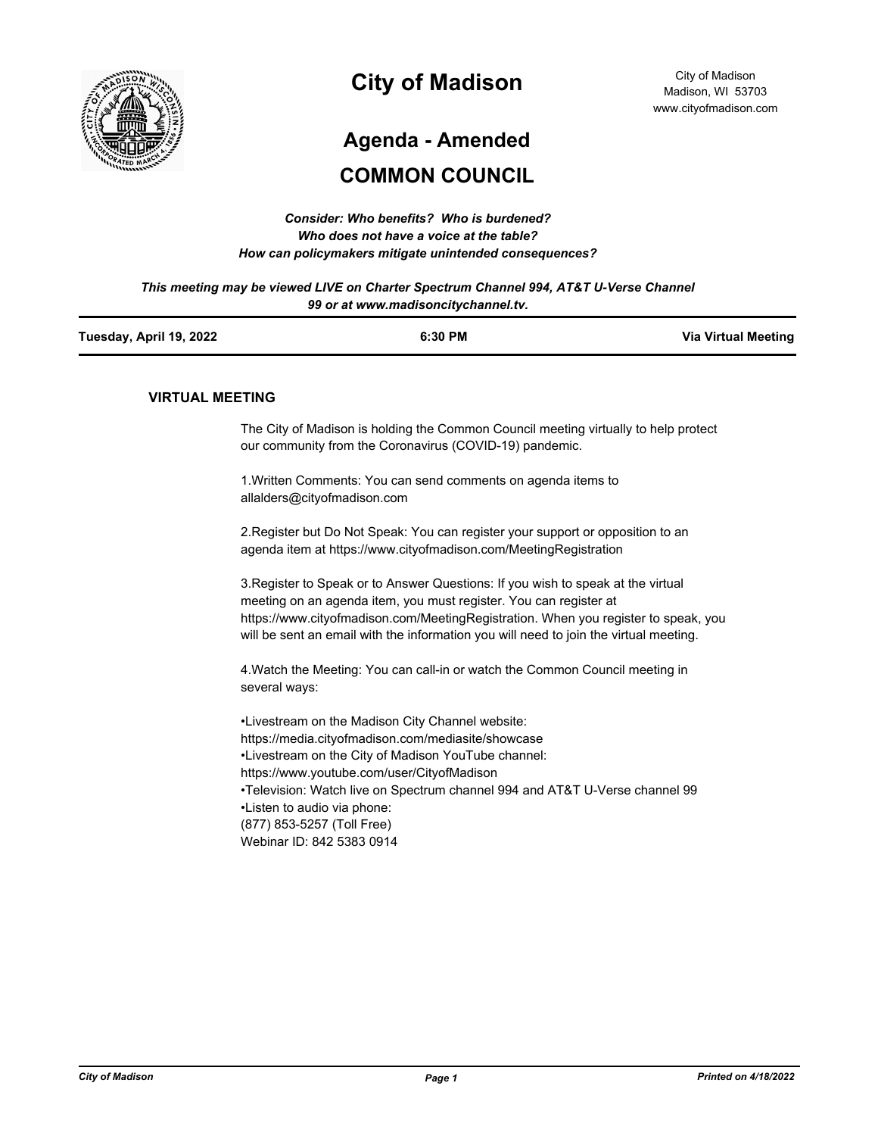

# **City of Madison**

# **Agenda - Amended**

# **COMMON COUNCIL**

| Consider: Who benefits? Who is burdened?               |
|--------------------------------------------------------|
| Who does not have a voice at the table?                |
| How can policymakers mitigate unintended consequences? |

*This meeting may be viewed LIVE on Charter Spectrum Channel 994, AT&T U-Verse Channel 99 or at www.madisoncitychannel.tv.*

| Tuesday, April 19, 2022 | 6:30 PM | <b>Via Virtual Meeting</b> |
|-------------------------|---------|----------------------------|
|                         |         |                            |

#### **VIRTUAL MEETING**

The City of Madison is holding the Common Council meeting virtually to help protect our community from the Coronavirus (COVID-19) pandemic.

1.Written Comments: You can send comments on agenda items to allalders@cityofmadison.com

2.Register but Do Not Speak: You can register your support or opposition to an agenda item at https://www.cityofmadison.com/MeetingRegistration

3.Register to Speak or to Answer Questions: If you wish to speak at the virtual meeting on an agenda item, you must register. You can register at https://www.cityofmadison.com/MeetingRegistration. When you register to speak, you will be sent an email with the information you will need to join the virtual meeting.

4.Watch the Meeting: You can call-in or watch the Common Council meeting in several ways:

•Livestream on the Madison City Channel website: https://media.cityofmadison.com/mediasite/showcase •Livestream on the City of Madison YouTube channel: https://www.youtube.com/user/CityofMadison •Television: Watch live on Spectrum channel 994 and AT&T U-Verse channel 99 •Listen to audio via phone: (877) 853-5257 (Toll Free) Webinar ID: 842 5383 0914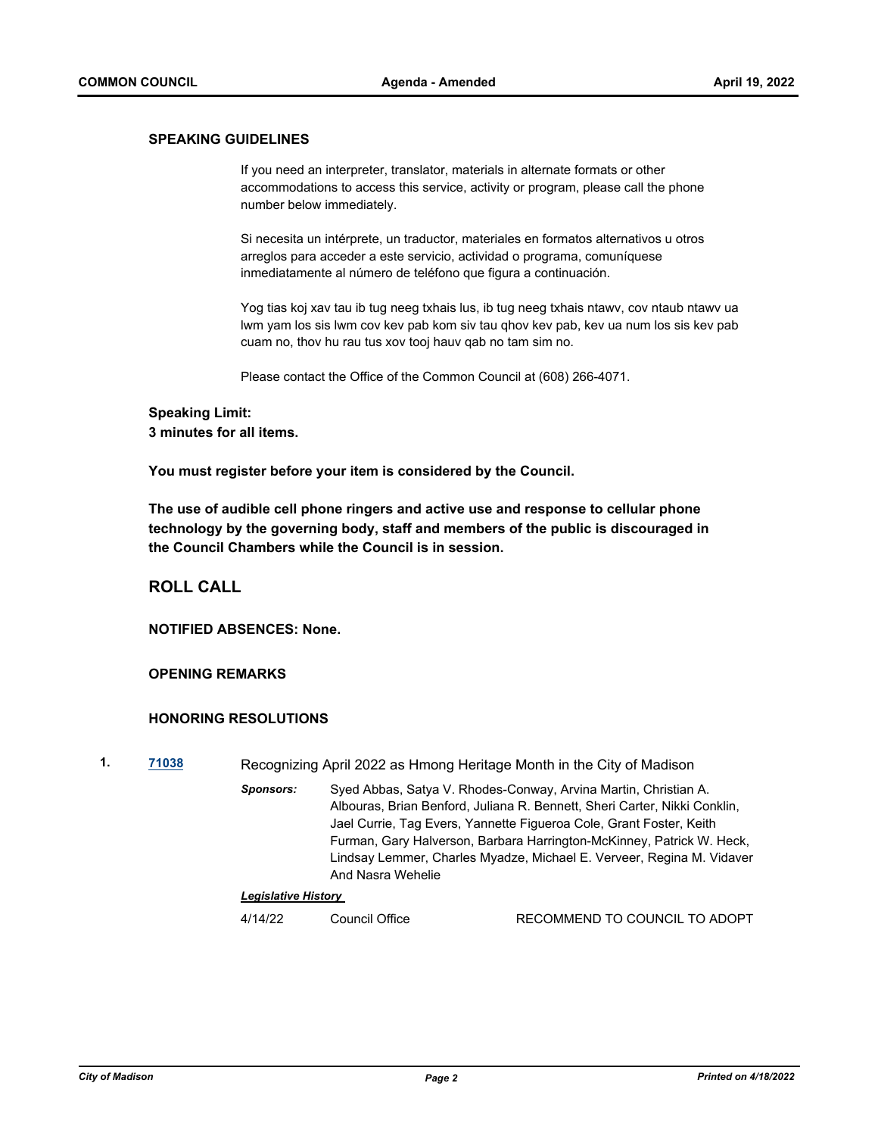#### **SPEAKING GUIDELINES**

If you need an interpreter, translator, materials in alternate formats or other accommodations to access this service, activity or program, please call the phone number below immediately.

Si necesita un intérprete, un traductor, materiales en formatos alternativos u otros arreglos para acceder a este servicio, actividad o programa, comuníquese inmediatamente al número de teléfono que figura a continuación.

Yog tias koj xav tau ib tug neeg txhais lus, ib tug neeg txhais ntawv, cov ntaub ntawv ua lwm yam los sis lwm cov kev pab kom siv tau qhov kev pab, kev ua num los sis kev pab cuam no, thov hu rau tus xov tooj hauv qab no tam sim no.

Please contact the Office of the Common Council at (608) 266-4071.

#### **Speaking Limit:**

**3 minutes for all items.**

**You must register before your item is considered by the Council.**

**The use of audible cell phone ringers and active use and response to cellular phone technology by the governing body, staff and members of the public is discouraged in the Council Chambers while the Council is in session.**

#### **ROLL CALL**

**NOTIFIED ABSENCES: None.**

#### **OPENING REMARKS**

#### **HONORING RESOLUTIONS**

- **1. [71038](http://madison.legistar.com/gateway.aspx?m=l&id=/matter.aspx?key=82998)** Recognizing April 2022 as Hmong Heritage Month in the City of Madison
	- *Sponsors:* Syed Abbas, Satya V. Rhodes-Conway, Arvina Martin, Christian A. Albouras, Brian Benford, Juliana R. Bennett, Sheri Carter, Nikki Conklin, Jael Currie, Tag Evers, Yannette Figueroa Cole, Grant Foster, Keith Furman, Gary Halverson, Barbara Harrington-McKinney, Patrick W. Heck, Lindsay Lemmer, Charles Myadze, Michael E. Verveer, Regina M. Vidaver And Nasra Wehelie

#### *Legislative History*

4/14/22 Council Office RECOMMEND TO COUNCIL TO ADOPT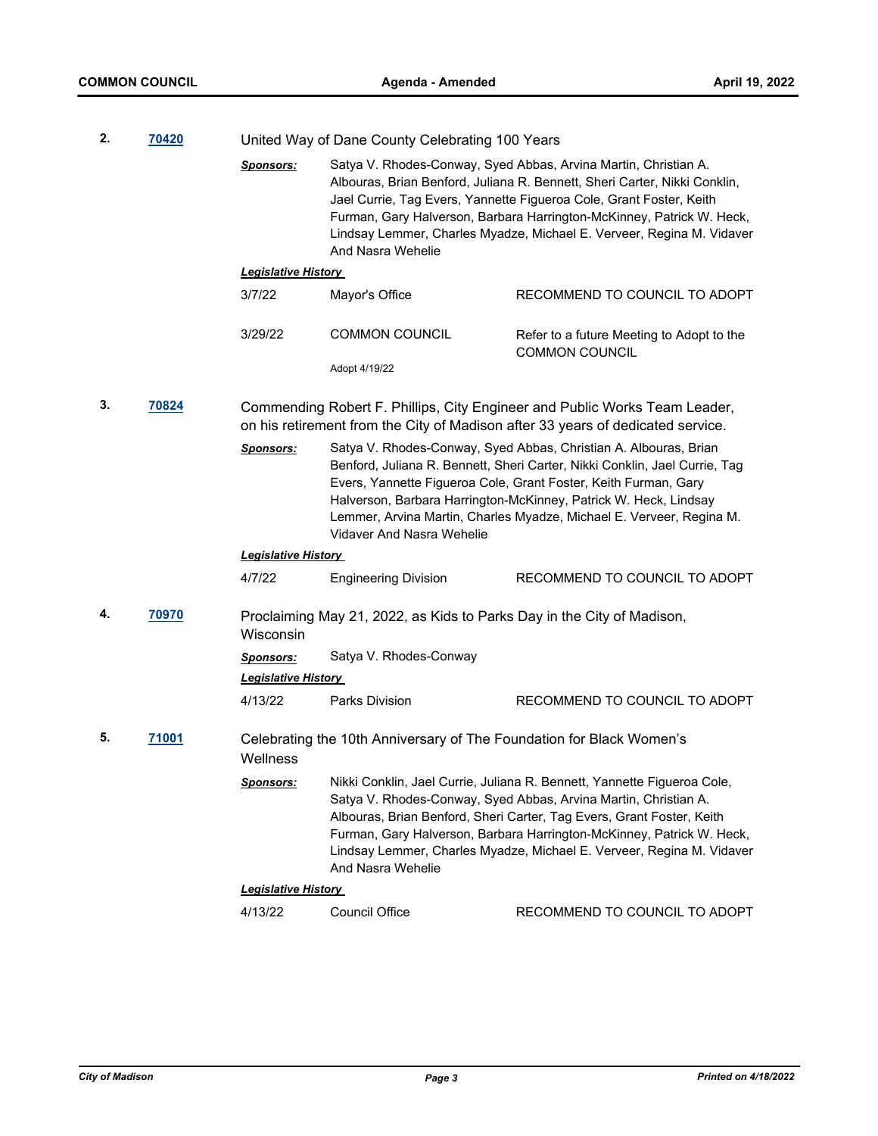| 2.          | 70420 |                            | United Way of Dane County Celebrating 100 Years                                                                                                                                                                                                                                                                                                                                            |                                                                                                                                                                                                                                                                                                                                                                       |  |
|-------------|-------|----------------------------|--------------------------------------------------------------------------------------------------------------------------------------------------------------------------------------------------------------------------------------------------------------------------------------------------------------------------------------------------------------------------------------------|-----------------------------------------------------------------------------------------------------------------------------------------------------------------------------------------------------------------------------------------------------------------------------------------------------------------------------------------------------------------------|--|
|             |       | <b>Sponsors:</b>           | Satya V. Rhodes-Conway, Syed Abbas, Arvina Martin, Christian A.<br>Albouras, Brian Benford, Juliana R. Bennett, Sheri Carter, Nikki Conklin,<br>Jael Currie, Tag Evers, Yannette Figueroa Cole, Grant Foster, Keith<br>Furman, Gary Halverson, Barbara Harrington-McKinney, Patrick W. Heck,<br>Lindsay Lemmer, Charles Myadze, Michael E. Verveer, Regina M. Vidaver<br>And Nasra Wehelie |                                                                                                                                                                                                                                                                                                                                                                       |  |
|             |       | <b>Legislative History</b> |                                                                                                                                                                                                                                                                                                                                                                                            |                                                                                                                                                                                                                                                                                                                                                                       |  |
|             |       | 3/7/22                     | Mayor's Office                                                                                                                                                                                                                                                                                                                                                                             | RECOMMEND TO COUNCIL TO ADOPT                                                                                                                                                                                                                                                                                                                                         |  |
|             |       | 3/29/22                    | <b>COMMON COUNCIL</b>                                                                                                                                                                                                                                                                                                                                                                      | Refer to a future Meeting to Adopt to the<br><b>COMMON COUNCIL</b>                                                                                                                                                                                                                                                                                                    |  |
|             |       |                            | Adopt 4/19/22                                                                                                                                                                                                                                                                                                                                                                              |                                                                                                                                                                                                                                                                                                                                                                       |  |
| 3.<br>70824 |       |                            |                                                                                                                                                                                                                                                                                                                                                                                            | Commending Robert F. Phillips, City Engineer and Public Works Team Leader,<br>on his retirement from the City of Madison after 33 years of dedicated service.                                                                                                                                                                                                         |  |
|             |       | <b>Sponsors:</b>           | Satya V. Rhodes-Conway, Syed Abbas, Christian A. Albouras, Brian<br>Benford, Juliana R. Bennett, Sheri Carter, Nikki Conklin, Jael Currie, Tag<br>Evers, Yannette Figueroa Cole, Grant Foster, Keith Furman, Gary<br>Halverson, Barbara Harrington-McKinney, Patrick W. Heck, Lindsay<br>Lemmer, Arvina Martin, Charles Myadze, Michael E. Verveer, Regina M.<br>Vidaver And Nasra Wehelie |                                                                                                                                                                                                                                                                                                                                                                       |  |
|             |       | <b>Legislative History</b> |                                                                                                                                                                                                                                                                                                                                                                                            |                                                                                                                                                                                                                                                                                                                                                                       |  |
|             |       | 4/7/22                     | <b>Engineering Division</b>                                                                                                                                                                                                                                                                                                                                                                | RECOMMEND TO COUNCIL TO ADOPT                                                                                                                                                                                                                                                                                                                                         |  |
| 4.          | 70970 | Wisconsin                  | Proclaiming May 21, 2022, as Kids to Parks Day in the City of Madison,                                                                                                                                                                                                                                                                                                                     |                                                                                                                                                                                                                                                                                                                                                                       |  |
|             |       | <b>Sponsors:</b>           | Satya V. Rhodes-Conway                                                                                                                                                                                                                                                                                                                                                                     |                                                                                                                                                                                                                                                                                                                                                                       |  |
|             |       | <b>Legislative History</b> |                                                                                                                                                                                                                                                                                                                                                                                            |                                                                                                                                                                                                                                                                                                                                                                       |  |
|             |       | 4/13/22                    | Parks Division                                                                                                                                                                                                                                                                                                                                                                             | RECOMMEND TO COUNCIL TO ADOPT                                                                                                                                                                                                                                                                                                                                         |  |
| 5.          | 71001 | Wellness                   | Celebrating the 10th Anniversary of The Foundation for Black Women's                                                                                                                                                                                                                                                                                                                       |                                                                                                                                                                                                                                                                                                                                                                       |  |
|             |       | <u>Sponsors:</u>           | And Nasra Wehelie                                                                                                                                                                                                                                                                                                                                                                          | Nikki Conklin, Jael Currie, Juliana R. Bennett, Yannette Figueroa Cole,<br>Satya V. Rhodes-Conway, Syed Abbas, Arvina Martin, Christian A.<br>Albouras, Brian Benford, Sheri Carter, Tag Evers, Grant Foster, Keith<br>Furman, Gary Halverson, Barbara Harrington-McKinney, Patrick W. Heck,<br>Lindsay Lemmer, Charles Myadze, Michael E. Verveer, Regina M. Vidaver |  |
|             |       | <b>Legislative History</b> |                                                                                                                                                                                                                                                                                                                                                                                            |                                                                                                                                                                                                                                                                                                                                                                       |  |
|             |       | 4/13/22                    | Council Office                                                                                                                                                                                                                                                                                                                                                                             | RECOMMEND TO COUNCIL TO ADOPT                                                                                                                                                                                                                                                                                                                                         |  |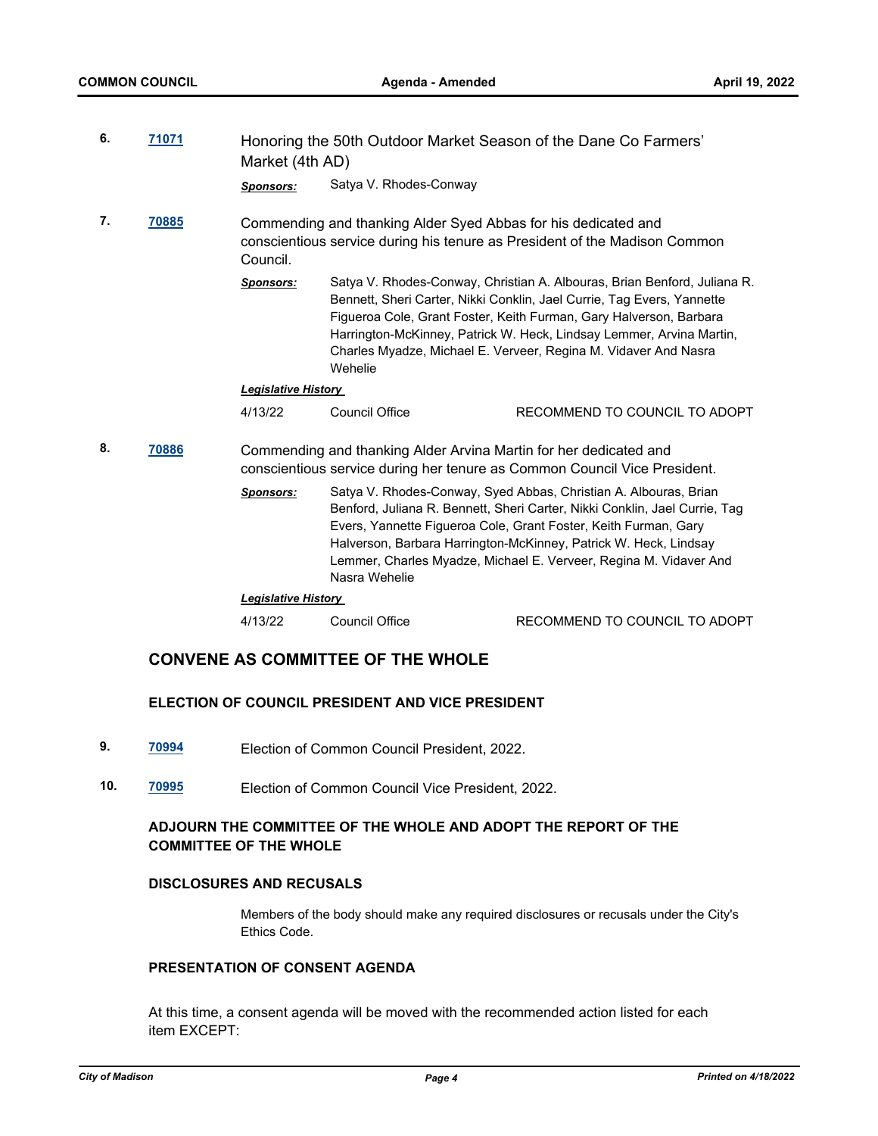| 6.                      | 71071 | Market (4th AD)                                                | Honoring the 50th Outdoor Market Season of the Dane Co Farmers'            |                                                                                                                                                                                                                                                                                                                                                                     |
|-------------------------|-------|----------------------------------------------------------------|----------------------------------------------------------------------------|---------------------------------------------------------------------------------------------------------------------------------------------------------------------------------------------------------------------------------------------------------------------------------------------------------------------------------------------------------------------|
|                         |       | <b>Sponsors:</b>                                               | Satya V. Rhodes-Conway                                                     |                                                                                                                                                                                                                                                                                                                                                                     |
| 7.<br>70885<br>Council. |       | Commending and thanking Alder Syed Abbas for his dedicated and | conscientious service during his tenure as President of the Madison Common |                                                                                                                                                                                                                                                                                                                                                                     |
|                         |       | <b>Sponsors:</b>                                               | Wehelie                                                                    | Satya V. Rhodes-Conway, Christian A. Albouras, Brian Benford, Juliana R.<br>Bennett, Sheri Carter, Nikki Conklin, Jael Currie, Tag Evers, Yannette<br>Figueroa Cole, Grant Foster, Keith Furman, Gary Halverson, Barbara<br>Harrington-McKinney, Patrick W. Heck, Lindsay Lemmer, Arvina Martin,<br>Charles Myadze, Michael E. Verveer, Regina M. Vidaver And Nasra |
|                         |       | <b>Legislative History</b>                                     |                                                                            |                                                                                                                                                                                                                                                                                                                                                                     |
|                         |       | 4/13/22                                                        | <b>Council Office</b>                                                      | RECOMMEND TO COUNCIL TO ADOPT                                                                                                                                                                                                                                                                                                                                       |
| 8.                      | 70886 |                                                                | Commending and thanking Alder Arvina Martin for her dedicated and          | conscientious service during her tenure as Common Council Vice President.                                                                                                                                                                                                                                                                                           |
|                         |       | <b>Sponsors:</b>                                               | Nasra Wehelie                                                              | Satya V. Rhodes-Conway, Syed Abbas, Christian A. Albouras, Brian<br>Benford, Juliana R. Bennett, Sheri Carter, Nikki Conklin, Jael Currie, Tag<br>Evers, Yannette Figueroa Cole, Grant Foster, Keith Furman, Gary<br>Halverson, Barbara Harrington-McKinney, Patrick W. Heck, Lindsay<br>Lemmer, Charles Myadze, Michael E. Verveer, Regina M. Vidaver And          |
|                         |       | <b>Legislative History</b>                                     |                                                                            |                                                                                                                                                                                                                                                                                                                                                                     |
|                         |       | 4/13/22                                                        | <b>Council Office</b>                                                      | RECOMMEND TO COUNCIL TO ADOPT                                                                                                                                                                                                                                                                                                                                       |
|                         |       |                                                                |                                                                            |                                                                                                                                                                                                                                                                                                                                                                     |

# **CONVENE AS COMMITTEE OF THE WHOLE**

#### **ELECTION OF COUNCIL PRESIDENT AND VICE PRESIDENT**

- **9. [70994](http://madison.legistar.com/gateway.aspx?m=l&id=/matter.aspx?key=82966)** Election of Common Council President, 2022.
- **10. [70995](http://madison.legistar.com/gateway.aspx?m=l&id=/matter.aspx?key=82967)** Election of Common Council Vice President, 2022.

#### **ADJOURN THE COMMITTEE OF THE WHOLE AND ADOPT THE REPORT OF THE COMMITTEE OF THE WHOLE**

#### **DISCLOSURES AND RECUSALS**

Members of the body should make any required disclosures or recusals under the City's Ethics Code.

#### **PRESENTATION OF CONSENT AGENDA**

At this time, a consent agenda will be moved with the recommended action listed for each item EXCEPT: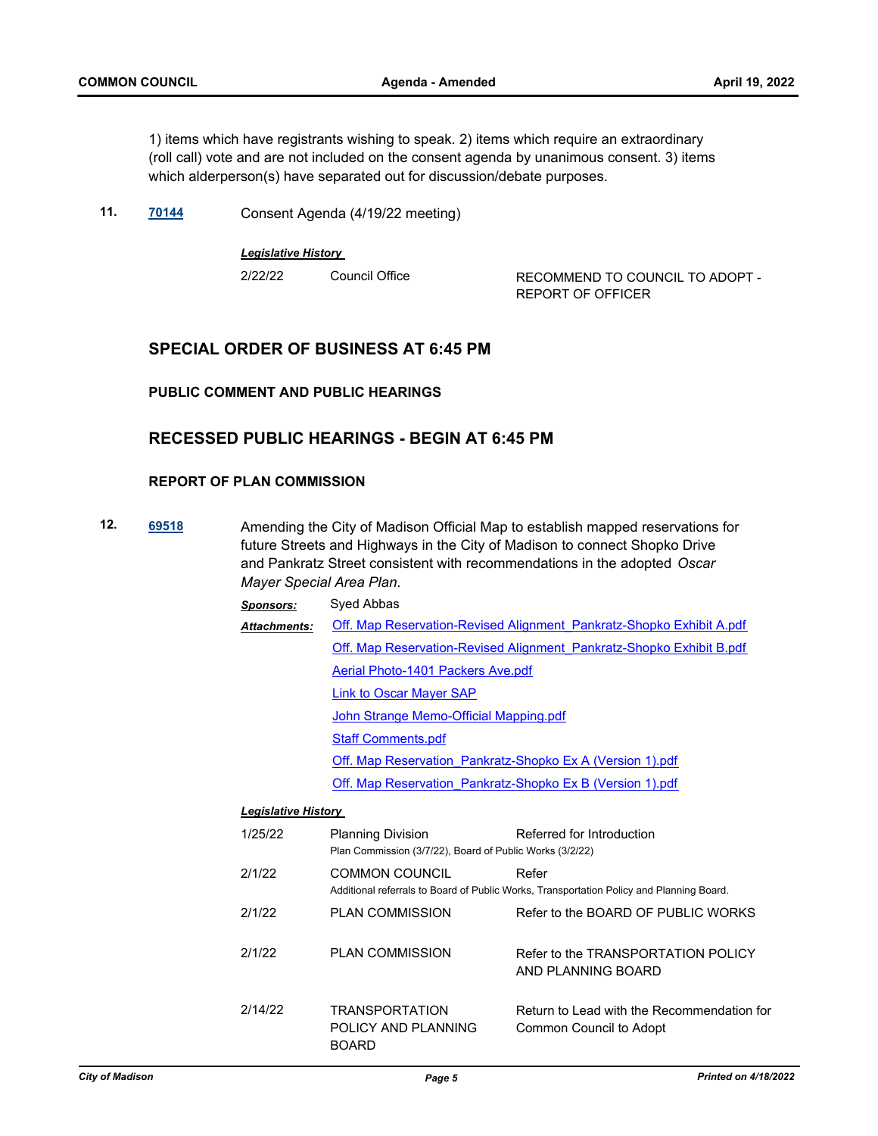1) items which have registrants wishing to speak. 2) items which require an extraordinary (roll call) vote and are not included on the consent agenda by unanimous consent. 3) items which alderperson(s) have separated out for discussion/debate purposes.

**11. [70144](http://madison.legistar.com/gateway.aspx?m=l&id=/matter.aspx?key=81300)** Consent Agenda (4/19/22 meeting)

*Legislative History* 

2/22/22 Council Office RECOMMEND TO COUNCIL TO ADOPT - REPORT OF OFFICER

#### **SPECIAL ORDER OF BUSINESS AT 6:45 PM**

**PUBLIC COMMENT AND PUBLIC HEARINGS**

## **RECESSED PUBLIC HEARINGS - BEGIN AT 6:45 PM**

#### **REPORT OF PLAN COMMISSION**

- **12. [69518](http://madison.legistar.com/gateway.aspx?m=l&id=/matter.aspx?key=80897)** Amending the City of Madison Official Map to establish mapped reservations for future Streets and Highways in the City of Madison to connect Shopko Drive and Pankratz Street consistent with recommendations in the adopted *Oscar Mayer Special Area Plan*.
	- *Sponsors:* Syed Abbas [Off. Map Reservation-Revised Alignment\\_Pankratz-Shopko Exhibit A.pdf](http://madison.legistar.com/gateway.aspx?M=F&ID=9ce186fa-6936-4edf-ab17-b6c2d92b2cdf.pdf) [Off. Map Reservation-Revised Alignment\\_Pankratz-Shopko Exhibit B.pdf](http://madison.legistar.com/gateway.aspx?M=F&ID=9e5f4926-c021-48f6-82b1-29c1e3b330eb.pdf) [Aerial Photo-1401 Packers Ave.pdf](http://madison.legistar.com/gateway.aspx?M=F&ID=353fc480-7154-411b-a809-af944921d546.pdf) [Link to Oscar Mayer SAP](https://www.cityofmadison.com/dpced/planning/documents/OscarMayerSpecialAreaPlan.pdf) [John Strange Memo-Official Mapping.pdf](http://madison.legistar.com/gateway.aspx?M=F&ID=31099a3c-4ac3-4536-9b1f-bd2f4b1def8f.pdf) [Staff Comments.pdf](http://madison.legistar.com/gateway.aspx?M=F&ID=6482d0fb-26e5-4a31-8fdc-4e9fc7fe42c7.pdf) [Off. Map Reservation\\_Pankratz-Shopko Ex A \(Version 1\).pdf](http://madison.legistar.com/gateway.aspx?M=F&ID=9ffadfb6-17d4-43bd-a405-966b200abaaf.pdf) [Off. Map Reservation\\_Pankratz-Shopko Ex B \(Version 1\).pdf](http://madison.legistar.com/gateway.aspx?M=F&ID=9a9ad143-979f-4060-bec6-fc979bbb9522.pdf) *Attachments:*

#### *Legislative History*

| 1/25/22 | <b>Planning Division</b><br>Plan Commission (3/7/22), Board of Public Works (3/2/22) | Referred for Introduction                                                                         |
|---------|--------------------------------------------------------------------------------------|---------------------------------------------------------------------------------------------------|
| 2/1/22  | <b>COMMON COUNCIL</b>                                                                | Refer<br>Additional referrals to Board of Public Works, Transportation Policy and Planning Board. |
| 2/1/22  | <b>PLAN COMMISSION</b>                                                               | Refer to the BOARD OF PUBLIC WORKS                                                                |
| 2/1/22  | <b>PLAN COMMISSION</b>                                                               | Refer to the TRANSPORTATION POLICY<br>AND PLANNING BOARD                                          |
| 2/14/22 | <b>TRANSPORTATION</b><br>POLICY AND PLANNING<br><b>BOARD</b>                         | Return to Lead with the Recommendation for<br>Common Council to Adopt                             |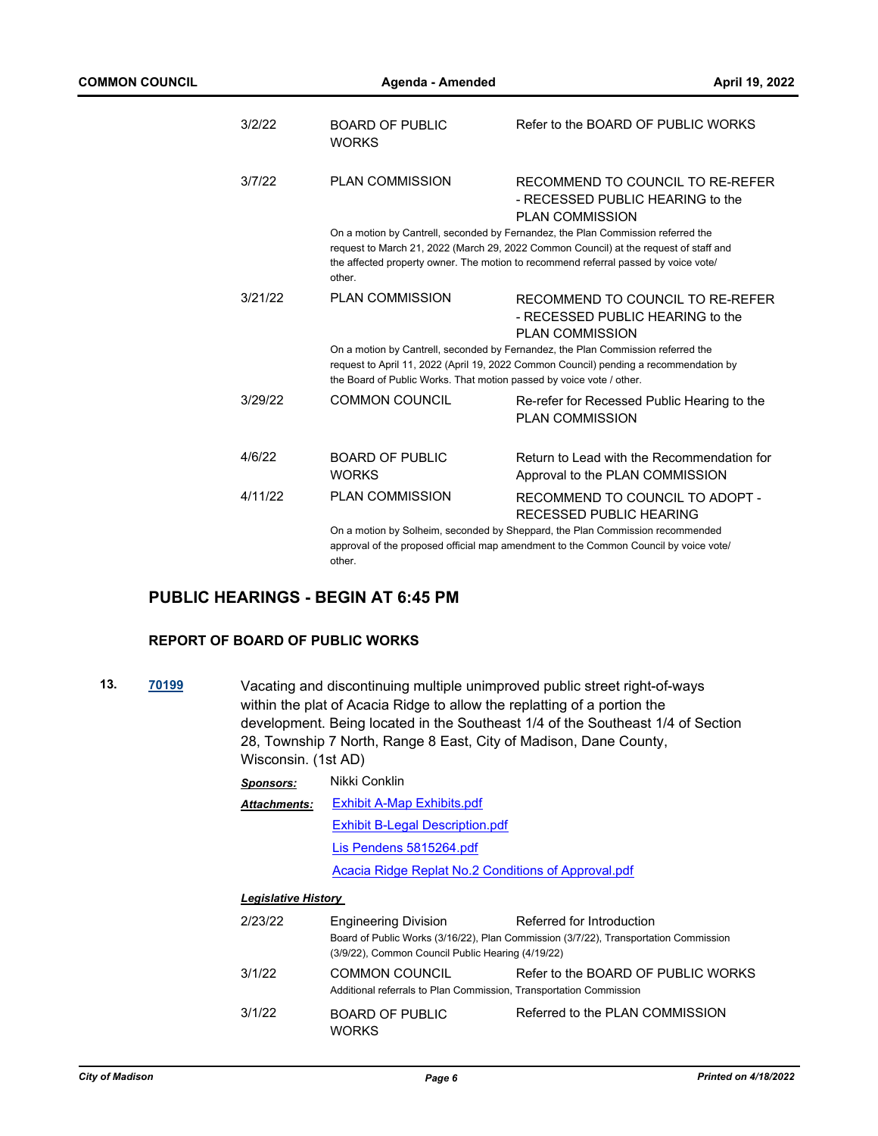| 3/2/22  | <b>BOARD OF PUBLIC</b><br><b>WORKS</b>                               | Refer to the BOARD OF PUBLIC WORKS                                                                                                                                                                                                                               |
|---------|----------------------------------------------------------------------|------------------------------------------------------------------------------------------------------------------------------------------------------------------------------------------------------------------------------------------------------------------|
| 3/7/22  | <b>PLAN COMMISSION</b>                                               | RECOMMEND TO COUNCIL TO RE-REFER<br>- RECESSED PUBLIC HEARING to the<br>PLAN COMMISSION                                                                                                                                                                          |
|         | other.                                                               | On a motion by Cantrell, seconded by Fernandez, the Plan Commission referred the<br>request to March 21, 2022 (March 29, 2022 Common Council) at the request of staff and<br>the affected property owner. The motion to recommend referral passed by voice vote/ |
| 3/21/22 | <b>PLAN COMMISSION</b>                                               | RECOMMEND TO COUNCIL TO RE-REFER<br>- RECESSED PUBLIC HEARING to the<br><b>PLAN COMMISSION</b>                                                                                                                                                                   |
|         | the Board of Public Works. That motion passed by voice vote / other. | On a motion by Cantrell, seconded by Fernandez, the Plan Commission referred the<br>request to April 11, 2022 (April 19, 2022 Common Council) pending a recommendation by                                                                                        |
| 3/29/22 | <b>COMMON COUNCIL</b>                                                | Re-refer for Recessed Public Hearing to the<br><b>PLAN COMMISSION</b>                                                                                                                                                                                            |
| 4/6/22  | BOARD OF PUBLIC<br><b>WORKS</b>                                      | Return to Lead with the Recommendation for<br>Approval to the PLAN COMMISSION                                                                                                                                                                                    |
| 4/11/22 | <b>PLAN COMMISSION</b>                                               | RECOMMEND TO COUNCIL TO ADOPT -<br>RECESSED PUBLIC HEARING                                                                                                                                                                                                       |
|         | other.                                                               | On a motion by Solheim, seconded by Sheppard, the Plan Commission recommended<br>approval of the proposed official map amendment to the Common Council by voice vote/                                                                                            |

# **PUBLIC HEARINGS - BEGIN AT 6:45 PM**

#### **REPORT OF BOARD OF PUBLIC WORKS**

**13. [70199](http://madison.legistar.com/gateway.aspx?m=l&id=/matter.aspx?key=81326)** Vacating and discontinuing multiple unimproved public street right-of-ways within the plat of Acacia Ridge to allow the replatting of a portion the development. Being located in the Southeast 1/4 of the Southeast 1/4 of Section 28, Township 7 North, Range 8 East, City of Madison, Dane County, Wisconsin. (1st AD)

| Sponsors:                  | Nikki Conklin                                       |
|----------------------------|-----------------------------------------------------|
| <b>Attachments:</b>        | <b>Exhibit A-Map Exhibits.pdf</b>                   |
|                            | <b>Exhibit B-Legal Description.pdf</b>              |
|                            | Lis Pendens 5815264.pdf                             |
|                            | Acacia Ridge Replat No.2 Conditions of Approval.pdf |
| <b>Legislative History</b> |                                                     |

| 2/23/22 | <b>Engineering Division</b>                                                                 | Referred for Introduction                                                            |
|---------|---------------------------------------------------------------------------------------------|--------------------------------------------------------------------------------------|
|         | (3/9/22), Common Council Public Hearing (4/19/22)                                           | Board of Public Works (3/16/22), Plan Commission (3/7/22), Transportation Commission |
| 3/1/22  | <b>COMMON COUNCIL</b><br>Additional referrals to Plan Commission, Transportation Commission | Refer to the BOARD OF PUBLIC WORKS                                                   |
| 3/1/22  | <b>BOARD OF PUBLIC</b><br><b>WORKS</b>                                                      | Referred to the PLAN COMMISSION                                                      |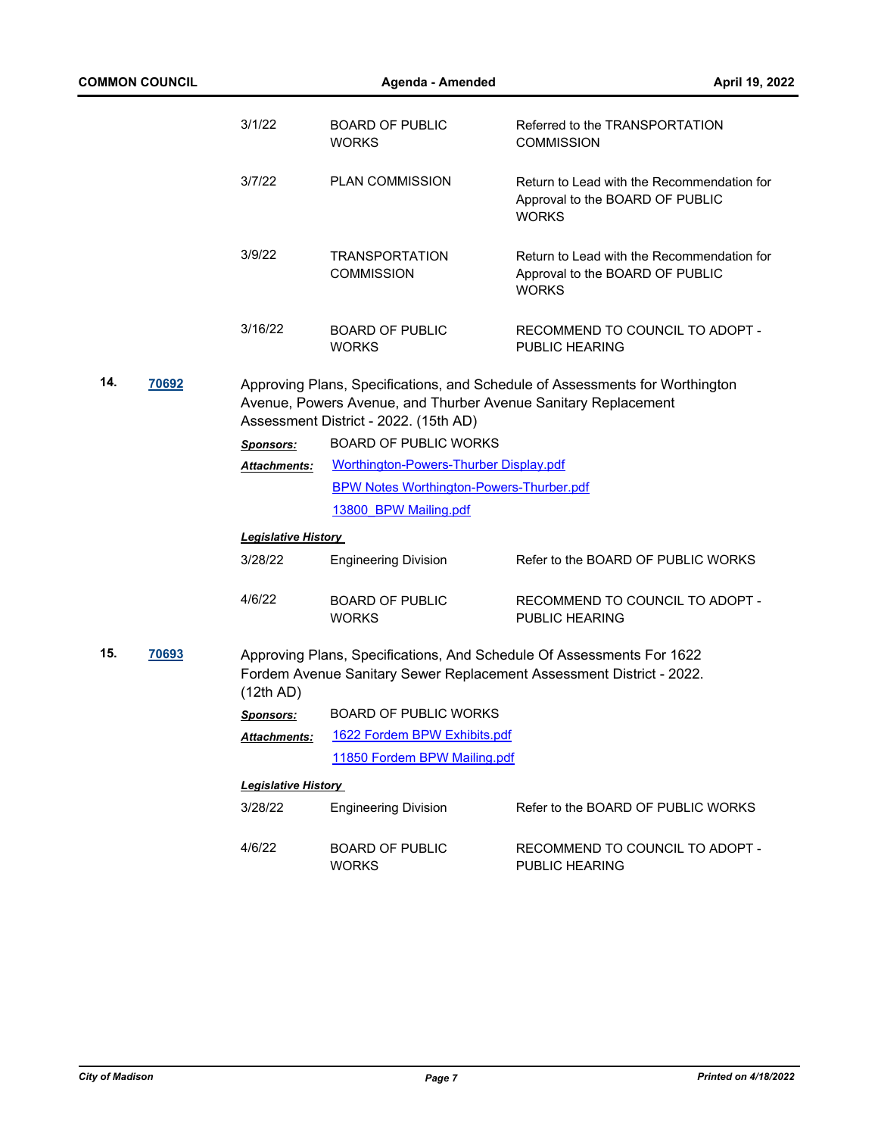| <b>COMMON COUNCIL</b> |       |                            | Agenda - Amended                                | April 19, 2022                                                                                                                                 |
|-----------------------|-------|----------------------------|-------------------------------------------------|------------------------------------------------------------------------------------------------------------------------------------------------|
|                       |       | 3/1/22                     | <b>BOARD OF PUBLIC</b><br><b>WORKS</b>          | Referred to the TRANSPORTATION<br><b>COMMISSION</b>                                                                                            |
|                       |       | 3/7/22                     | <b>PLAN COMMISSION</b>                          | Return to Lead with the Recommendation for<br>Approval to the BOARD OF PUBLIC<br><b>WORKS</b>                                                  |
|                       |       | 3/9/22                     | <b>TRANSPORTATION</b><br><b>COMMISSION</b>      | Return to Lead with the Recommendation for<br>Approval to the BOARD OF PUBLIC<br><b>WORKS</b>                                                  |
|                       |       | 3/16/22                    | <b>BOARD OF PUBLIC</b><br><b>WORKS</b>          | RECOMMEND TO COUNCIL TO ADOPT -<br>PUBLIC HEARING                                                                                              |
| 14.                   | 70692 |                            | Assessment District - 2022. (15th AD)           | Approving Plans, Specifications, and Schedule of Assessments for Worthington<br>Avenue, Powers Avenue, and Thurber Avenue Sanitary Replacement |
|                       |       | <b>Sponsors:</b>           | <b>BOARD OF PUBLIC WORKS</b>                    |                                                                                                                                                |
|                       |       | <b>Attachments:</b>        | Worthington-Powers-Thurber Display.pdf          |                                                                                                                                                |
|                       |       |                            | <b>BPW Notes Worthington-Powers-Thurber.pdf</b> |                                                                                                                                                |
|                       |       |                            | 13800 BPW Mailing.pdf                           |                                                                                                                                                |
|                       |       | <b>Legislative History</b> |                                                 |                                                                                                                                                |
|                       |       | 3/28/22                    | <b>Engineering Division</b>                     | Refer to the BOARD OF PUBLIC WORKS                                                                                                             |
|                       |       | 4/6/22                     | <b>BOARD OF PUBLIC</b><br><b>WORKS</b>          | RECOMMEND TO COUNCIL TO ADOPT -<br>PUBLIC HEARING                                                                                              |
| 15.                   | 70693 | (12th AD)                  |                                                 | Approving Plans, Specifications, And Schedule Of Assessments For 1622<br>Fordem Avenue Sanitary Sewer Replacement Assessment District - 2022.  |
|                       |       | Sponsors:                  | <b>BOARD OF PUBLIC WORKS</b>                    |                                                                                                                                                |
|                       |       | <b>Attachments:</b>        | 1622 Fordem BPW Exhibits.pdf                    |                                                                                                                                                |
|                       |       |                            | 11850 Fordem BPW Mailing.pdf                    |                                                                                                                                                |
|                       |       | <b>Legislative History</b> |                                                 |                                                                                                                                                |
|                       |       | 3/28/22                    | <b>Engineering Division</b>                     | Refer to the BOARD OF PUBLIC WORKS                                                                                                             |
|                       |       | 4/6/22                     | <b>BOARD OF PUBLIC</b><br><b>WORKS</b>          | RECOMMEND TO COUNCIL TO ADOPT -<br>PUBLIC HEARING                                                                                              |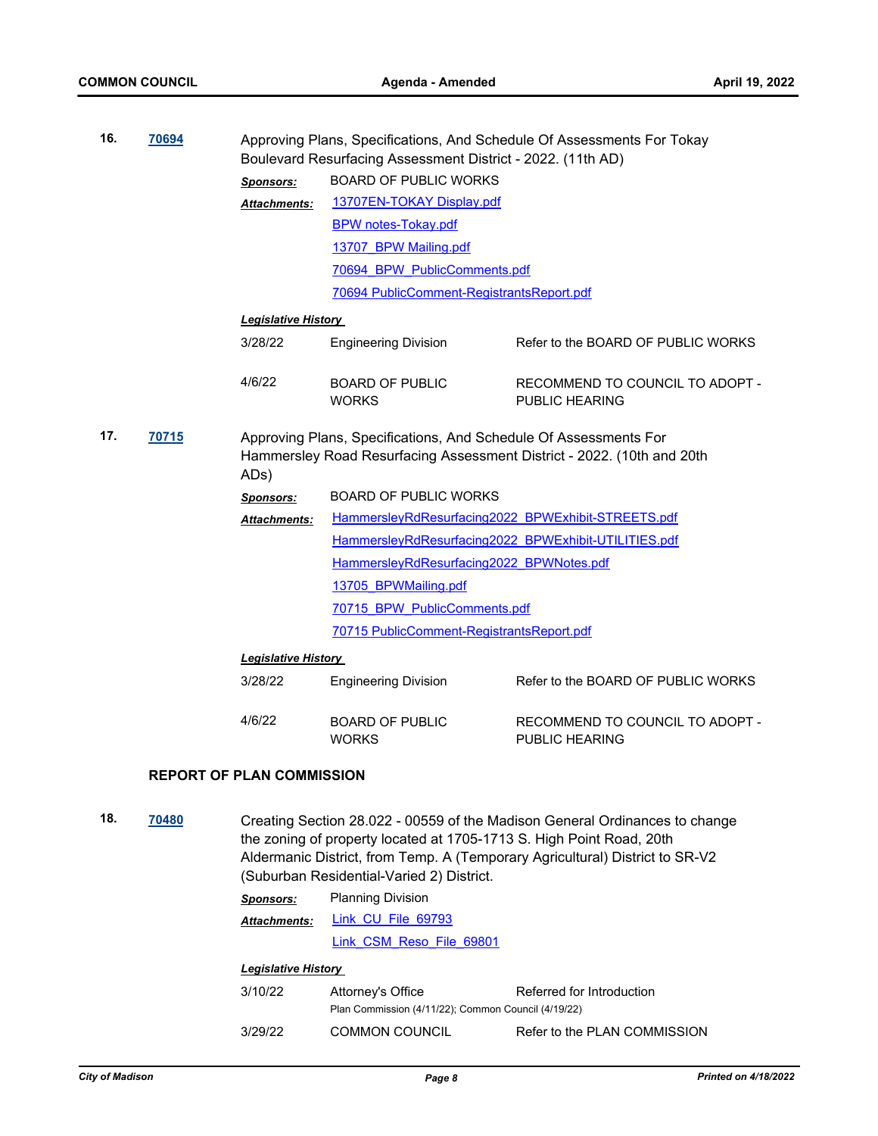| 16. | 70694 |                                  | Approving Plans, Specifications, And Schedule Of Assessments For Tokay<br>Boulevard Resurfacing Assessment District - 2022. (11th AD) |                                                                                                                                                             |
|-----|-------|----------------------------------|---------------------------------------------------------------------------------------------------------------------------------------|-------------------------------------------------------------------------------------------------------------------------------------------------------------|
|     |       | <b>Sponsors:</b>                 | <b>BOARD OF PUBLIC WORKS</b>                                                                                                          |                                                                                                                                                             |
|     |       | Attachments:                     | 13707EN-TOKAY Display.pdf                                                                                                             |                                                                                                                                                             |
|     |       |                                  | <b>BPW notes-Tokay.pdf</b>                                                                                                            |                                                                                                                                                             |
|     |       |                                  | 13707 BPW Mailing.pdf                                                                                                                 |                                                                                                                                                             |
|     |       |                                  | 70694 BPW PublicComments.pdf                                                                                                          |                                                                                                                                                             |
|     |       |                                  | 70694 PublicComment-RegistrantsReport.pdf                                                                                             |                                                                                                                                                             |
|     |       | <b>Legislative History</b>       |                                                                                                                                       |                                                                                                                                                             |
|     |       | 3/28/22                          | <b>Engineering Division</b>                                                                                                           | Refer to the BOARD OF PUBLIC WORKS                                                                                                                          |
|     |       | 4/6/22                           | <b>BOARD OF PUBLIC</b><br><b>WORKS</b>                                                                                                | RECOMMEND TO COUNCIL TO ADOPT -<br><b>PUBLIC HEARING</b>                                                                                                    |
| 17. | 70715 | ADs)                             | Approving Plans, Specifications, And Schedule Of Assessments For                                                                      | Hammersley Road Resurfacing Assessment District - 2022. (10th and 20th                                                                                      |
|     |       | <b>Sponsors:</b>                 | <b>BOARD OF PUBLIC WORKS</b>                                                                                                          |                                                                                                                                                             |
|     |       | Attachments:                     | HammersleyRdResurfacing2022 BPWExhibit-STREETS.pdf                                                                                    |                                                                                                                                                             |
|     |       |                                  | HammersleyRdResurfacing2022 BPWExhibit-UTILITIES.pdf                                                                                  |                                                                                                                                                             |
|     |       |                                  | HammersleyRdResurfacing2022 BPWNotes.pdf                                                                                              |                                                                                                                                                             |
|     |       |                                  | 13705 BPWMailing.pdf                                                                                                                  |                                                                                                                                                             |
|     |       |                                  | 70715 BPW PublicComments.pdf                                                                                                          |                                                                                                                                                             |
|     |       |                                  | 70715 PublicComment-RegistrantsReport.pdf                                                                                             |                                                                                                                                                             |
|     |       | <b>Legislative History</b>       |                                                                                                                                       |                                                                                                                                                             |
|     |       | 3/28/22                          | <b>Engineering Division</b>                                                                                                           | Refer to the BOARD OF PUBLIC WORKS                                                                                                                          |
|     |       | 4/6/22                           | <b>BOARD OF PUBLIC</b><br><b>WORKS</b>                                                                                                | RECOMMEND TO COUNCIL TO ADOPT -<br>PUBLIC HEARING                                                                                                           |
|     |       | <b>REPORT OF PLAN COMMISSION</b> |                                                                                                                                       |                                                                                                                                                             |
| 18. | 70480 |                                  | the zoning of property located at 1705-1713 S. High Point Road, 20th<br>(Suburban Residential-Varied 2) District.                     | Creating Section 28.022 - 00559 of the Madison General Ordinances to change<br>Aldermanic District, from Temp. A (Temporary Agricultural) District to SR-V2 |

*Sponsors:* Planning Division [Link\\_CU\\_File\\_69793](https://madison.legistar.com/LegislationDetail.aspx?ID=5449265&GUID=5927340F-A9AE-4F5F-BE8F-5386ED3067B0&Options=ID|Text|&Search=69793) *Attachments:*

[Link\\_CSM\\_Reso\\_File\\_69801](https://madison.legistar.com/LegislationDetail.aspx?ID=5449983&GUID=8621492C-E8F4-48ED-BC1C-2F4016FFC5E3)

#### *Legislative History*

| 3/10/22 | Attorney's Office                                   | Referred for Introduction    |  |
|---------|-----------------------------------------------------|------------------------------|--|
|         | Plan Commission (4/11/22); Common Council (4/19/22) |                              |  |
| 3/29/22 | <b>COMMON COUNCIL</b>                               | Refer to the PLAN COMMISSION |  |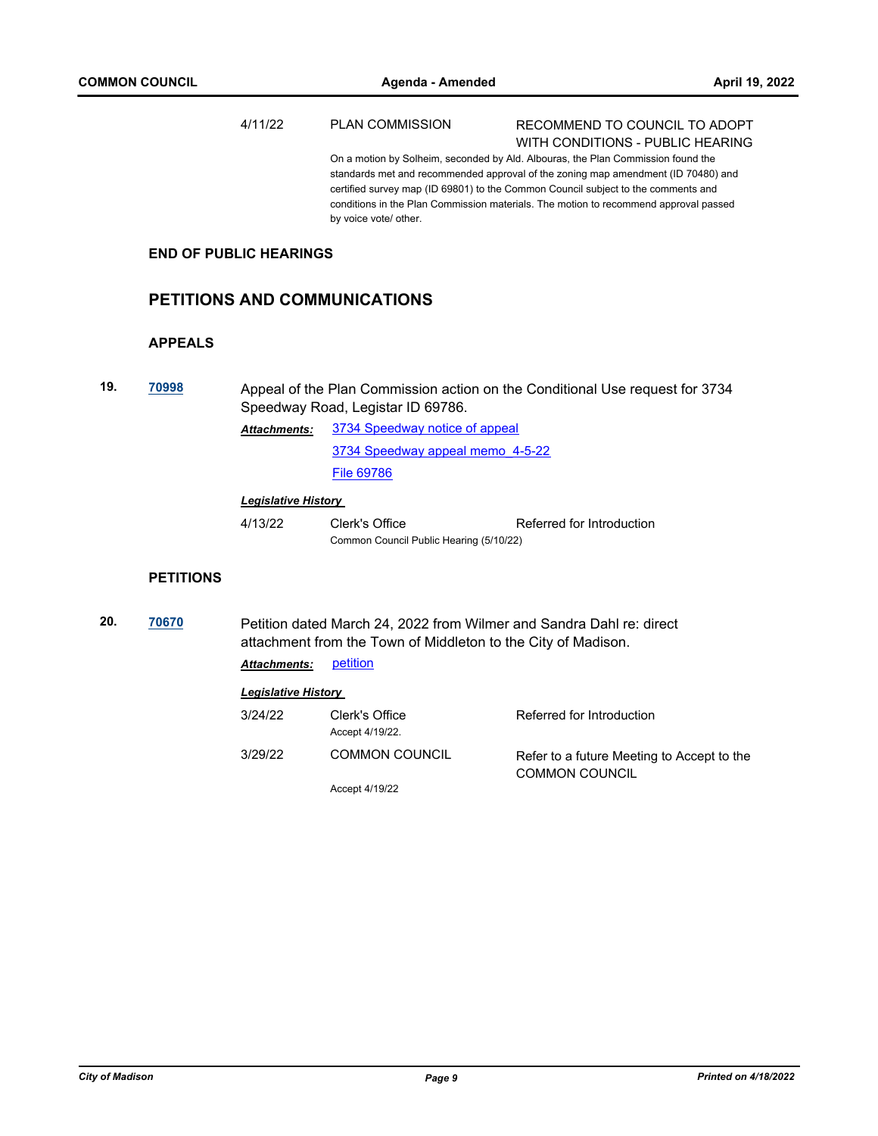|     |                  | 4/11/22                       | <b>PLAN COMMISSION</b>                                                                                                                | RECOMMEND TO COUNCIL TO ADOPT<br>WITH CONDITIONS - PUBLIC HEARING                                                                                                                                                                                                                                                                                  |
|-----|------------------|-------------------------------|---------------------------------------------------------------------------------------------------------------------------------------|----------------------------------------------------------------------------------------------------------------------------------------------------------------------------------------------------------------------------------------------------------------------------------------------------------------------------------------------------|
|     |                  |                               | by voice vote/ other.                                                                                                                 | On a motion by Solheim, seconded by Ald. Albouras, the Plan Commission found the<br>standards met and recommended approval of the zoning map amendment (ID 70480) and<br>certified survey map (ID 69801) to the Common Council subject to the comments and<br>conditions in the Plan Commission materials. The motion to recommend approval passed |
|     |                  | <b>END OF PUBLIC HEARINGS</b> |                                                                                                                                       |                                                                                                                                                                                                                                                                                                                                                    |
|     |                  |                               | <b>PETITIONS AND COMMUNICATIONS</b>                                                                                                   |                                                                                                                                                                                                                                                                                                                                                    |
|     | <b>APPEALS</b>   |                               |                                                                                                                                       |                                                                                                                                                                                                                                                                                                                                                    |
| 19. | 70998            |                               | Speedway Road, Legistar ID 69786.                                                                                                     | Appeal of the Plan Commission action on the Conditional Use request for 3734                                                                                                                                                                                                                                                                       |
|     |                  | <b>Attachments:</b>           | 3734 Speedway notice of appeal                                                                                                        |                                                                                                                                                                                                                                                                                                                                                    |
|     |                  |                               | 3734 Speedway appeal memo 4-5-22                                                                                                      |                                                                                                                                                                                                                                                                                                                                                    |
|     |                  |                               | <b>File 69786</b>                                                                                                                     |                                                                                                                                                                                                                                                                                                                                                    |
|     |                  | <b>Legislative History</b>    |                                                                                                                                       |                                                                                                                                                                                                                                                                                                                                                    |
|     |                  | 4/13/22                       | Clerk's Office<br>Common Council Public Hearing (5/10/22)                                                                             | Referred for Introduction                                                                                                                                                                                                                                                                                                                          |
|     | <b>PETITIONS</b> |                               |                                                                                                                                       |                                                                                                                                                                                                                                                                                                                                                    |
| 20. | 70670            |                               | Petition dated March 24, 2022 from Wilmer and Sandra Dahl re: direct<br>attachment from the Town of Middleton to the City of Madison. |                                                                                                                                                                                                                                                                                                                                                    |
|     |                  | Attachments:                  | petition                                                                                                                              |                                                                                                                                                                                                                                                                                                                                                    |
|     |                  | <b>Legislative History</b>    |                                                                                                                                       |                                                                                                                                                                                                                                                                                                                                                    |
|     |                  | 3/24/22                       | Clerk's Office<br>Accept 4/19/22.                                                                                                     | Referred for Introduction                                                                                                                                                                                                                                                                                                                          |
|     |                  | 3/29/22                       | <b>COMMON COUNCIL</b>                                                                                                                 | Refer to a future Meeting to Accept to the<br><b>COMMON COUNCIL</b>                                                                                                                                                                                                                                                                                |

Accept 4/19/22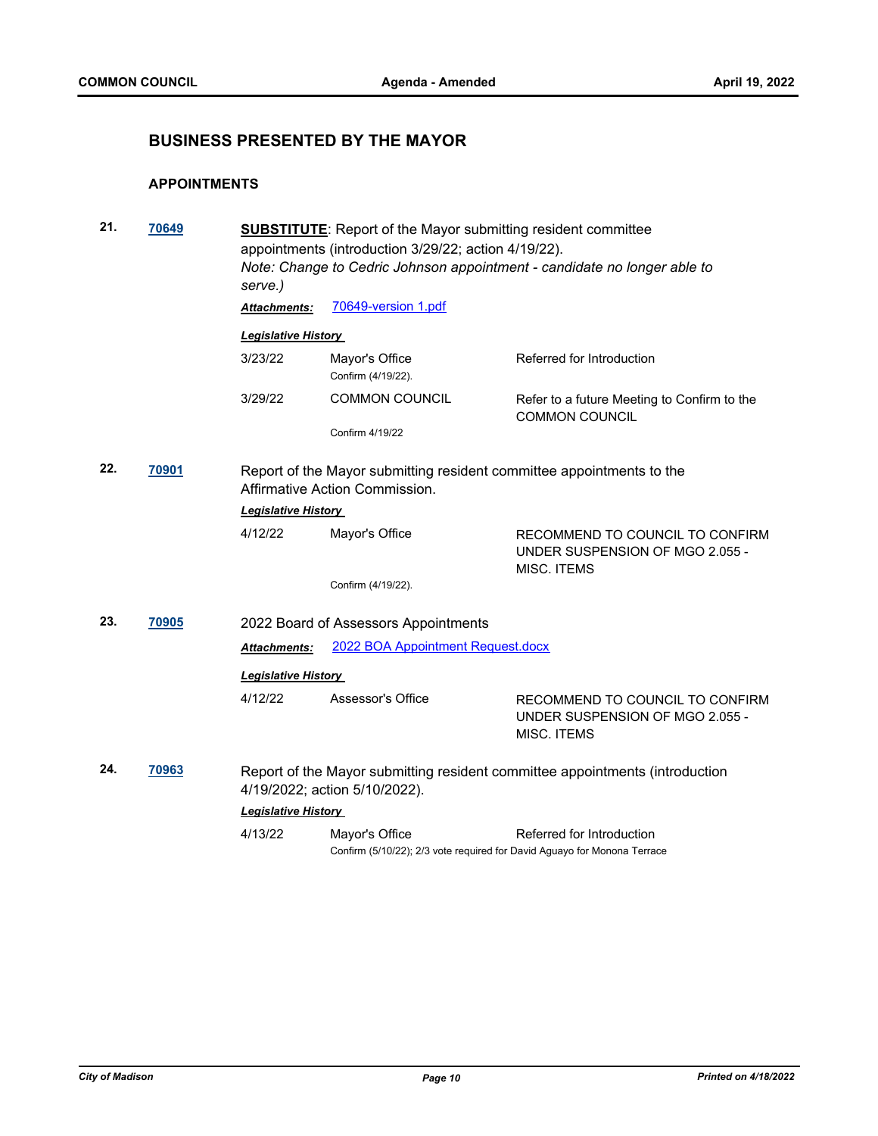# **BUSINESS PRESENTED BY THE MAYOR**

#### **APPOINTMENTS**

| 21. | 70649 | <b>SUBSTITUTE:</b> Report of the Mayor submitting resident committee<br>appointments (introduction 3/29/22; action 4/19/22).<br>Note: Change to Cedric Johnson appointment - candidate no longer able to<br>serve.) |                                                                                            |                                                                                   |  |  |
|-----|-------|---------------------------------------------------------------------------------------------------------------------------------------------------------------------------------------------------------------------|--------------------------------------------------------------------------------------------|-----------------------------------------------------------------------------------|--|--|
|     |       | <b>Attachments:</b>                                                                                                                                                                                                 | 70649-version 1.pdf                                                                        |                                                                                   |  |  |
|     |       | <b>Legislative History</b>                                                                                                                                                                                          |                                                                                            |                                                                                   |  |  |
|     |       | 3/23/22                                                                                                                                                                                                             | Mayor's Office<br>Confirm (4/19/22).                                                       | Referred for Introduction                                                         |  |  |
|     |       | 3/29/22                                                                                                                                                                                                             | <b>COMMON COUNCIL</b>                                                                      | Refer to a future Meeting to Confirm to the<br><b>COMMON COUNCIL</b>              |  |  |
|     |       |                                                                                                                                                                                                                     | Confirm 4/19/22                                                                            |                                                                                   |  |  |
| 22. | 70901 | Report of the Mayor submitting resident committee appointments to the<br>Affirmative Action Commission.                                                                                                             |                                                                                            |                                                                                   |  |  |
|     |       | <b>Legislative History</b>                                                                                                                                                                                          |                                                                                            |                                                                                   |  |  |
|     |       | 4/12/22                                                                                                                                                                                                             | Mayor's Office                                                                             | RECOMMEND TO COUNCIL TO CONFIRM<br>UNDER SUSPENSION OF MGO 2.055 -<br>MISC. ITEMS |  |  |
|     |       |                                                                                                                                                                                                                     | Confirm (4/19/22).                                                                         |                                                                                   |  |  |
| 23. | 70905 |                                                                                                                                                                                                                     | 2022 Board of Assessors Appointments                                                       |                                                                                   |  |  |
|     |       | Attachments:                                                                                                                                                                                                        | 2022 BOA Appointment Request.docx                                                          |                                                                                   |  |  |
|     |       | <b>Legislative History</b>                                                                                                                                                                                          |                                                                                            |                                                                                   |  |  |
|     |       | 4/12/22                                                                                                                                                                                                             | Assessor's Office                                                                          | RECOMMEND TO COUNCIL TO CONFIRM<br>UNDER SUSPENSION OF MGO 2.055 -<br>MISC. ITEMS |  |  |
| 24. | 70963 |                                                                                                                                                                                                                     | 4/19/2022; action 5/10/2022).                                                              | Report of the Mayor submitting resident committee appointments (introduction      |  |  |
|     |       | <b>Legislative History</b>                                                                                                                                                                                          |                                                                                            |                                                                                   |  |  |
|     |       | 4/13/22                                                                                                                                                                                                             | Mayor's Office<br>Confirm (5/10/22); 2/3 vote required for David Aguayo for Monona Terrace | Referred for Introduction                                                         |  |  |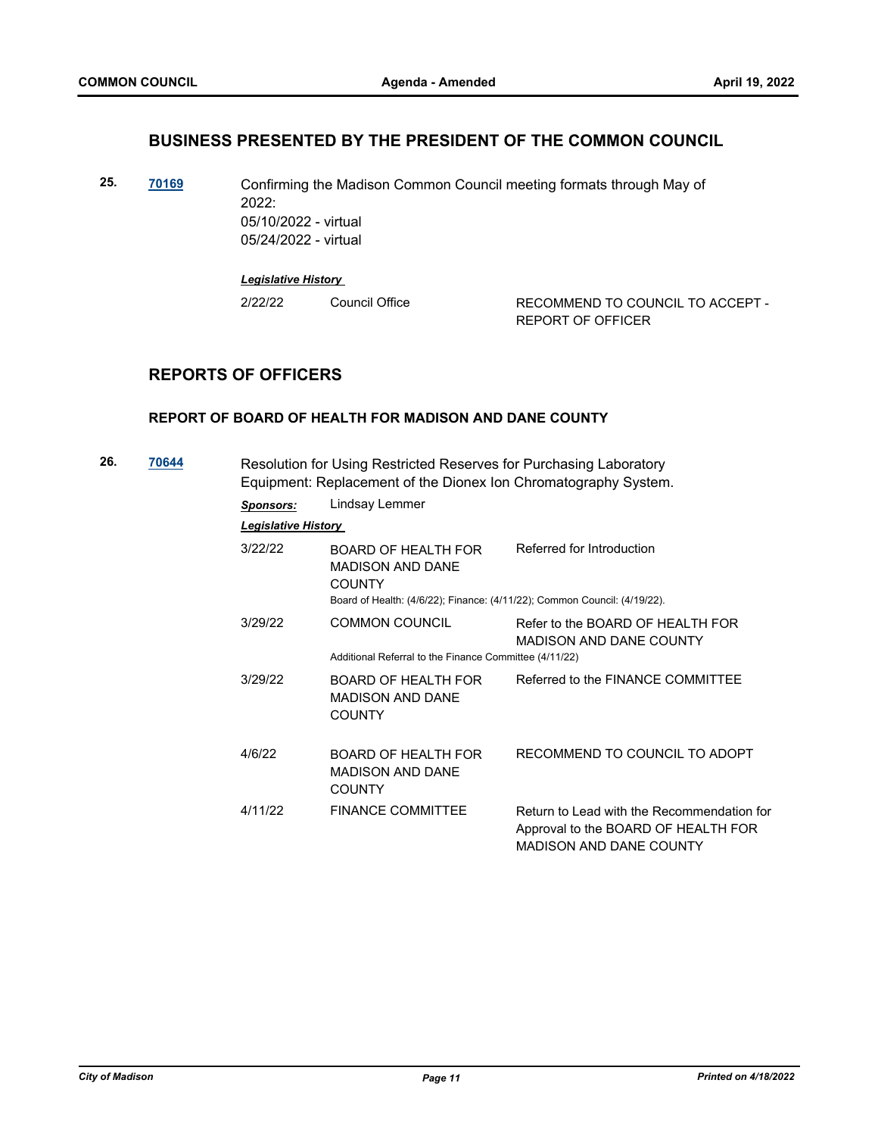## **BUSINESS PRESENTED BY THE PRESIDENT OF THE COMMON COUNCIL**

**25. [70169](http://madison.legistar.com/gateway.aspx?m=l&id=/matter.aspx?key=81307)** Confirming the Madison Common Council meeting formats through May of 2022: 05/10/2022 - virtual 05/24/2022 - virtual

*Legislative History* 

2/22/22 Council Office RECOMMEND TO COUNCIL TO ACCEPT -REPORT OF OFFICER

# **REPORTS OF OFFICERS**

#### **REPORT OF BOARD OF HEALTH FOR MADISON AND DANE COUNTY**

| 26. | 70644 | Resolution for Using Restricted Reserves for Purchasing Laboratory<br>Equipment: Replacement of the Dionex Ion Chromatography System. |                                                                                                                                              |                                                                                                                     |  |  |
|-----|-------|---------------------------------------------------------------------------------------------------------------------------------------|----------------------------------------------------------------------------------------------------------------------------------------------|---------------------------------------------------------------------------------------------------------------------|--|--|
|     |       | <b>Sponsors:</b>                                                                                                                      | Lindsay Lemmer                                                                                                                               |                                                                                                                     |  |  |
|     |       | <b>Legislative History</b>                                                                                                            |                                                                                                                                              |                                                                                                                     |  |  |
|     |       | 3/22/22                                                                                                                               | BOARD OF HEALTH FOR<br><b>MADISON AND DANE</b><br><b>COUNTY</b><br>Board of Health: (4/6/22); Finance: (4/11/22); Common Council: (4/19/22). | Referred for Introduction                                                                                           |  |  |
|     |       | 3/29/22                                                                                                                               | <b>COMMON COUNCIL</b><br>Additional Referral to the Finance Committee (4/11/22)                                                              | Refer to the BOARD OF HEALTH FOR<br><b>MADISON AND DANE COUNTY</b>                                                  |  |  |
|     |       | 3/29/22                                                                                                                               | <b>BOARD OF HEALTH FOR</b><br><b>MADISON AND DANE</b><br><b>COUNTY</b>                                                                       | Referred to the FINANCE COMMITTEE                                                                                   |  |  |
|     |       | 4/6/22                                                                                                                                | BOARD OF HEALTH FOR<br><b>MADISON AND DANE</b><br><b>COUNTY</b>                                                                              | RECOMMEND TO COUNCIL TO ADOPT                                                                                       |  |  |
|     |       | 4/11/22                                                                                                                               | <b>FINANCE COMMITTEE</b>                                                                                                                     | Return to Lead with the Recommendation for<br>Approval to the BOARD OF HEALTH FOR<br><b>MADISON AND DANE COUNTY</b> |  |  |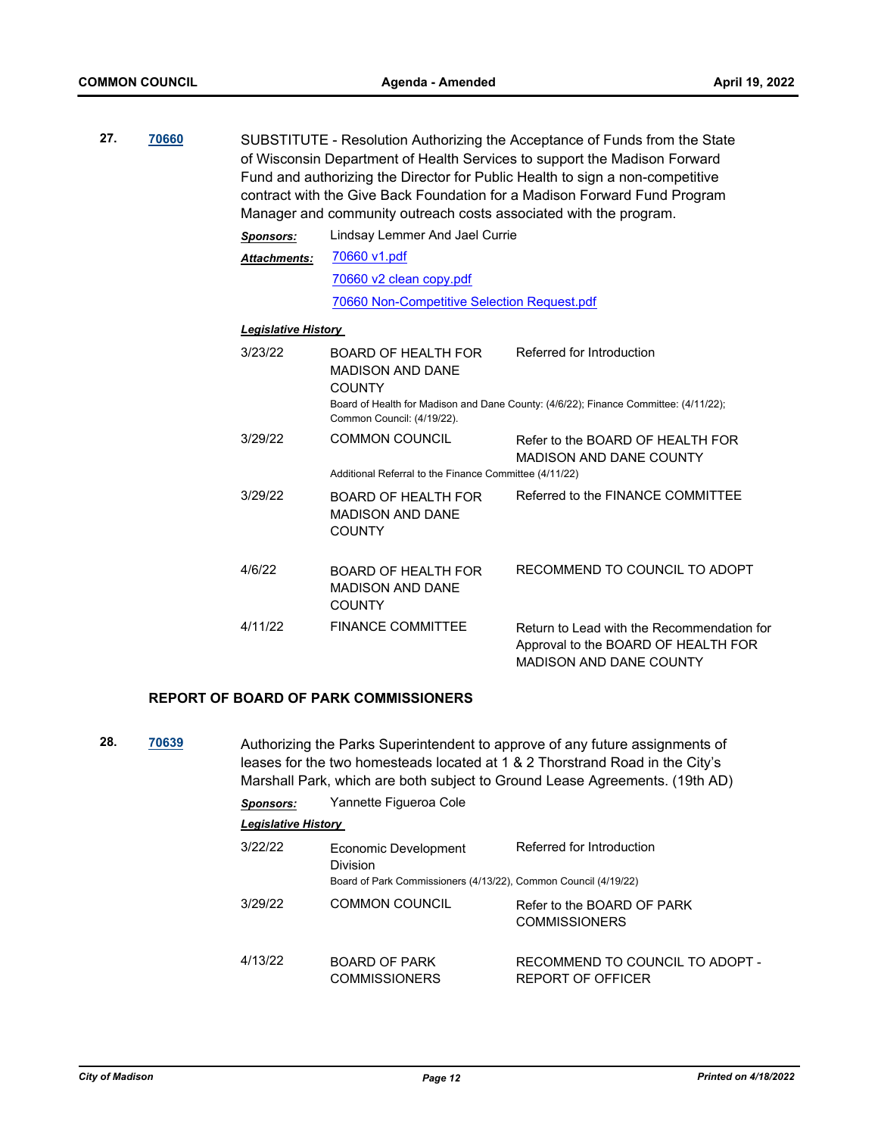| 27. | 70660 | SUBSTITUTE - Resolution Authorizing the Acceptance of Funds from the State<br>of Wisconsin Department of Health Services to support the Madison Forward<br>Fund and authorizing the Director for Public Health to sign a non-competitive<br>contract with the Give Back Foundation for a Madison Forward Fund Program<br>Manager and community outreach costs associated with the program. |                                                                        |                                                                                                                     |  |
|-----|-------|--------------------------------------------------------------------------------------------------------------------------------------------------------------------------------------------------------------------------------------------------------------------------------------------------------------------------------------------------------------------------------------------|------------------------------------------------------------------------|---------------------------------------------------------------------------------------------------------------------|--|
|     |       | <b>Sponsors:</b>                                                                                                                                                                                                                                                                                                                                                                           | Lindsay Lemmer And Jael Currie                                         |                                                                                                                     |  |
|     |       | <b>Attachments:</b>                                                                                                                                                                                                                                                                                                                                                                        | 70660 v1.pdf                                                           |                                                                                                                     |  |
|     |       |                                                                                                                                                                                                                                                                                                                                                                                            | 70660 v2 clean copy.pdf                                                |                                                                                                                     |  |
|     |       |                                                                                                                                                                                                                                                                                                                                                                                            | 70660 Non-Competitive Selection Request.pdf                            |                                                                                                                     |  |
|     |       | <b>Legislative History</b>                                                                                                                                                                                                                                                                                                                                                                 |                                                                        |                                                                                                                     |  |
|     |       | 3/23/22                                                                                                                                                                                                                                                                                                                                                                                    | <b>BOARD OF HEALTH FOR</b><br><b>MADISON AND DANE</b><br><b>COUNTY</b> | Referred for Introduction<br>Board of Health for Madison and Dane County: (4/6/22); Finance Committee: (4/11/22);   |  |
|     |       |                                                                                                                                                                                                                                                                                                                                                                                            | Common Council: (4/19/22).                                             |                                                                                                                     |  |
|     |       | 3/29/22                                                                                                                                                                                                                                                                                                                                                                                    | <b>COMMON COUNCIL</b>                                                  | Refer to the BOARD OF HEALTH FOR<br><b>MADISON AND DANE COUNTY</b>                                                  |  |
|     |       |                                                                                                                                                                                                                                                                                                                                                                                            | Additional Referral to the Finance Committee (4/11/22)                 |                                                                                                                     |  |
|     |       | 3/29/22                                                                                                                                                                                                                                                                                                                                                                                    | <b>BOARD OF HEALTH FOR</b><br><b>MADISON AND DANE</b><br><b>COUNTY</b> | Referred to the FINANCE COMMITTEE                                                                                   |  |
|     |       | 4/6/22                                                                                                                                                                                                                                                                                                                                                                                     | <b>BOARD OF HEALTH FOR</b><br><b>MADISON AND DANE</b><br><b>COUNTY</b> | RECOMMEND TO COUNCIL TO ADOPT                                                                                       |  |
|     |       | 4/11/22                                                                                                                                                                                                                                                                                                                                                                                    | <b>FINANCE COMMITTEE</b>                                               | Return to Lead with the Recommendation for<br>Approval to the BOARD OF HEALTH FOR<br><b>MADISON AND DANE COUNTY</b> |  |
|     |       |                                                                                                                                                                                                                                                                                                                                                                                            |                                                                        |                                                                                                                     |  |

#### **REPORT OF BOARD OF PARK COMMISSIONERS**

**28. [70639](http://madison.legistar.com/gateway.aspx?m=l&id=/matter.aspx?key=82670)** Authorizing the Parks Superintendent to approve of any future assignments of leases for the two homesteads located at 1 & 2 Thorstrand Road in the City's Marshall Park, which are both subject to Ground Lease Agreements. (19th AD)

## *Sponsors:* Yannette Figueroa Cole

| <b>Legislative History</b> |                                                                 |                                                      |  |  |  |  |  |
|----------------------------|-----------------------------------------------------------------|------------------------------------------------------|--|--|--|--|--|
| 3/22/22                    | Economic Development<br>Division                                | Referred for Introduction                            |  |  |  |  |  |
|                            | Board of Park Commissioners (4/13/22), Common Council (4/19/22) |                                                      |  |  |  |  |  |
| 3/29/22                    | COMMON COUNCIL                                                  | Refer to the BOARD OF PARK<br><b>COMMISSIONERS</b>   |  |  |  |  |  |
| 4/13/22                    | <b>BOARD OF PARK</b><br><b>COMMISSIONERS</b>                    | RECOMMEND TO COUNCIL TO ADOPT -<br>REPORT OF OFFICER |  |  |  |  |  |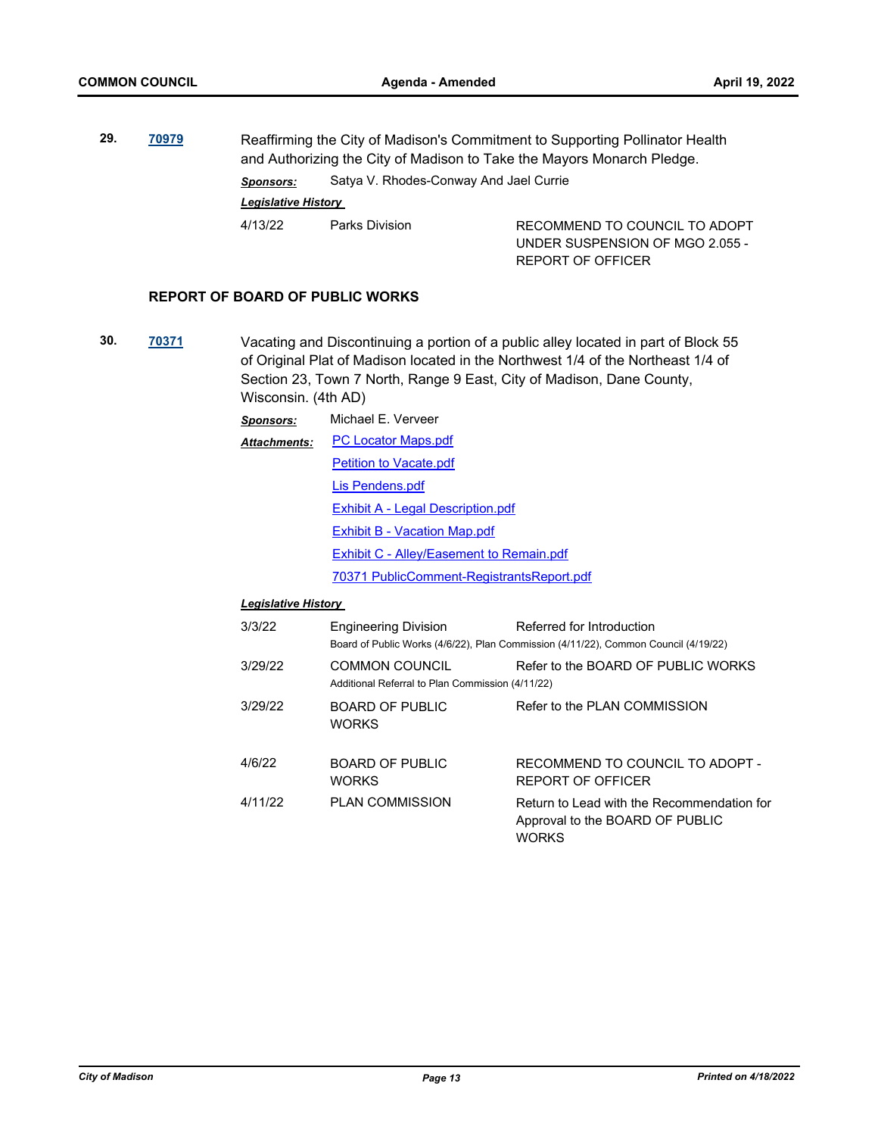**29. [70979](http://madison.legistar.com/gateway.aspx?m=l&id=/matter.aspx?key=82951)** Reaffirming the City of Madison's Commitment to Supporting Pollinator Health and Authorizing the City of Madison to Take the Mayors Monarch Pledge. *Sponsors:* Satya V. Rhodes-Conway And Jael Currie *Legislative History* 

4/13/22 Parks Division RECOMMEND TO COUNCIL TO ADOPT UNDER SUSPENSION OF MGO 2.055 -

REPORT OF OFFICER

#### **REPORT OF BOARD OF PUBLIC WORKS**

**30. [70371](http://madison.legistar.com/gateway.aspx?m=l&id=/matter.aspx?key=81445)** Vacating and Discontinuing a portion of a public alley located in part of Block 55 of Original Plat of Madison located in the Northwest 1/4 of the Northeast 1/4 of Section 23, Town 7 North, Range 9 East, City of Madison, Dane County, Wisconsin. (4th AD)

| <b>Sponsors:</b>    | Michael F. Verveer                        |  |  |
|---------------------|-------------------------------------------|--|--|
| <b>Attachments:</b> | <b>PC Locator Maps.pdf</b>                |  |  |
|                     | <b>Petition to Vacate.pdf</b>             |  |  |
|                     | Lis Pendens.pdf                           |  |  |
|                     | <b>Exhibit A - Legal Description.pdf</b>  |  |  |
|                     | <b>Exhibit B - Vacation Map.pdf</b>       |  |  |
|                     | Exhibit C - Alley/Easement to Remain.pdf  |  |  |
|                     | 70371 PublicComment-RegistrantsReport.pdf |  |  |

#### *Legislative History*

| 3/3/22  | <b>Engineering Division</b>                                        | Referred for Introduction<br>Board of Public Works (4/6/22), Plan Commission (4/11/22), Common Council (4/19/22) |
|---------|--------------------------------------------------------------------|------------------------------------------------------------------------------------------------------------------|
| 3/29/22 | COMMON COUNCIL<br>Additional Referral to Plan Commission (4/11/22) | Refer to the BOARD OF PUBLIC WORKS                                                                               |
| 3/29/22 | <b>BOARD OF PUBLIC</b><br><b>WORKS</b>                             | Refer to the PLAN COMMISSION                                                                                     |
| 4/6/22  | <b>BOARD OF PUBLIC</b><br><b>WORKS</b>                             | RECOMMEND TO COUNCIL TO ADOPT -<br>REPORT OF OFFICER                                                             |
| 4/11/22 | <b>PLAN COMMISSION</b>                                             | Return to Lead with the Recommendation for<br>Approval to the BOARD OF PUBLIC<br><b>WORKS</b>                    |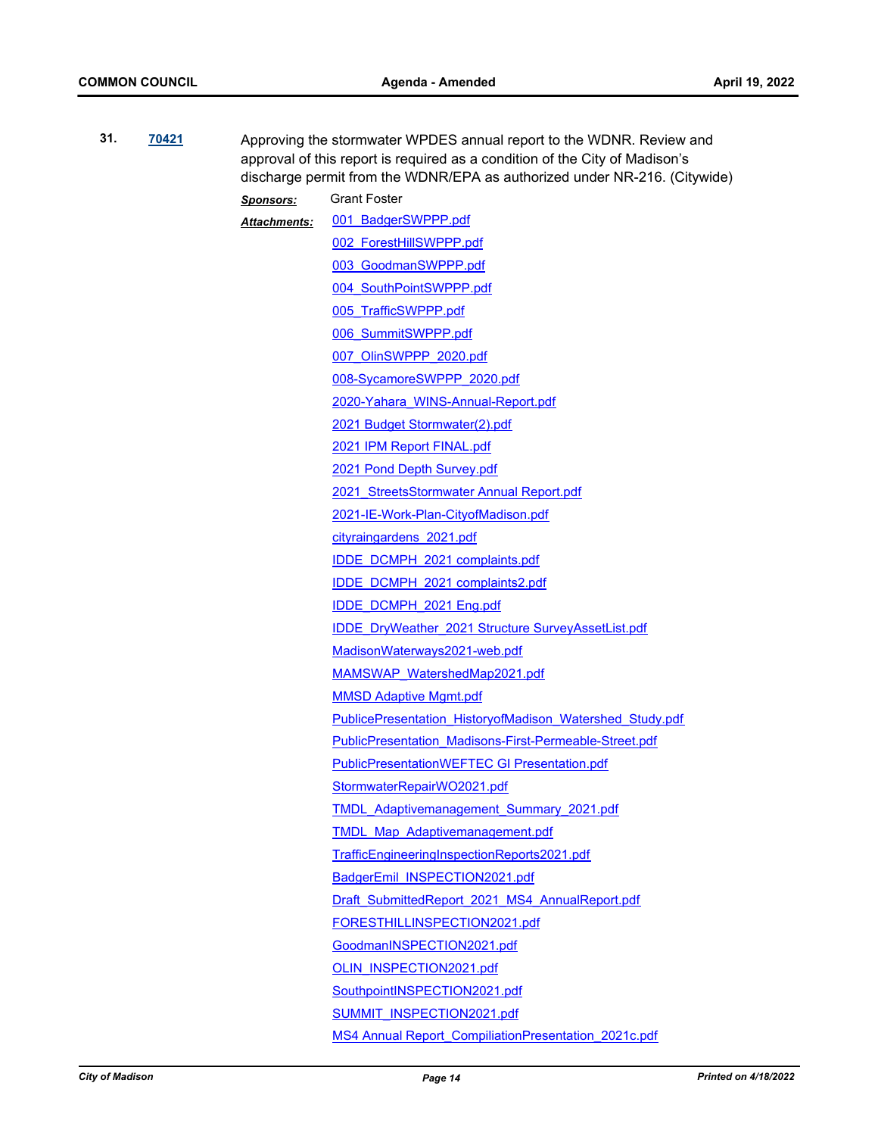| 31.                           | 70421 |                  | Approving the stormwater WPDES annual report to the WDNR. Review and<br>approval of this report is required as a condition of the City of Madison's<br>discharge permit from the WDNR/EPA as authorized under NR-216. (Citywide) |  |
|-------------------------------|-------|------------------|----------------------------------------------------------------------------------------------------------------------------------------------------------------------------------------------------------------------------------|--|
|                               |       | <b>Sponsors:</b> | <b>Grant Foster</b>                                                                                                                                                                                                              |  |
|                               |       | Attachments:     | 001 BadgerSWPPP.pdf                                                                                                                                                                                                              |  |
|                               |       |                  | 002 ForestHillSWPPP.pdf                                                                                                                                                                                                          |  |
|                               |       |                  | 003 GoodmanSWPPP.pdf                                                                                                                                                                                                             |  |
|                               |       |                  | 004 SouthPointSWPPP.pdf                                                                                                                                                                                                          |  |
|                               |       |                  | 005 TrafficSWPPP.pdf                                                                                                                                                                                                             |  |
|                               |       |                  | 006 SummitSWPPP.pdf                                                                                                                                                                                                              |  |
|                               |       |                  | 007 OlinSWPPP 2020.pdf                                                                                                                                                                                                           |  |
|                               |       |                  | 008-SycamoreSWPPP 2020.pdf                                                                                                                                                                                                       |  |
|                               |       |                  | 2020-Yahara WINS-Annual-Report.pdf                                                                                                                                                                                               |  |
| 2021 Budget Stormwater(2).pdf |       |                  |                                                                                                                                                                                                                                  |  |
|                               |       |                  | 2021 IPM Report FINAL.pdf                                                                                                                                                                                                        |  |
|                               |       |                  | 2021 Pond Depth Survey.pdf                                                                                                                                                                                                       |  |
|                               |       |                  | 2021 StreetsStormwater Annual Report.pdf                                                                                                                                                                                         |  |
|                               |       |                  | 2021-IE-Work-Plan-CityofMadison.pdf                                                                                                                                                                                              |  |
|                               |       |                  | cityraingardens 2021.pdf                                                                                                                                                                                                         |  |
|                               |       |                  | IDDE DCMPH 2021 complaints.pdf                                                                                                                                                                                                   |  |
|                               |       |                  | IDDE DCMPH 2021 complaints2.pdf                                                                                                                                                                                                  |  |
|                               |       |                  | IDDE DCMPH_2021 Eng.pdf                                                                                                                                                                                                          |  |
|                               |       |                  | <b>IDDE</b> DryWeather 2021 Structure SurveyAssetList.pdf                                                                                                                                                                        |  |
|                               |       |                  | MadisonWaterways2021-web.pdf                                                                                                                                                                                                     |  |
|                               |       |                  | MAMSWAP WatershedMap2021.pdf                                                                                                                                                                                                     |  |
|                               |       |                  | <b>MMSD Adaptive Mgmt.pdf</b>                                                                                                                                                                                                    |  |
|                               |       |                  | <b>PublicePresentation HistoryofMadison Watershed Study.pdf</b>                                                                                                                                                                  |  |
|                               |       |                  | <b>PublicPresentation Madisons-First-Permeable-Street.pdf</b>                                                                                                                                                                    |  |
|                               |       |                  | <b>PublicPresentationWEFTEC GI Presentation.pdf</b>                                                                                                                                                                              |  |
|                               |       |                  | StormwaterRepairWO2021.pdf                                                                                                                                                                                                       |  |
|                               |       |                  | <b>TMDL Adaptivemanagement Summary 2021.pdf</b>                                                                                                                                                                                  |  |
|                               |       |                  | TMDL Map Adaptivemanagement.pdf                                                                                                                                                                                                  |  |
|                               |       |                  | TrafficEngineeringInspectionReports2021.pdf                                                                                                                                                                                      |  |
|                               |       |                  | BadgerEmil INSPECTION2021.pdf                                                                                                                                                                                                    |  |
|                               |       |                  | Draft SubmittedReport 2021 MS4 AnnualReport.pdf                                                                                                                                                                                  |  |
|                               |       |                  | FORESTHILLINSPECTION2021.pdf                                                                                                                                                                                                     |  |
|                               |       |                  | GoodmanINSPECTION2021.pdf                                                                                                                                                                                                        |  |
|                               |       |                  | OLIN INSPECTION2021.pdf                                                                                                                                                                                                          |  |
|                               |       |                  | SouthpointINSPECTION2021.pdf                                                                                                                                                                                                     |  |
|                               |       |                  | SUMMIT INSPECTION2021.pdf                                                                                                                                                                                                        |  |
|                               |       |                  | MS4 Annual Report CompiliationPresentation 2021c.pdf                                                                                                                                                                             |  |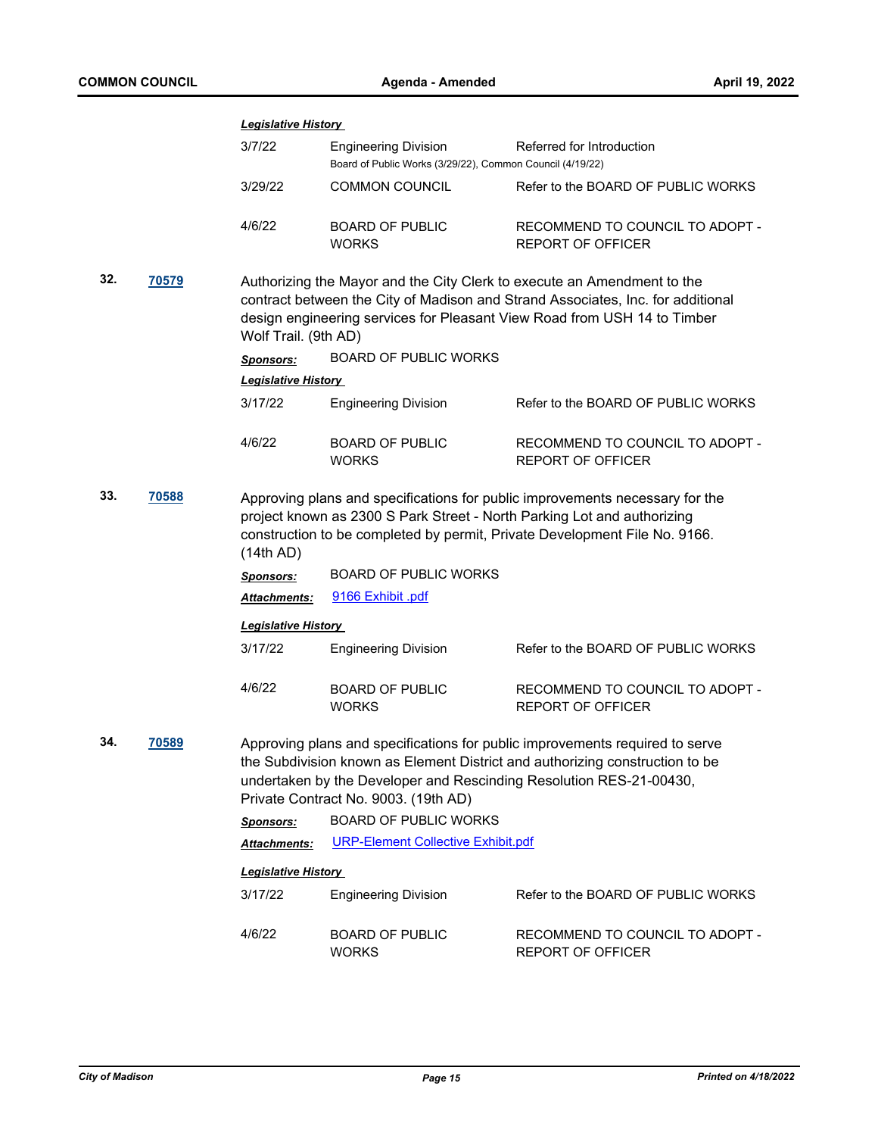|              |       | <b>Legislative History</b>                                                                                                                                                                                                                                     |                                                                                          |                                                                                                                                                                                                                                     |  |
|--------------|-------|----------------------------------------------------------------------------------------------------------------------------------------------------------------------------------------------------------------------------------------------------------------|------------------------------------------------------------------------------------------|-------------------------------------------------------------------------------------------------------------------------------------------------------------------------------------------------------------------------------------|--|
|              |       | 3/7/22                                                                                                                                                                                                                                                         | <b>Engineering Division</b><br>Board of Public Works (3/29/22), Common Council (4/19/22) | Referred for Introduction                                                                                                                                                                                                           |  |
|              |       | 3/29/22                                                                                                                                                                                                                                                        | <b>COMMON COUNCIL</b>                                                                    | Refer to the BOARD OF PUBLIC WORKS                                                                                                                                                                                                  |  |
|              |       | 4/6/22                                                                                                                                                                                                                                                         | <b>BOARD OF PUBLIC</b><br><b>WORKS</b>                                                   | RECOMMEND TO COUNCIL TO ADOPT -<br><b>REPORT OF OFFICER</b>                                                                                                                                                                         |  |
| 32.<br>70579 |       | Authorizing the Mayor and the City Clerk to execute an Amendment to the<br>contract between the City of Madison and Strand Associates, Inc. for additional<br>design engineering services for Pleasant View Road from USH 14 to Timber<br>Wolf Trail. (9th AD) |                                                                                          |                                                                                                                                                                                                                                     |  |
|              |       | Sponsors:                                                                                                                                                                                                                                                      | <b>BOARD OF PUBLIC WORKS</b>                                                             |                                                                                                                                                                                                                                     |  |
|              |       | <b>Legislative History</b>                                                                                                                                                                                                                                     |                                                                                          |                                                                                                                                                                                                                                     |  |
|              |       | 3/17/22                                                                                                                                                                                                                                                        | <b>Engineering Division</b>                                                              | Refer to the BOARD OF PUBLIC WORKS                                                                                                                                                                                                  |  |
|              |       | 4/6/22                                                                                                                                                                                                                                                         | <b>BOARD OF PUBLIC</b><br><b>WORKS</b>                                                   | RECOMMEND TO COUNCIL TO ADOPT -<br><b>REPORT OF OFFICER</b>                                                                                                                                                                         |  |
| 33.<br>70588 |       | Approving plans and specifications for public improvements necessary for the<br>project known as 2300 S Park Street - North Parking Lot and authorizing<br>construction to be completed by permit, Private Development File No. 9166.<br>(14th AD)             |                                                                                          |                                                                                                                                                                                                                                     |  |
|              |       | <b>Sponsors:</b>                                                                                                                                                                                                                                               | <b>BOARD OF PUBLIC WORKS</b>                                                             |                                                                                                                                                                                                                                     |  |
|              |       | Attachments:                                                                                                                                                                                                                                                   | 9166 Exhibit .pdf                                                                        |                                                                                                                                                                                                                                     |  |
|              |       | <b>Legislative History</b>                                                                                                                                                                                                                                     |                                                                                          |                                                                                                                                                                                                                                     |  |
|              |       | 3/17/22                                                                                                                                                                                                                                                        | <b>Engineering Division</b>                                                              | Refer to the BOARD OF PUBLIC WORKS                                                                                                                                                                                                  |  |
|              |       | 4/6/22                                                                                                                                                                                                                                                         | <b>BOARD OF PUBLIC</b><br><b>WORKS</b>                                                   | RECOMMEND TO COUNCIL TO ADOPT -<br><b>REPORT OF OFFICER</b>                                                                                                                                                                         |  |
| 34.          | 70589 |                                                                                                                                                                                                                                                                | Private Contract No. 9003. (19th AD)                                                     | Approving plans and specifications for public improvements required to serve<br>the Subdivision known as Element District and authorizing construction to be<br>undertaken by the Developer and Rescinding Resolution RES-21-00430, |  |
|              |       | <b>Sponsors:</b>                                                                                                                                                                                                                                               | <b>BOARD OF PUBLIC WORKS</b>                                                             |                                                                                                                                                                                                                                     |  |
|              |       | <b>Attachments:</b>                                                                                                                                                                                                                                            | <b>URP-Element Collective Exhibit.pdf</b>                                                |                                                                                                                                                                                                                                     |  |
|              |       | <b>Legislative History</b>                                                                                                                                                                                                                                     |                                                                                          |                                                                                                                                                                                                                                     |  |
|              |       | 3/17/22                                                                                                                                                                                                                                                        | <b>Engineering Division</b>                                                              | Refer to the BOARD OF PUBLIC WORKS                                                                                                                                                                                                  |  |
|              |       | 4/6/22                                                                                                                                                                                                                                                         | <b>BOARD OF PUBLIC</b><br><b>WORKS</b>                                                   | RECOMMEND TO COUNCIL TO ADOPT -<br><b>REPORT OF OFFICER</b>                                                                                                                                                                         |  |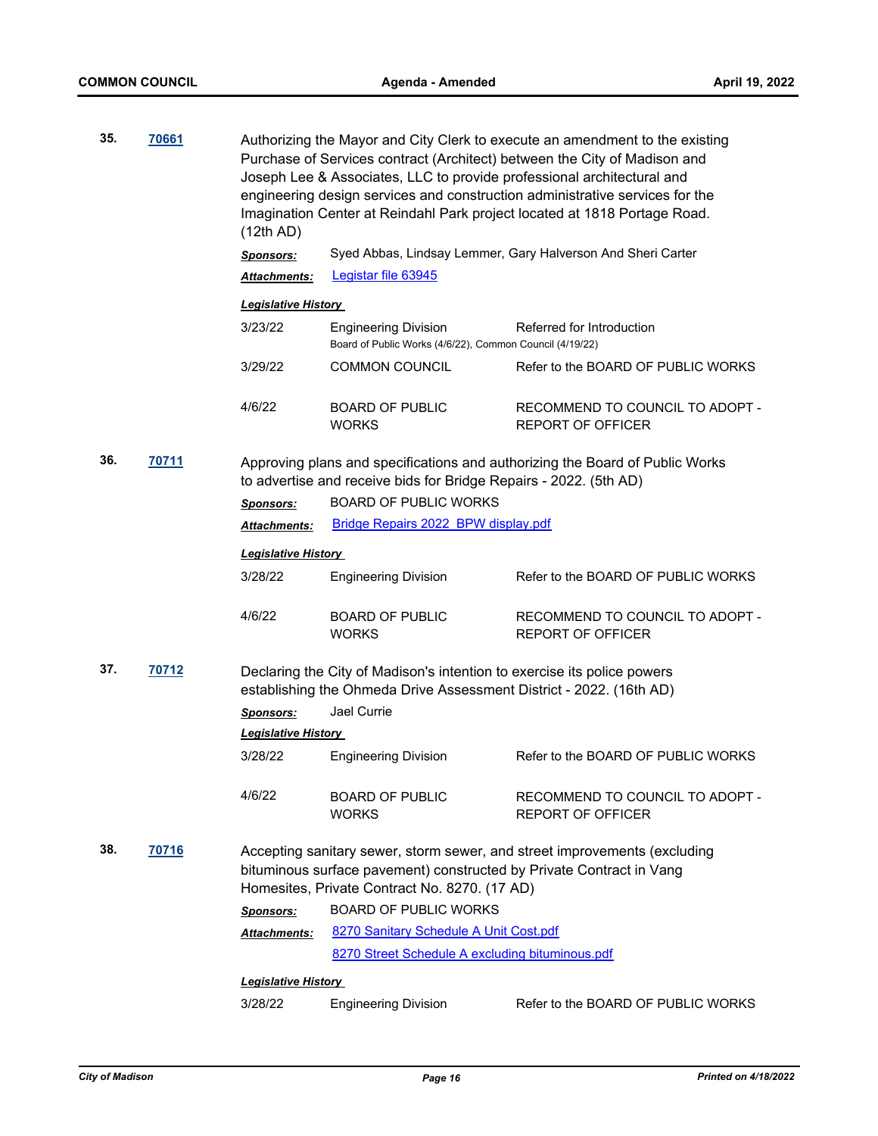| 35. | 70661 | (12th AD)                                                                                                                                                                                          | Authorizing the Mayor and City Clerk to execute an amendment to the existing<br>Purchase of Services contract (Architect) between the City of Madison and<br>Joseph Lee & Associates, LLC to provide professional architectural and<br>engineering design services and construction administrative services for the<br>Imagination Center at Reindahl Park project located at 1818 Portage Road. |                                                             |  |
|-----|-------|----------------------------------------------------------------------------------------------------------------------------------------------------------------------------------------------------|--------------------------------------------------------------------------------------------------------------------------------------------------------------------------------------------------------------------------------------------------------------------------------------------------------------------------------------------------------------------------------------------------|-------------------------------------------------------------|--|
|     |       | <b>Sponsors:</b>                                                                                                                                                                                   |                                                                                                                                                                                                                                                                                                                                                                                                  | Syed Abbas, Lindsay Lemmer, Gary Halverson And Sheri Carter |  |
|     |       | Attachments:                                                                                                                                                                                       | Legistar file 63945                                                                                                                                                                                                                                                                                                                                                                              |                                                             |  |
|     |       | <b>Legislative History</b>                                                                                                                                                                         |                                                                                                                                                                                                                                                                                                                                                                                                  |                                                             |  |
|     |       | 3/23/22                                                                                                                                                                                            | <b>Engineering Division</b><br>Board of Public Works (4/6/22), Common Council (4/19/22)                                                                                                                                                                                                                                                                                                          | Referred for Introduction                                   |  |
|     |       | 3/29/22                                                                                                                                                                                            | COMMON COUNCIL                                                                                                                                                                                                                                                                                                                                                                                   | Refer to the BOARD OF PUBLIC WORKS                          |  |
|     |       | 4/6/22                                                                                                                                                                                             | <b>BOARD OF PUBLIC</b><br><b>WORKS</b>                                                                                                                                                                                                                                                                                                                                                           | RECOMMEND TO COUNCIL TO ADOPT -<br><b>REPORT OF OFFICER</b> |  |
| 36. | 70711 | Approving plans and specifications and authorizing the Board of Public Works<br>to advertise and receive bids for Bridge Repairs - 2022. (5th AD)                                                  |                                                                                                                                                                                                                                                                                                                                                                                                  |                                                             |  |
|     |       | <b>Sponsors:</b>                                                                                                                                                                                   | <b>BOARD OF PUBLIC WORKS</b>                                                                                                                                                                                                                                                                                                                                                                     |                                                             |  |
|     |       | Attachments:                                                                                                                                                                                       | Bridge Repairs 2022 BPW display.pdf                                                                                                                                                                                                                                                                                                                                                              |                                                             |  |
|     |       | <b>Legislative History</b>                                                                                                                                                                         |                                                                                                                                                                                                                                                                                                                                                                                                  |                                                             |  |
|     |       | 3/28/22                                                                                                                                                                                            | <b>Engineering Division</b>                                                                                                                                                                                                                                                                                                                                                                      | Refer to the BOARD OF PUBLIC WORKS                          |  |
|     |       | 4/6/22                                                                                                                                                                                             | <b>BOARD OF PUBLIC</b><br><b>WORKS</b>                                                                                                                                                                                                                                                                                                                                                           | RECOMMEND TO COUNCIL TO ADOPT -<br><b>REPORT OF OFFICER</b> |  |
| 37. | 70712 | Declaring the City of Madison's intention to exercise its police powers<br>establishing the Ohmeda Drive Assessment District - 2022. (16th AD)                                                     |                                                                                                                                                                                                                                                                                                                                                                                                  |                                                             |  |
|     |       | <b>Sponsors:</b>                                                                                                                                                                                   | Jael Currie                                                                                                                                                                                                                                                                                                                                                                                      |                                                             |  |
|     |       | <b>Legislative History</b>                                                                                                                                                                         |                                                                                                                                                                                                                                                                                                                                                                                                  |                                                             |  |
|     |       | 3/28/22                                                                                                                                                                                            | <b>Engineering Division</b>                                                                                                                                                                                                                                                                                                                                                                      | Refer to the BOARD OF PUBLIC WORKS                          |  |
|     |       | 4/6/22                                                                                                                                                                                             | <b>BOARD OF PUBLIC</b><br><b>WORKS</b>                                                                                                                                                                                                                                                                                                                                                           | RECOMMEND TO COUNCIL TO ADOPT -<br><b>REPORT OF OFFICER</b> |  |
| 38. | 70716 | Accepting sanitary sewer, storm sewer, and street improvements (excluding<br>bituminous surface pavement) constructed by Private Contract in Vang<br>Homesites, Private Contract No. 8270. (17 AD) |                                                                                                                                                                                                                                                                                                                                                                                                  |                                                             |  |
|     |       | <b>Sponsors:</b>                                                                                                                                                                                   | <b>BOARD OF PUBLIC WORKS</b>                                                                                                                                                                                                                                                                                                                                                                     |                                                             |  |
|     |       | Attachments:                                                                                                                                                                                       | 8270 Sanitary Schedule A Unit Cost.pdf                                                                                                                                                                                                                                                                                                                                                           |                                                             |  |
|     |       |                                                                                                                                                                                                    | 8270 Street Schedule A excluding bituminous.pdf                                                                                                                                                                                                                                                                                                                                                  |                                                             |  |
|     |       | <b>Legislative History</b>                                                                                                                                                                         |                                                                                                                                                                                                                                                                                                                                                                                                  |                                                             |  |
|     |       | 3/28/22                                                                                                                                                                                            | <b>Engineering Division</b>                                                                                                                                                                                                                                                                                                                                                                      | Refer to the BOARD OF PUBLIC WORKS                          |  |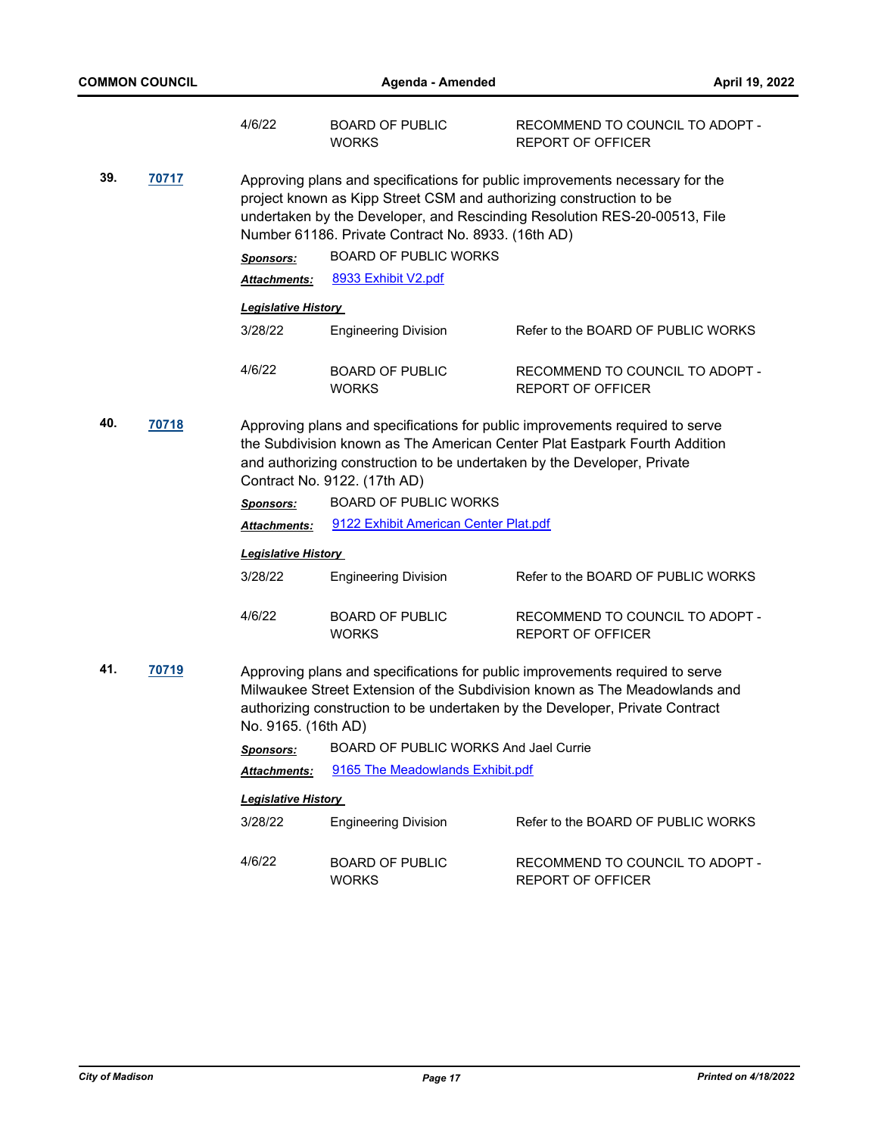|     |                                                                                                                                                                                                                                                                                | 4/6/22                     | <b>BOARD OF PUBLIC</b><br><b>WORKS</b>                                                                                                                                                                                                                                                 | RECOMMEND TO COUNCIL TO ADOPT -<br><b>REPORT OF OFFICER</b>                                                                                                                                                                                |  |
|-----|--------------------------------------------------------------------------------------------------------------------------------------------------------------------------------------------------------------------------------------------------------------------------------|----------------------------|----------------------------------------------------------------------------------------------------------------------------------------------------------------------------------------------------------------------------------------------------------------------------------------|--------------------------------------------------------------------------------------------------------------------------------------------------------------------------------------------------------------------------------------------|--|
| 39. | 70717                                                                                                                                                                                                                                                                          |                            | Approving plans and specifications for public improvements necessary for the<br>project known as Kipp Street CSM and authorizing construction to be<br>undertaken by the Developer, and Rescinding Resolution RES-20-00513, File<br>Number 61186. Private Contract No. 8933. (16th AD) |                                                                                                                                                                                                                                            |  |
|     |                                                                                                                                                                                                                                                                                | <b>Sponsors:</b>           | <b>BOARD OF PUBLIC WORKS</b>                                                                                                                                                                                                                                                           |                                                                                                                                                                                                                                            |  |
|     |                                                                                                                                                                                                                                                                                | <b>Attachments:</b>        | 8933 Exhibit V2.pdf                                                                                                                                                                                                                                                                    |                                                                                                                                                                                                                                            |  |
|     |                                                                                                                                                                                                                                                                                | <b>Legislative History</b> |                                                                                                                                                                                                                                                                                        |                                                                                                                                                                                                                                            |  |
|     |                                                                                                                                                                                                                                                                                | 3/28/22                    | <b>Engineering Division</b>                                                                                                                                                                                                                                                            | Refer to the BOARD OF PUBLIC WORKS                                                                                                                                                                                                         |  |
|     |                                                                                                                                                                                                                                                                                | 4/6/22                     | <b>BOARD OF PUBLIC</b><br><b>WORKS</b>                                                                                                                                                                                                                                                 | RECOMMEND TO COUNCIL TO ADOPT -<br><b>REPORT OF OFFICER</b>                                                                                                                                                                                |  |
| 40. | 70718<br>Approving plans and specifications for public improvements required to serve<br>the Subdivision known as The American Center Plat Eastpark Fourth Addition<br>and authorizing construction to be undertaken by the Developer, Private<br>Contract No. 9122. (17th AD) |                            |                                                                                                                                                                                                                                                                                        |                                                                                                                                                                                                                                            |  |
|     |                                                                                                                                                                                                                                                                                | <b>Sponsors:</b>           | <b>BOARD OF PUBLIC WORKS</b>                                                                                                                                                                                                                                                           |                                                                                                                                                                                                                                            |  |
|     |                                                                                                                                                                                                                                                                                | <b>Attachments:</b>        | 9122 Exhibit American Center Plat.pdf                                                                                                                                                                                                                                                  |                                                                                                                                                                                                                                            |  |
|     |                                                                                                                                                                                                                                                                                | <b>Legislative History</b> |                                                                                                                                                                                                                                                                                        |                                                                                                                                                                                                                                            |  |
|     |                                                                                                                                                                                                                                                                                | 3/28/22                    | <b>Engineering Division</b>                                                                                                                                                                                                                                                            | Refer to the BOARD OF PUBLIC WORKS                                                                                                                                                                                                         |  |
|     |                                                                                                                                                                                                                                                                                | 4/6/22                     | <b>BOARD OF PUBLIC</b><br><b>WORKS</b>                                                                                                                                                                                                                                                 | RECOMMEND TO COUNCIL TO ADOPT -<br><b>REPORT OF OFFICER</b>                                                                                                                                                                                |  |
| 41. | 70719                                                                                                                                                                                                                                                                          | No. 9165. (16th AD)        |                                                                                                                                                                                                                                                                                        | Approving plans and specifications for public improvements required to serve<br>Milwaukee Street Extension of the Subdivision known as The Meadowlands and<br>authorizing construction to be undertaken by the Developer, Private Contract |  |
|     |                                                                                                                                                                                                                                                                                | <b>Sponsors:</b>           | BOARD OF PUBLIC WORKS And Jael Currie                                                                                                                                                                                                                                                  |                                                                                                                                                                                                                                            |  |
|     |                                                                                                                                                                                                                                                                                | <b>Attachments:</b>        | 9165 The Meadowlands Exhibit.pdf                                                                                                                                                                                                                                                       |                                                                                                                                                                                                                                            |  |
|     |                                                                                                                                                                                                                                                                                | <b>Legislative History</b> |                                                                                                                                                                                                                                                                                        |                                                                                                                                                                                                                                            |  |
|     |                                                                                                                                                                                                                                                                                | 3/28/22                    | <b>Engineering Division</b>                                                                                                                                                                                                                                                            | Refer to the BOARD OF PUBLIC WORKS                                                                                                                                                                                                         |  |

| 4/6/22 | BOARD OF PUBLIC | RECOMMEND TO COUNCIL TO ADOPT - |
|--------|-----------------|---------------------------------|
|        | <b>WORKS</b>    | REPORT OF OFFICER               |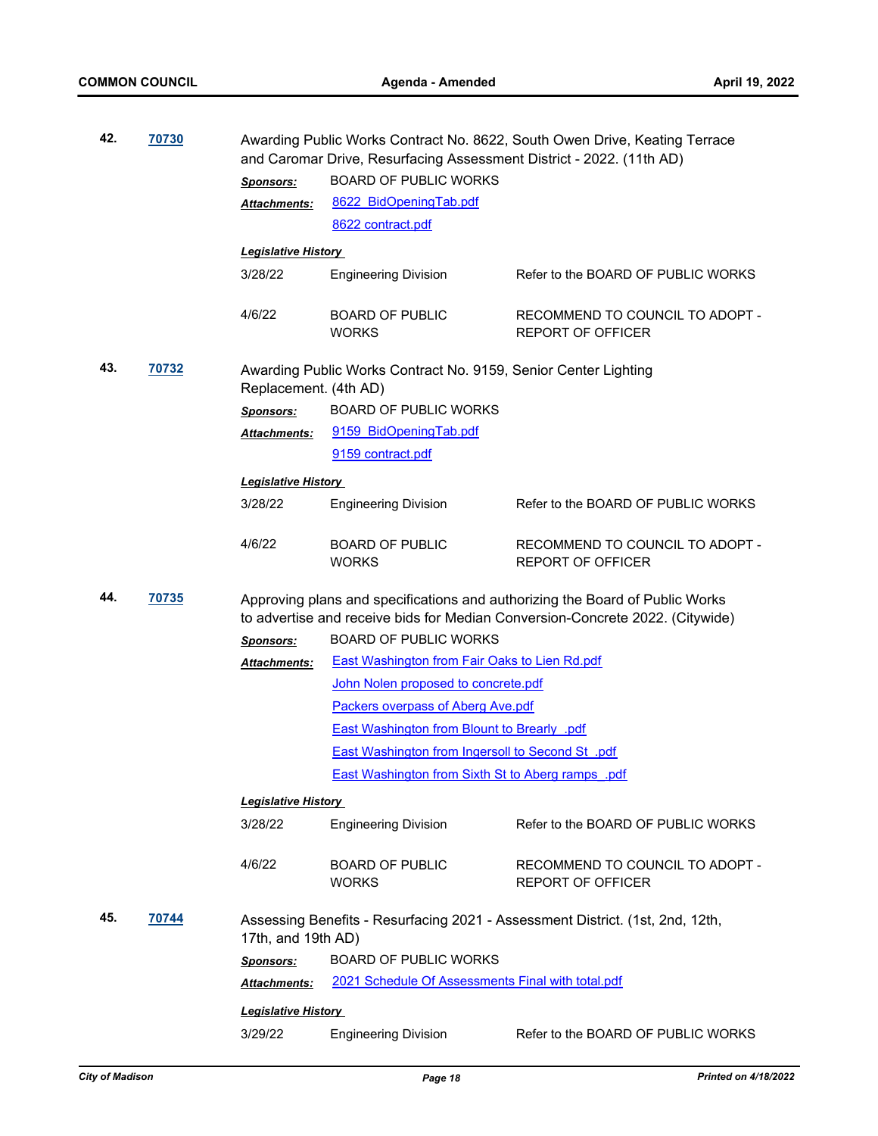| 42.          | 70730 |                                  | Awarding Public Works Contract No. 8622, South Owen Drive, Keating Terrace<br>and Caromar Drive, Resurfacing Assessment District - 2022. (11th AD) |                                                                                                                                                               |  |  |
|--------------|-------|----------------------------------|----------------------------------------------------------------------------------------------------------------------------------------------------|---------------------------------------------------------------------------------------------------------------------------------------------------------------|--|--|
|              |       |                                  | <b>BOARD OF PUBLIC WORKS</b>                                                                                                                       |                                                                                                                                                               |  |  |
|              |       | <b>Sponsors:</b><br>Attachments: | 8622_BidOpeningTab.pdf                                                                                                                             |                                                                                                                                                               |  |  |
|              |       |                                  | 8622 contract.pdf                                                                                                                                  |                                                                                                                                                               |  |  |
|              |       |                                  |                                                                                                                                                    |                                                                                                                                                               |  |  |
|              |       | <b>Legislative History</b>       |                                                                                                                                                    |                                                                                                                                                               |  |  |
|              |       | 3/28/22                          | <b>Engineering Division</b>                                                                                                                        | Refer to the BOARD OF PUBLIC WORKS                                                                                                                            |  |  |
|              |       | 4/6/22                           | <b>BOARD OF PUBLIC</b><br><b>WORKS</b>                                                                                                             | RECOMMEND TO COUNCIL TO ADOPT -<br><b>REPORT OF OFFICER</b>                                                                                                   |  |  |
| 43.<br>70732 |       | Replacement. (4th AD)            | Awarding Public Works Contract No. 9159, Senior Center Lighting                                                                                    |                                                                                                                                                               |  |  |
|              |       | <b>Sponsors:</b>                 | <b>BOARD OF PUBLIC WORKS</b>                                                                                                                       |                                                                                                                                                               |  |  |
|              |       | Attachments:                     | 9159 BidOpeningTab.pdf                                                                                                                             |                                                                                                                                                               |  |  |
|              |       |                                  | 9159 contract.pdf                                                                                                                                  |                                                                                                                                                               |  |  |
|              |       | <b>Legislative History</b>       |                                                                                                                                                    |                                                                                                                                                               |  |  |
|              |       | 3/28/22                          | <b>Engineering Division</b>                                                                                                                        | Refer to the BOARD OF PUBLIC WORKS                                                                                                                            |  |  |
|              |       | 4/6/22                           | <b>BOARD OF PUBLIC</b><br><b>WORKS</b>                                                                                                             | RECOMMEND TO COUNCIL TO ADOPT -<br><b>REPORT OF OFFICER</b>                                                                                                   |  |  |
| 44.          | 70735 |                                  |                                                                                                                                                    | Approving plans and specifications and authorizing the Board of Public Works<br>to advertise and receive bids for Median Conversion-Concrete 2022. (Citywide) |  |  |
|              |       | <b>Sponsors:</b>                 | <b>BOARD OF PUBLIC WORKS</b>                                                                                                                       |                                                                                                                                                               |  |  |
|              |       | Attachments:                     | <b>East Washington from Fair Oaks to Lien Rd.pdf</b>                                                                                               |                                                                                                                                                               |  |  |
|              |       |                                  | John Nolen proposed to concrete.pdf                                                                                                                |                                                                                                                                                               |  |  |
|              |       |                                  | <b>Packers overpass of Aberg Ave.pdf</b>                                                                                                           |                                                                                                                                                               |  |  |
|              |       |                                  | <b>East Washington from Blount to Brearly .pdf</b>                                                                                                 |                                                                                                                                                               |  |  |
|              |       |                                  | <b>East Washington from Ingersoll to Second St. pdf</b>                                                                                            |                                                                                                                                                               |  |  |
|              |       |                                  | <b>East Washington from Sixth St to Aberg ramps pdf</b>                                                                                            |                                                                                                                                                               |  |  |
|              |       | <b>Legislative History</b>       |                                                                                                                                                    |                                                                                                                                                               |  |  |
|              |       | 3/28/22                          | <b>Engineering Division</b>                                                                                                                        | Refer to the BOARD OF PUBLIC WORKS                                                                                                                            |  |  |
|              |       | 4/6/22                           | <b>BOARD OF PUBLIC</b><br><b>WORKS</b>                                                                                                             | RECOMMEND TO COUNCIL TO ADOPT -<br><b>REPORT OF OFFICER</b>                                                                                                   |  |  |
| 45.          | 70744 | 17th, and 19th AD)               |                                                                                                                                                    | Assessing Benefits - Resurfacing 2021 - Assessment District. (1st, 2nd, 12th,                                                                                 |  |  |
|              |       | <b>Sponsors:</b>                 | <b>BOARD OF PUBLIC WORKS</b>                                                                                                                       |                                                                                                                                                               |  |  |
|              |       | Attachments:                     | 2021 Schedule Of Assessments Final with total.pdf                                                                                                  |                                                                                                                                                               |  |  |
|              |       | <b>Legislative History</b>       |                                                                                                                                                    |                                                                                                                                                               |  |  |
|              |       | 3/29/22                          | <b>Engineering Division</b>                                                                                                                        | Refer to the BOARD OF PUBLIC WORKS                                                                                                                            |  |  |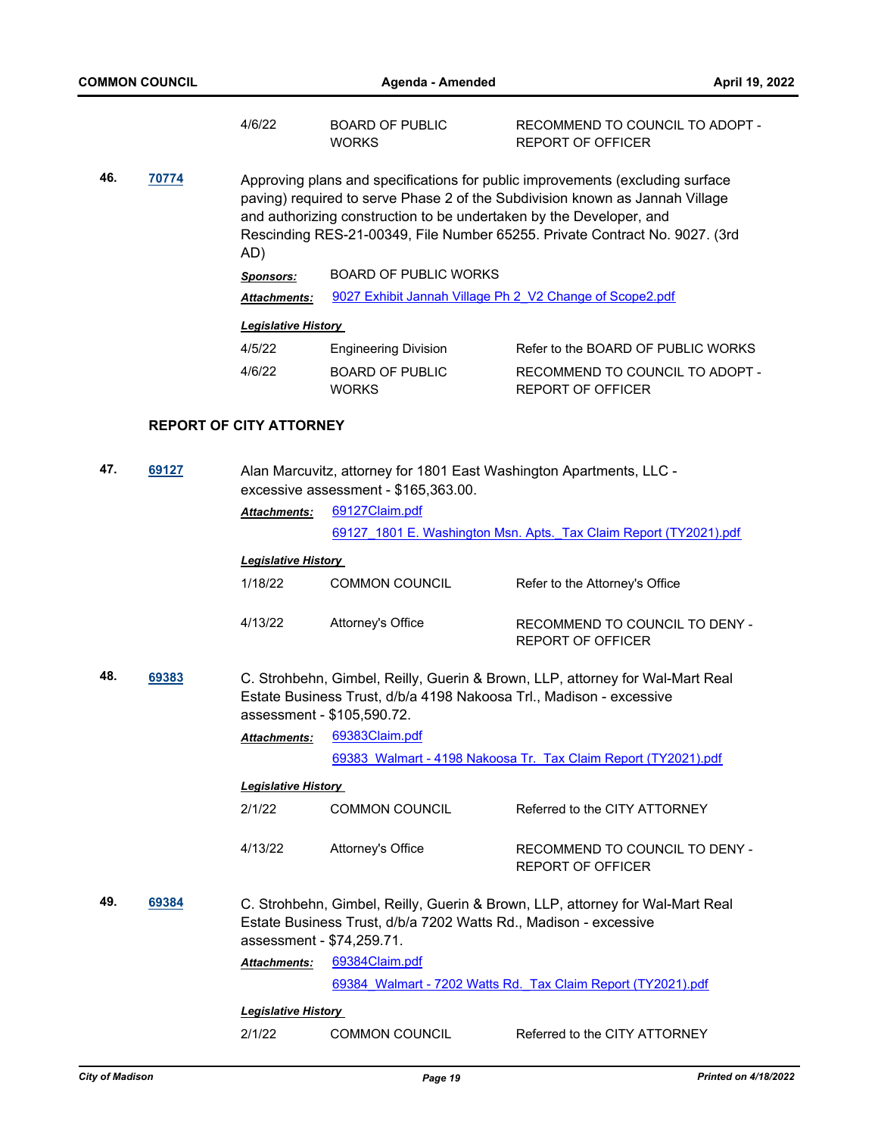|              |       | 4/6/22                                                                                                                                                                                                                                                                                                                     | <b>BOARD OF PUBLIC</b><br><b>WORKS</b>                                                                                                            | RECOMMEND TO COUNCIL TO ADOPT -<br><b>REPORT OF OFFICER</b>       |  |
|--------------|-------|----------------------------------------------------------------------------------------------------------------------------------------------------------------------------------------------------------------------------------------------------------------------------------------------------------------------------|---------------------------------------------------------------------------------------------------------------------------------------------------|-------------------------------------------------------------------|--|
| 46.          | 70774 | Approving plans and specifications for public improvements (excluding surface<br>paving) required to serve Phase 2 of the Subdivision known as Jannah Village<br>and authorizing construction to be undertaken by the Developer, and<br>Rescinding RES-21-00349, File Number 65255. Private Contract No. 9027. (3rd<br>AD) |                                                                                                                                                   |                                                                   |  |
|              |       | Sponsors:                                                                                                                                                                                                                                                                                                                  | <b>BOARD OF PUBLIC WORKS</b>                                                                                                                      |                                                                   |  |
|              |       | <b>Attachments:</b>                                                                                                                                                                                                                                                                                                        |                                                                                                                                                   | 9027 Exhibit Jannah Village Ph 2 V2 Change of Scope2.pdf          |  |
|              |       | <b>Legislative History</b>                                                                                                                                                                                                                                                                                                 |                                                                                                                                                   |                                                                   |  |
|              |       | 4/5/22                                                                                                                                                                                                                                                                                                                     | <b>Engineering Division</b>                                                                                                                       | Refer to the BOARD OF PUBLIC WORKS                                |  |
|              |       | 4/6/22                                                                                                                                                                                                                                                                                                                     | <b>BOARD OF PUBLIC</b><br><b>WORKS</b>                                                                                                            | RECOMMEND TO COUNCIL TO ADOPT -<br><b>REPORT OF OFFICER</b>       |  |
|              |       | <b>REPORT OF CITY ATTORNEY</b>                                                                                                                                                                                                                                                                                             |                                                                                                                                                   |                                                                   |  |
| 47.          | 69127 |                                                                                                                                                                                                                                                                                                                            | Alan Marcuvitz, attorney for 1801 East Washington Apartments, LLC -<br>excessive assessment - \$165,363.00.                                       |                                                                   |  |
|              |       | Attachments:                                                                                                                                                                                                                                                                                                               | 69127Claim.pdf                                                                                                                                    |                                                                   |  |
|              |       |                                                                                                                                                                                                                                                                                                                            |                                                                                                                                                   | 69127 1801 E. Washington Msn. Apts. Tax Claim Report (TY2021).pdf |  |
|              |       | <b>Legislative History</b>                                                                                                                                                                                                                                                                                                 |                                                                                                                                                   |                                                                   |  |
|              |       | 1/18/22                                                                                                                                                                                                                                                                                                                    | <b>COMMON COUNCIL</b>                                                                                                                             | Refer to the Attorney's Office                                    |  |
|              |       | 4/13/22                                                                                                                                                                                                                                                                                                                    | Attorney's Office                                                                                                                                 | RECOMMEND TO COUNCIL TO DENY -<br><b>REPORT OF OFFICER</b>        |  |
| 48.          | 69383 | C. Strohbehn, Gimbel, Reilly, Guerin & Brown, LLP, attorney for Wal-Mart Real<br>Estate Business Trust, d/b/a 4198 Nakoosa Trl., Madison - excessive<br>assessment - \$105,590.72.                                                                                                                                         |                                                                                                                                                   |                                                                   |  |
|              |       | Attachments:                                                                                                                                                                                                                                                                                                               | 69383Claim.pdf                                                                                                                                    |                                                                   |  |
|              |       |                                                                                                                                                                                                                                                                                                                            |                                                                                                                                                   | 69383 Walmart - 4198 Nakoosa Tr. Tax Claim Report (TY2021).pdf    |  |
|              |       | <b>Legislative History</b>                                                                                                                                                                                                                                                                                                 |                                                                                                                                                   |                                                                   |  |
|              |       | 2/1/22                                                                                                                                                                                                                                                                                                                     | COMMON COUNCIL                                                                                                                                    | Referred to the CITY ATTORNEY                                     |  |
|              |       | 4/13/22                                                                                                                                                                                                                                                                                                                    | Attorney's Office                                                                                                                                 | RECOMMEND TO COUNCIL TO DENY -<br><b>REPORT OF OFFICER</b>        |  |
| 49.<br>69384 |       | assessment - \$74,259.71.                                                                                                                                                                                                                                                                                                  | C. Strohbehn, Gimbel, Reilly, Guerin & Brown, LLP, attorney for Wal-Mart Real<br>Estate Business Trust, d/b/a 7202 Watts Rd., Madison - excessive |                                                                   |  |
|              |       | Attachments:                                                                                                                                                                                                                                                                                                               | 69384Claim.pdf                                                                                                                                    |                                                                   |  |
|              |       |                                                                                                                                                                                                                                                                                                                            |                                                                                                                                                   | 69384 Walmart - 7202 Watts Rd. Tax Claim Report (TY2021).pdf      |  |
|              |       | <b>Legislative History</b>                                                                                                                                                                                                                                                                                                 |                                                                                                                                                   |                                                                   |  |
|              |       | 2/1/22                                                                                                                                                                                                                                                                                                                     | <b>COMMON COUNCIL</b>                                                                                                                             | Referred to the CITY ATTORNEY                                     |  |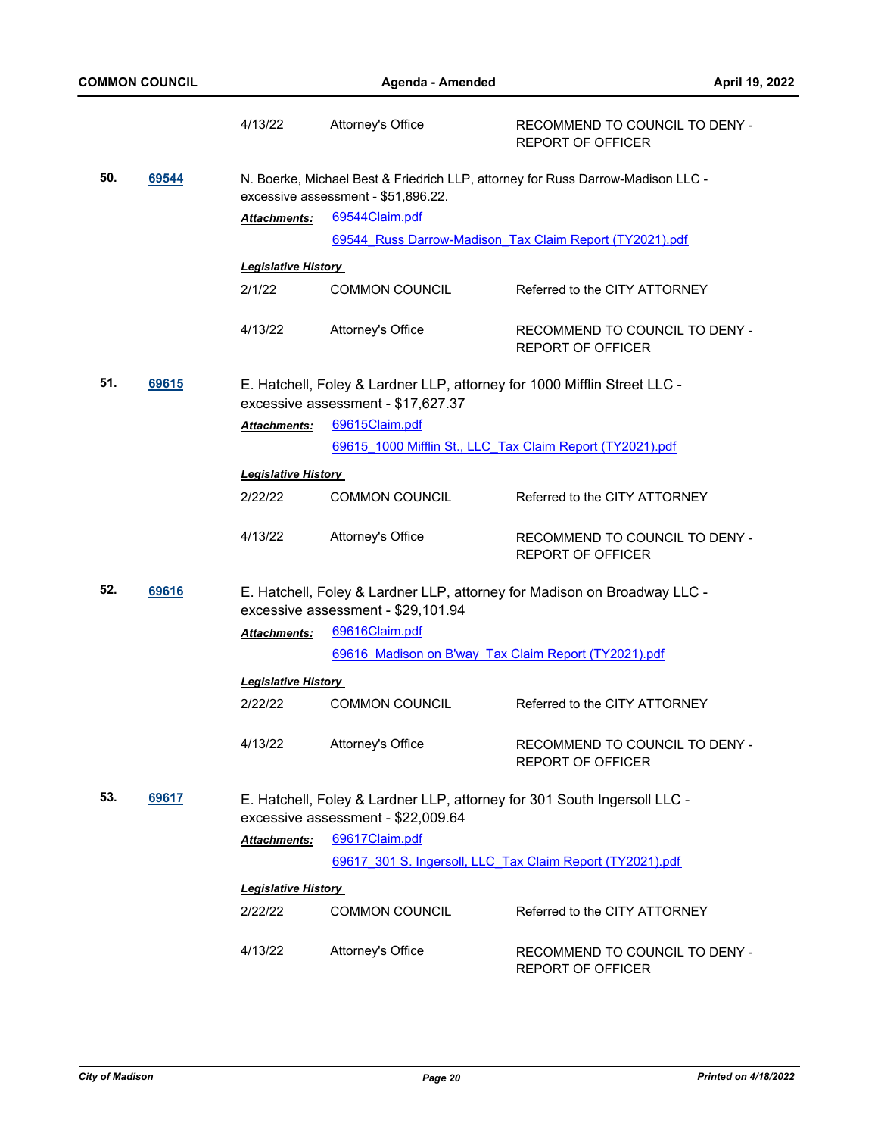|                                                                                                                                        |       | 4/13/22                    | Attorney's Office                                                                                              | RECOMMEND TO COUNCIL TO DENY -<br><b>REPORT OF OFFICER</b>               |
|----------------------------------------------------------------------------------------------------------------------------------------|-------|----------------------------|----------------------------------------------------------------------------------------------------------------|--------------------------------------------------------------------------|
| 50.<br>69544<br>N. Boerke, Michael Best & Friedrich LLP, attorney for Russ Darrow-Madison LLC -<br>excessive assessment - \$51,896.22. |       |                            |                                                                                                                |                                                                          |
|                                                                                                                                        |       | Attachments:               | 69544Claim.pdf                                                                                                 |                                                                          |
|                                                                                                                                        |       |                            |                                                                                                                | 69544 Russ Darrow-Madison Tax Claim Report (TY2021).pdf                  |
|                                                                                                                                        |       | <b>Legislative History</b> |                                                                                                                |                                                                          |
|                                                                                                                                        |       | 2/1/22                     | <b>COMMON COUNCIL</b>                                                                                          | Referred to the CITY ATTORNEY                                            |
|                                                                                                                                        |       | 4/13/22                    | Attorney's Office                                                                                              | RECOMMEND TO COUNCIL TO DENY -<br><b>REPORT OF OFFICER</b>               |
| 51.                                                                                                                                    | 69615 |                            | E. Hatchell, Foley & Lardner LLP, attorney for 1000 Mifflin Street LLC -<br>excessive assessment - \$17,627.37 |                                                                          |
|                                                                                                                                        |       | Attachments:               | 69615Claim.pdf                                                                                                 |                                                                          |
|                                                                                                                                        |       |                            | 69615 1000 Mifflin St., LLC Tax Claim Report (TY2021).pdf                                                      |                                                                          |
|                                                                                                                                        |       | <b>Legislative History</b> |                                                                                                                |                                                                          |
|                                                                                                                                        |       | 2/22/22                    | <b>COMMON COUNCIL</b>                                                                                          | Referred to the CITY ATTORNEY                                            |
|                                                                                                                                        |       |                            |                                                                                                                |                                                                          |
|                                                                                                                                        |       | 4/13/22                    | Attorney's Office                                                                                              | RECOMMEND TO COUNCIL TO DENY -<br><b>REPORT OF OFFICER</b>               |
| 52.                                                                                                                                    | 69616 |                            | excessive assessment - \$29,101.94                                                                             | E. Hatchell, Foley & Lardner LLP, attorney for Madison on Broadway LLC - |
|                                                                                                                                        |       | Attachments:               | 69616Claim.pdf                                                                                                 |                                                                          |
|                                                                                                                                        |       |                            | 69616 Madison on B'way Tax Claim Report (TY2021).pdf                                                           |                                                                          |
|                                                                                                                                        |       | <b>Legislative History</b> |                                                                                                                |                                                                          |
|                                                                                                                                        |       | 2/22/22                    | <b>COMMON COUNCIL</b>                                                                                          | Referred to the CITY ATTORNEY                                            |
|                                                                                                                                        |       | 4/13/22                    | Attorney's Office                                                                                              | RECOMMEND TO COUNCIL TO DENY -<br><b>REPORT OF OFFICER</b>               |
| 53.                                                                                                                                    | 69617 |                            | E. Hatchell, Foley & Lardner LLP, attorney for 301 South Ingersoll LLC -<br>excessive assessment - \$22,009.64 |                                                                          |
|                                                                                                                                        |       | Attachments:               | 69617Claim.pdf                                                                                                 |                                                                          |
|                                                                                                                                        |       |                            | 69617 301 S. Ingersoll, LLC Tax Claim Report (TY2021).pdf                                                      |                                                                          |
|                                                                                                                                        |       | <b>Legislative History</b> |                                                                                                                |                                                                          |
|                                                                                                                                        |       | 2/22/22                    | <b>COMMON COUNCIL</b>                                                                                          | Referred to the CITY ATTORNEY                                            |
|                                                                                                                                        |       |                            |                                                                                                                |                                                                          |
|                                                                                                                                        |       | 4/13/22                    | Attorney's Office                                                                                              | RECOMMEND TO COUNCIL TO DENY -<br>REPORT OF OFFICER                      |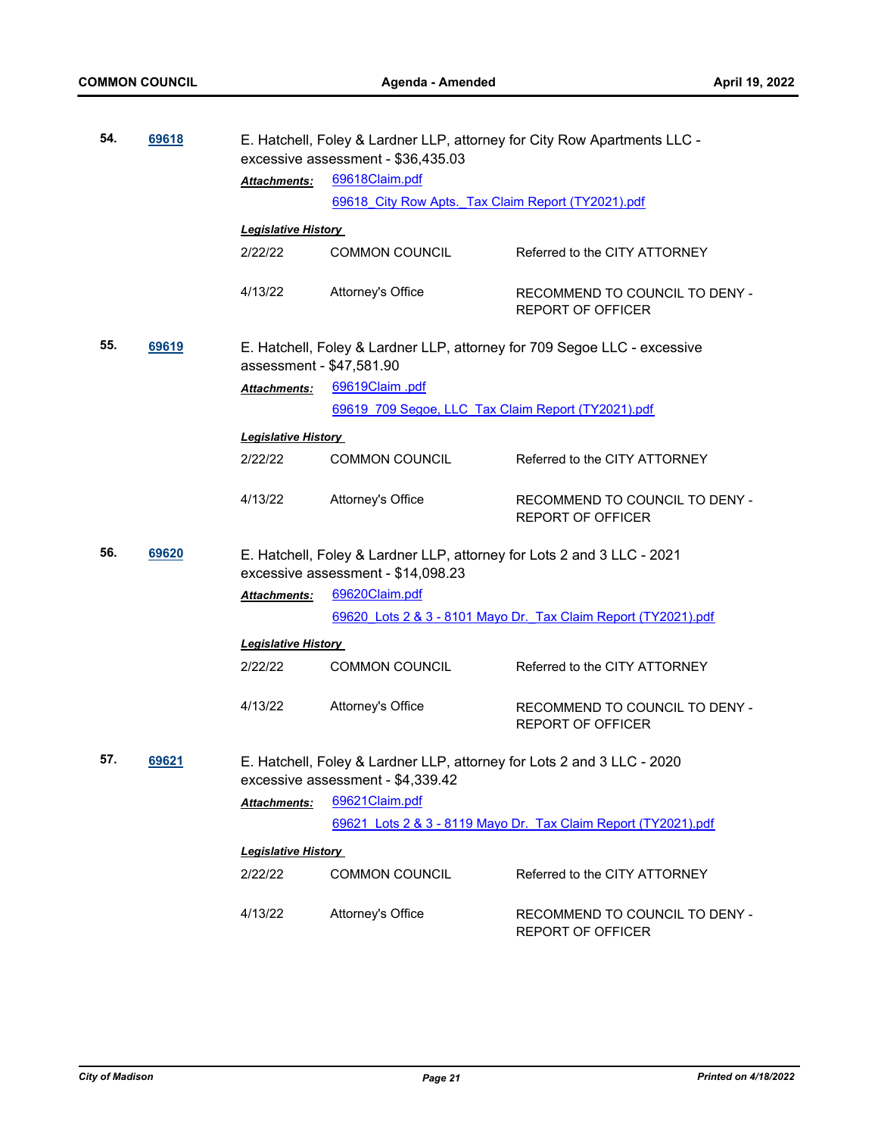| 54. | 69618 |                            | E. Hatchell, Foley & Lardner LLP, attorney for City Row Apartments LLC -<br>excessive assessment - \$36,435.03 |                                                                          |  |
|-----|-------|----------------------------|----------------------------------------------------------------------------------------------------------------|--------------------------------------------------------------------------|--|
|     |       | Attachments:               | 69618Claim.pdf                                                                                                 |                                                                          |  |
|     |       |                            | 69618 City Row Apts. Tax Claim Report (TY2021).pdf                                                             |                                                                          |  |
|     |       | <b>Legislative History</b> |                                                                                                                |                                                                          |  |
|     |       | 2/22/22                    | <b>COMMON COUNCIL</b>                                                                                          | Referred to the CITY ATTORNEY                                            |  |
|     |       | 4/13/22                    | Attorney's Office                                                                                              | RECOMMEND TO COUNCIL TO DENY -<br><b>REPORT OF OFFICER</b>               |  |
| 55. | 69619 | assessment - \$47,581.90   |                                                                                                                | E. Hatchell, Foley & Lardner LLP, attorney for 709 Segoe LLC - excessive |  |
|     |       | Attachments:               | 69619Claim.pdf                                                                                                 |                                                                          |  |
|     |       |                            | 69619 709 Segoe, LLC Tax Claim Report (TY2021).pdf                                                             |                                                                          |  |
|     |       | <b>Legislative History</b> |                                                                                                                |                                                                          |  |
|     |       | 2/22/22                    | <b>COMMON COUNCIL</b>                                                                                          | Referred to the CITY ATTORNEY                                            |  |
|     |       | 4/13/22                    | Attorney's Office                                                                                              | RECOMMEND TO COUNCIL TO DENY -<br><b>REPORT OF OFFICER</b>               |  |
| 56. | 69620 |                            | E. Hatchell, Foley & Lardner LLP, attorney for Lots 2 and 3 LLC - 2021<br>excessive assessment - \$14,098.23   |                                                                          |  |
|     |       | Attachments:               | 69620Claim.pdf                                                                                                 |                                                                          |  |
|     |       |                            |                                                                                                                | 69620 Lots 2 & 3 - 8101 Mayo Dr. Tax Claim Report (TY2021).pdf           |  |
|     |       | <b>Legislative History</b> |                                                                                                                |                                                                          |  |
|     |       | 2/22/22                    | <b>COMMON COUNCIL</b>                                                                                          | Referred to the CITY ATTORNEY                                            |  |
|     |       | 4/13/22                    | Attorney's Office                                                                                              | RECOMMEND TO COUNCIL TO DENY -<br><b>REPORT OF OFFICER</b>               |  |
| 57. | 69621 |                            | E. Hatchell, Foley & Lardner LLP, attorney for Lots 2 and 3 LLC - 2020<br>excessive assessment - \$4,339.42    |                                                                          |  |
|     |       | <b>Attachments:</b>        | 69621Claim.pdf                                                                                                 |                                                                          |  |
|     |       |                            |                                                                                                                | 69621 Lots 2 & 3 - 8119 Mayo Dr. Tax Claim Report (TY2021).pdf           |  |
|     |       | <b>Legislative History</b> |                                                                                                                |                                                                          |  |
|     |       | 2/22/22                    | <b>COMMON COUNCIL</b>                                                                                          | Referred to the CITY ATTORNEY                                            |  |
|     |       |                            |                                                                                                                |                                                                          |  |
|     |       | 4/13/22                    | Attorney's Office                                                                                              | RECOMMEND TO COUNCIL TO DENY -<br>REPORT OF OFFICER                      |  |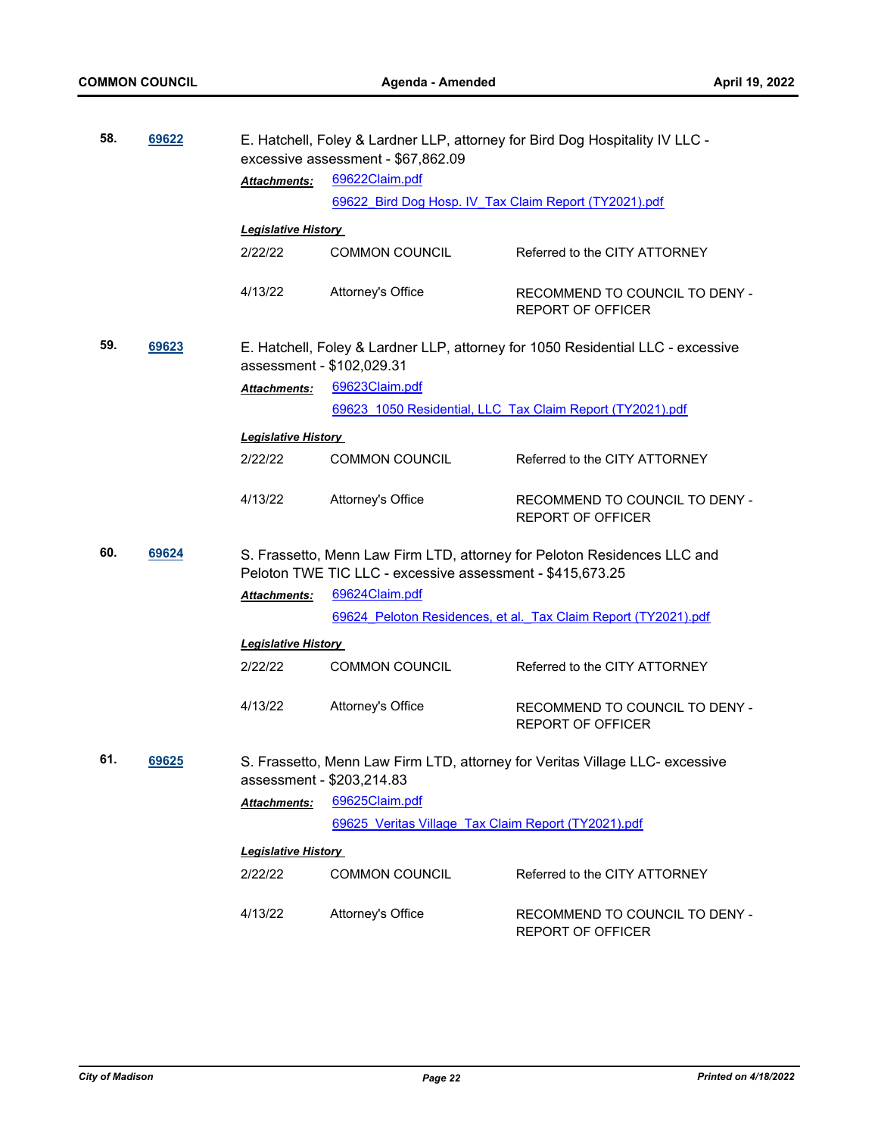| 58. | 69622 |                                                                                                              | E. Hatchell, Foley & Lardner LLP, attorney for Bird Dog Hospitality IV LLC -<br>excessive assessment - \$67,862.09 |                                                                              |
|-----|-------|--------------------------------------------------------------------------------------------------------------|--------------------------------------------------------------------------------------------------------------------|------------------------------------------------------------------------------|
|     |       | Attachments:                                                                                                 | 69622Claim.pdf                                                                                                     |                                                                              |
|     |       |                                                                                                              | 69622 Bird Dog Hosp. IV Tax Claim Report (TY2021).pdf                                                              |                                                                              |
|     |       | <b>Legislative History</b>                                                                                   |                                                                                                                    |                                                                              |
|     |       | 2/22/22                                                                                                      | <b>COMMON COUNCIL</b>                                                                                              | Referred to the CITY ATTORNEY                                                |
|     |       | 4/13/22                                                                                                      | Attorney's Office                                                                                                  | RECOMMEND TO COUNCIL TO DENY -<br><b>REPORT OF OFFICER</b>                   |
| 59. | 69623 | E. Hatchell, Foley & Lardner LLP, attorney for 1050 Residential LLC - excessive<br>assessment - \$102,029.31 |                                                                                                                    |                                                                              |
|     |       | Attachments:                                                                                                 | 69623Claim.pdf                                                                                                     |                                                                              |
|     |       |                                                                                                              |                                                                                                                    | 69623 1050 Residential, LLC Tax Claim Report (TY2021).pdf                    |
|     |       | <b>Legislative History</b>                                                                                   |                                                                                                                    |                                                                              |
|     |       | 2/22/22                                                                                                      | <b>COMMON COUNCIL</b>                                                                                              | Referred to the CITY ATTORNEY                                                |
|     |       |                                                                                                              |                                                                                                                    |                                                                              |
|     |       | 4/13/22                                                                                                      | Attorney's Office                                                                                                  | RECOMMEND TO COUNCIL TO DENY -<br><b>REPORT OF OFFICER</b>                   |
| 60. | 69624 |                                                                                                              | Peloton TWE TIC LLC - excessive assessment - \$415,673.25                                                          | S. Frassetto, Menn Law Firm LTD, attorney for Peloton Residences LLC and     |
|     |       | Attachments:                                                                                                 | 69624Claim.pdf                                                                                                     |                                                                              |
|     |       |                                                                                                              |                                                                                                                    | 69624 Peloton Residences, et al. Tax Claim Report (TY2021).pdf               |
|     |       | <b>Legislative History</b>                                                                                   |                                                                                                                    |                                                                              |
|     |       | 2/22/22                                                                                                      | <b>COMMON COUNCIL</b>                                                                                              | Referred to the CITY ATTORNEY                                                |
|     |       | 4/13/22                                                                                                      | Attorney's Office                                                                                                  | RECOMMEND TO COUNCIL TO DENY -<br><b>REPORT OF OFFICER</b>                   |
| 61. | 69625 | assessment - \$203,214.83                                                                                    |                                                                                                                    | S. Frassetto, Menn Law Firm LTD, attorney for Veritas Village LLC- excessive |
|     |       | Attachments:                                                                                                 | 69625Claim.pdf                                                                                                     |                                                                              |
|     |       |                                                                                                              | 69625 Veritas Village Tax Claim Report (TY2021).pdf                                                                |                                                                              |
|     |       | <b>Legislative History</b>                                                                                   |                                                                                                                    |                                                                              |
|     |       | 2/22/22                                                                                                      | <b>COMMON COUNCIL</b>                                                                                              | Referred to the CITY ATTORNEY                                                |
|     |       |                                                                                                              |                                                                                                                    |                                                                              |
|     |       | 4/13/22                                                                                                      | Attorney's Office                                                                                                  | RECOMMEND TO COUNCIL TO DENY -<br><b>REPORT OF OFFICER</b>                   |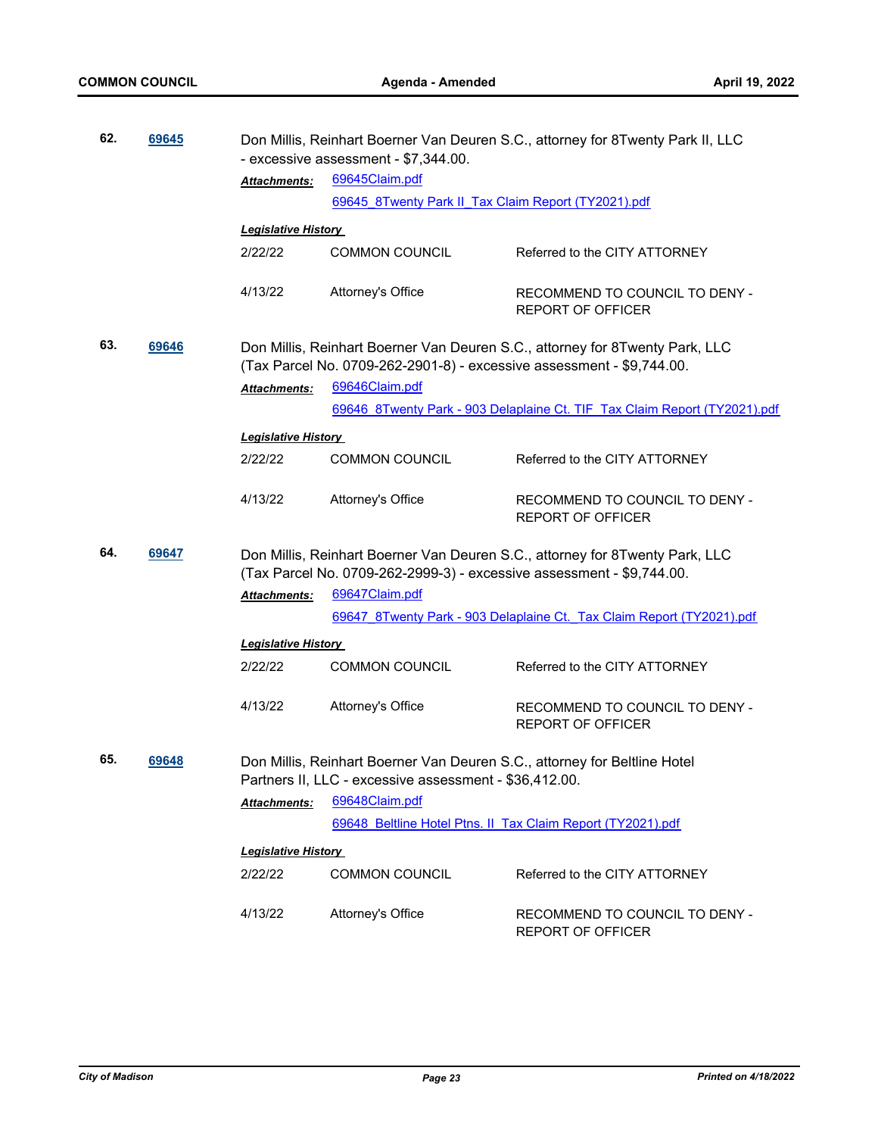| 62. | 69645 |                            | Don Millis, Reinhart Boerner Van Deuren S.C., attorney for 8Twenty Park II, LLC<br>- excessive assessment - \$7,344.00.                               |                                                                              |  |  |
|-----|-------|----------------------------|-------------------------------------------------------------------------------------------------------------------------------------------------------|------------------------------------------------------------------------------|--|--|
|     |       | Attachments:               | 69645Claim.pdf                                                                                                                                        |                                                                              |  |  |
|     |       |                            | 69645 8Twenty Park II Tax Claim Report (TY2021).pdf                                                                                                   |                                                                              |  |  |
|     |       | <b>Legislative History</b> |                                                                                                                                                       |                                                                              |  |  |
|     |       | 2/22/22                    | <b>COMMON COUNCIL</b>                                                                                                                                 | Referred to the CITY ATTORNEY                                                |  |  |
|     |       | 4/13/22                    | Attorney's Office                                                                                                                                     | RECOMMEND TO COUNCIL TO DENY -<br><b>REPORT OF OFFICER</b>                   |  |  |
| 63. | 69646 |                            | (Tax Parcel No. 0709-262-2901-8) - excessive assessment - \$9,744.00.                                                                                 | Don Millis, Reinhart Boerner Van Deuren S.C., attorney for 8Twenty Park, LLC |  |  |
|     |       | <b>Attachments:</b>        | 69646Claim.pdf                                                                                                                                        |                                                                              |  |  |
|     |       |                            |                                                                                                                                                       | 69646 8Twenty Park - 903 Delaplaine Ct. TIF Tax Claim Report (TY2021).pdf    |  |  |
|     |       | <b>Legislative History</b> |                                                                                                                                                       |                                                                              |  |  |
|     |       | 2/22/22                    | <b>COMMON COUNCIL</b>                                                                                                                                 | Referred to the CITY ATTORNEY                                                |  |  |
|     |       |                            |                                                                                                                                                       |                                                                              |  |  |
|     |       | 4/13/22                    | Attorney's Office                                                                                                                                     | RECOMMEND TO COUNCIL TO DENY -<br><b>REPORT OF OFFICER</b>                   |  |  |
| 64. | 69647 |                            | Don Millis, Reinhart Boerner Van Deuren S.C., attorney for 8Twenty Park, LLC<br>(Tax Parcel No. 0709-262-2999-3) - excessive assessment - \$9,744.00. |                                                                              |  |  |
|     |       | <b>Attachments:</b>        | 69647Claim.pdf                                                                                                                                        |                                                                              |  |  |
|     |       |                            |                                                                                                                                                       | 69647 8Twenty Park - 903 Delaplaine Ct. Tax Claim Report (TY2021).pdf        |  |  |
|     |       | <b>Legislative History</b> |                                                                                                                                                       |                                                                              |  |  |
|     |       | 2/22/22                    | <b>COMMON COUNCIL</b>                                                                                                                                 | Referred to the CITY ATTORNEY                                                |  |  |
|     |       | 4/13/22                    | Attorney's Office                                                                                                                                     | RECOMMEND TO COUNCIL TO DENY -<br><b>REPORT OF OFFICER</b>                   |  |  |
| 65. | 69648 |                            | Partners II, LLC - excessive assessment - \$36,412.00.                                                                                                | Don Millis, Reinhart Boerner Van Deuren S.C., attorney for Beltline Hotel    |  |  |
|     |       | Attachments:               | 69648Claim.pdf                                                                                                                                        |                                                                              |  |  |
|     |       |                            | 69648 Beltline Hotel Ptns. II Tax Claim Report (TY2021).pdf                                                                                           |                                                                              |  |  |
|     |       |                            |                                                                                                                                                       |                                                                              |  |  |
|     |       | <b>Legislative History</b> |                                                                                                                                                       |                                                                              |  |  |
|     |       | 2/22/22                    | <b>COMMON COUNCIL</b>                                                                                                                                 | Referred to the CITY ATTORNEY                                                |  |  |
|     |       | 4/13/22                    | Attorney's Office                                                                                                                                     | RECOMMEND TO COUNCIL TO DENY -<br><b>REPORT OF OFFICER</b>                   |  |  |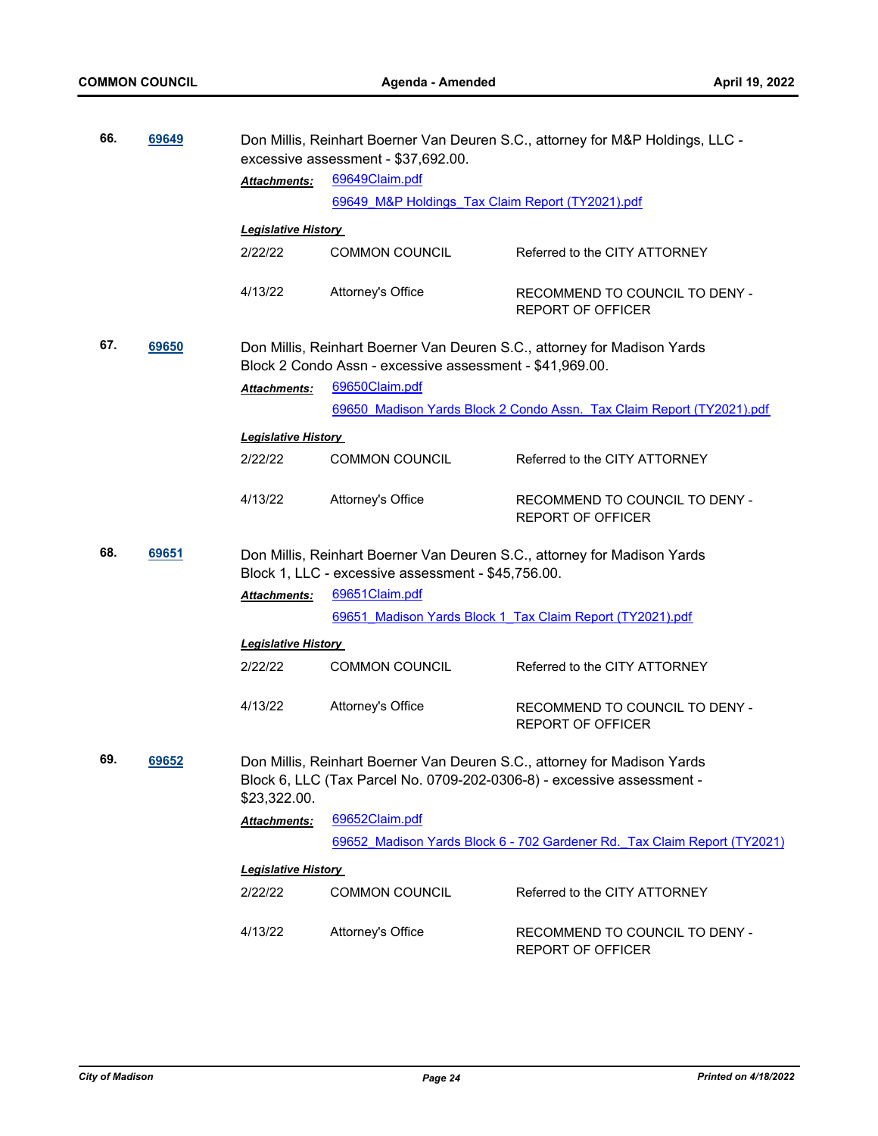| 66.                                                                                                                                                  | 69649 |                                                                                                                                                                    | Don Millis, Reinhart Boerner Van Deuren S.C., attorney for M&P Holdings, LLC -<br>excessive assessment - \$37,692.00.          |                                                                       |  |  |
|------------------------------------------------------------------------------------------------------------------------------------------------------|-------|--------------------------------------------------------------------------------------------------------------------------------------------------------------------|--------------------------------------------------------------------------------------------------------------------------------|-----------------------------------------------------------------------|--|--|
|                                                                                                                                                      |       | Attachments:                                                                                                                                                       | 69649Claim.pdf                                                                                                                 |                                                                       |  |  |
|                                                                                                                                                      |       |                                                                                                                                                                    | 69649 M&P Holdings Tax Claim Report (TY2021).pdf                                                                               |                                                                       |  |  |
|                                                                                                                                                      |       |                                                                                                                                                                    |                                                                                                                                |                                                                       |  |  |
|                                                                                                                                                      |       | <b>Legislative History</b>                                                                                                                                         |                                                                                                                                |                                                                       |  |  |
|                                                                                                                                                      |       | 2/22/22                                                                                                                                                            | <b>COMMON COUNCIL</b>                                                                                                          | Referred to the CITY ATTORNEY                                         |  |  |
|                                                                                                                                                      |       | 4/13/22                                                                                                                                                            | Attorney's Office                                                                                                              | RECOMMEND TO COUNCIL TO DENY -<br><b>REPORT OF OFFICER</b>            |  |  |
| 67.<br>69650<br>Don Millis, Reinhart Boerner Van Deuren S.C., attorney for Madison Yards<br>Block 2 Condo Assn - excessive assessment - \$41,969.00. |       |                                                                                                                                                                    |                                                                                                                                |                                                                       |  |  |
|                                                                                                                                                      |       | Attachments:                                                                                                                                                       | 69650Claim.pdf                                                                                                                 |                                                                       |  |  |
|                                                                                                                                                      |       |                                                                                                                                                                    |                                                                                                                                | 69650 Madison Yards Block 2 Condo Assn. Tax Claim Report (TY2021).pdf |  |  |
|                                                                                                                                                      |       | <b>Legislative History</b>                                                                                                                                         |                                                                                                                                |                                                                       |  |  |
|                                                                                                                                                      |       | 2/22/22                                                                                                                                                            | <b>COMMON COUNCIL</b>                                                                                                          | Referred to the CITY ATTORNEY                                         |  |  |
|                                                                                                                                                      |       |                                                                                                                                                                    |                                                                                                                                |                                                                       |  |  |
|                                                                                                                                                      |       | 4/13/22                                                                                                                                                            | Attorney's Office                                                                                                              | RECOMMEND TO COUNCIL TO DENY -<br><b>REPORT OF OFFICER</b>            |  |  |
| 68.                                                                                                                                                  | 69651 |                                                                                                                                                                    | Don Millis, Reinhart Boerner Van Deuren S.C., attorney for Madison Yards<br>Block 1, LLC - excessive assessment - \$45,756.00. |                                                                       |  |  |
|                                                                                                                                                      |       | <b>Attachments:</b>                                                                                                                                                | 69651Claim.pdf                                                                                                                 |                                                                       |  |  |
|                                                                                                                                                      |       |                                                                                                                                                                    |                                                                                                                                | 69651 Madison Yards Block 1 Tax Claim Report (TY2021).pdf             |  |  |
|                                                                                                                                                      |       | <b>Legislative History</b>                                                                                                                                         |                                                                                                                                |                                                                       |  |  |
|                                                                                                                                                      |       | 2/22/22                                                                                                                                                            | <b>COMMON COUNCIL</b>                                                                                                          | Referred to the CITY ATTORNEY                                         |  |  |
|                                                                                                                                                      |       | 4/13/22                                                                                                                                                            | Attorney's Office                                                                                                              | RECOMMEND TO COUNCIL TO DENY -<br><b>REPORT OF OFFICER</b>            |  |  |
| 69.                                                                                                                                                  | 69652 | Don Millis, Reinhart Boerner Van Deuren S.C., attorney for Madison Yards<br>Block 6, LLC (Tax Parcel No. 0709-202-0306-8) - excessive assessment -<br>\$23,322.00. |                                                                                                                                |                                                                       |  |  |
|                                                                                                                                                      |       | Attachments:                                                                                                                                                       | 69652Claim.pdf                                                                                                                 |                                                                       |  |  |
|                                                                                                                                                      |       |                                                                                                                                                                    | 69652 Madison Yards Block 6 - 702 Gardener Rd. Tax Claim Report (TY2021)                                                       |                                                                       |  |  |
|                                                                                                                                                      |       | <b>Legislative History</b>                                                                                                                                         |                                                                                                                                |                                                                       |  |  |
|                                                                                                                                                      |       | 2/22/22                                                                                                                                                            | <b>COMMON COUNCIL</b>                                                                                                          | Referred to the CITY ATTORNEY                                         |  |  |
|                                                                                                                                                      |       | 4/13/22                                                                                                                                                            | Attorney's Office                                                                                                              | RECOMMEND TO COUNCIL TO DENY -<br><b>REPORT OF OFFICER</b>            |  |  |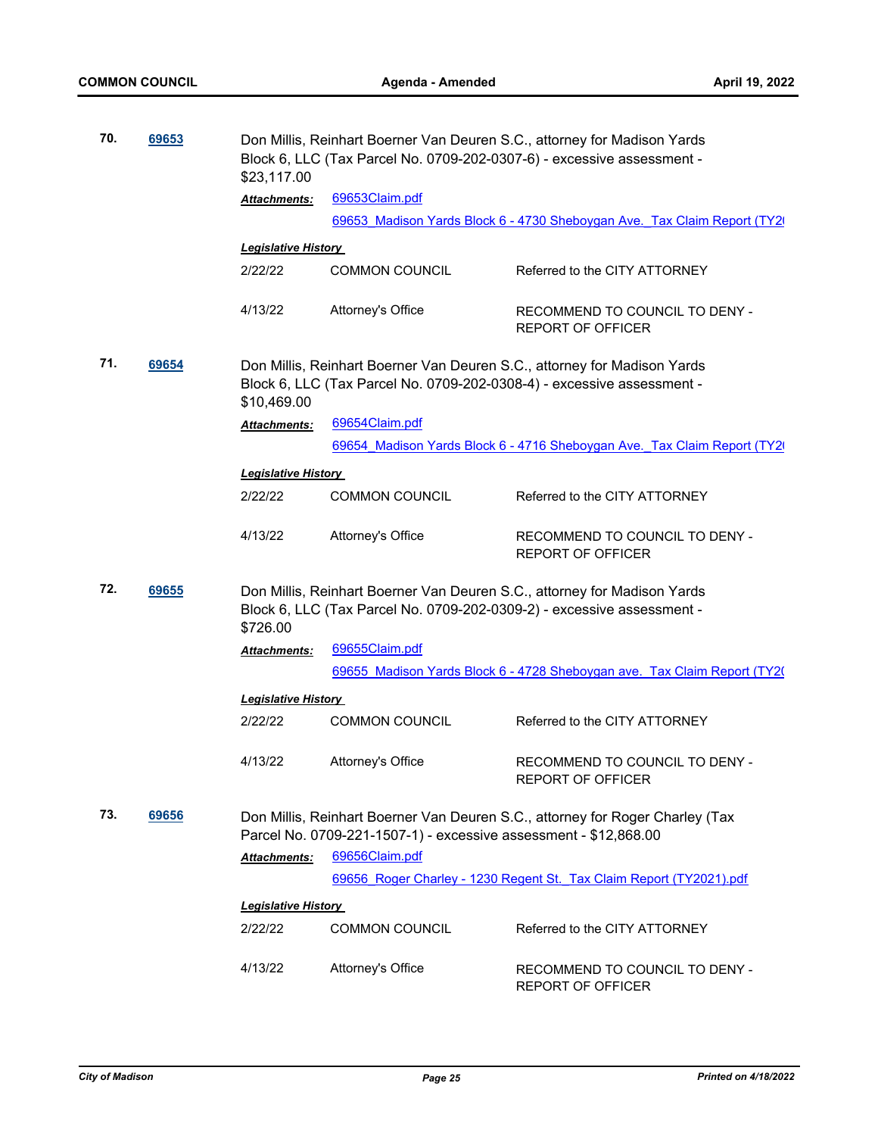| 70. | 69653 | \$23,117.00                | Don Millis, Reinhart Boerner Van Deuren S.C., attorney for Madison Yards<br>Block 6, LLC (Tax Parcel No. 0709-202-0307-6) - excessive assessment - |                                                                                                                                                    |  |  |
|-----|-------|----------------------------|----------------------------------------------------------------------------------------------------------------------------------------------------|----------------------------------------------------------------------------------------------------------------------------------------------------|--|--|
|     |       | Attachments:               | 69653Claim.pdf                                                                                                                                     |                                                                                                                                                    |  |  |
|     |       |                            |                                                                                                                                                    | 69653 Madison Yards Block 6 - 4730 Sheboygan Ave. Tax Claim Report (TY2)                                                                           |  |  |
|     |       | <b>Legislative History</b> |                                                                                                                                                    |                                                                                                                                                    |  |  |
|     |       | 2/22/22                    | <b>COMMON COUNCIL</b>                                                                                                                              | Referred to the CITY ATTORNEY                                                                                                                      |  |  |
|     |       |                            |                                                                                                                                                    |                                                                                                                                                    |  |  |
|     |       | 4/13/22                    | Attorney's Office                                                                                                                                  | RECOMMEND TO COUNCIL TO DENY -<br><b>REPORT OF OFFICER</b>                                                                                         |  |  |
| 71. | 69654 | \$10,469.00                |                                                                                                                                                    | Don Millis, Reinhart Boerner Van Deuren S.C., attorney for Madison Yards<br>Block 6, LLC (Tax Parcel No. 0709-202-0308-4) - excessive assessment - |  |  |
|     |       | Attachments:               | 69654Claim.pdf                                                                                                                                     |                                                                                                                                                    |  |  |
|     |       |                            |                                                                                                                                                    | 69654 Madison Yards Block 6 - 4716 Sheboygan Ave. Tax Claim Report (TY2)                                                                           |  |  |
|     |       | <b>Legislative History</b> |                                                                                                                                                    |                                                                                                                                                    |  |  |
|     |       | 2/22/22                    | <b>COMMON COUNCIL</b>                                                                                                                              | Referred to the CITY ATTORNEY                                                                                                                      |  |  |
|     |       | 4/13/22                    | Attorney's Office                                                                                                                                  | RECOMMEND TO COUNCIL TO DENY -<br><b>REPORT OF OFFICER</b>                                                                                         |  |  |
| 72. | 69655 | \$726.00                   | Don Millis, Reinhart Boerner Van Deuren S.C., attorney for Madison Yards<br>Block 6, LLC (Tax Parcel No. 0709-202-0309-2) - excessive assessment - |                                                                                                                                                    |  |  |
|     |       | Attachments:               | 69655Claim.pdf                                                                                                                                     |                                                                                                                                                    |  |  |
|     |       |                            |                                                                                                                                                    | 69655 Madison Yards Block 6 - 4728 Sheboygan ave. Tax Claim Report (TY20)                                                                          |  |  |
|     |       | <b>Legislative History</b> |                                                                                                                                                    |                                                                                                                                                    |  |  |
|     |       | 2/22/22                    | <b>COMMON COUNCIL</b>                                                                                                                              | Referred to the CITY ATTORNEY                                                                                                                      |  |  |
|     |       | 4/13/22                    | Attorney's Office                                                                                                                                  | RECOMMEND TO COUNCIL TO DENY -<br><b>REPORT OF OFFICER</b>                                                                                         |  |  |
| 73. | 69656 |                            | Parcel No. 0709-221-1507-1) - excessive assessment - \$12,868.00                                                                                   | Don Millis, Reinhart Boerner Van Deuren S.C., attorney for Roger Charley (Tax                                                                      |  |  |
|     |       | <b>Attachments:</b>        | 69656Claim.pdf                                                                                                                                     |                                                                                                                                                    |  |  |
|     |       |                            | 69656 Roger Charley - 1230 Regent St. Tax Claim Report (TY2021).pdf                                                                                |                                                                                                                                                    |  |  |
|     |       | <b>Legislative History</b> |                                                                                                                                                    |                                                                                                                                                    |  |  |
|     |       | 2/22/22                    | <b>COMMON COUNCIL</b>                                                                                                                              | Referred to the CITY ATTORNEY                                                                                                                      |  |  |
|     |       | 4/13/22                    | Attorney's Office                                                                                                                                  | RECOMMEND TO COUNCIL TO DENY -<br>REPORT OF OFFICER                                                                                                |  |  |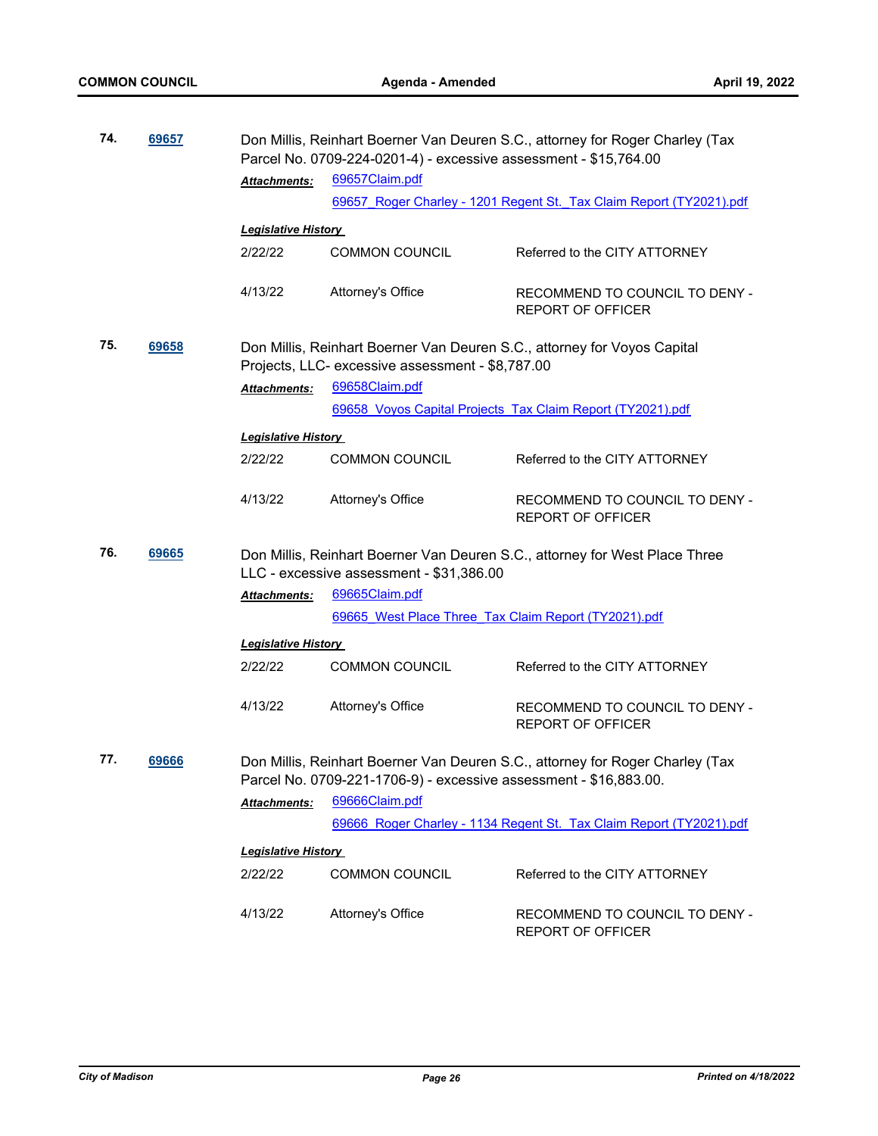| 74. | 69657 |                                                                                                                                                    | Don Millis, Reinhart Boerner Van Deuren S.C., attorney for Roger Charley (Tax<br>Parcel No. 0709-224-0201-4) - excessive assessment - \$15,764.00 |                                                                             |  |  |
|-----|-------|----------------------------------------------------------------------------------------------------------------------------------------------------|---------------------------------------------------------------------------------------------------------------------------------------------------|-----------------------------------------------------------------------------|--|--|
|     |       | <b>Attachments:</b>                                                                                                                                | 69657Claim.pdf                                                                                                                                    |                                                                             |  |  |
|     |       |                                                                                                                                                    |                                                                                                                                                   | 69657 Roger Charley - 1201 Regent St. Tax Claim Report (TY2021).pdf         |  |  |
|     |       | <b>Legislative History</b>                                                                                                                         |                                                                                                                                                   |                                                                             |  |  |
|     |       | 2/22/22                                                                                                                                            | <b>COMMON COUNCIL</b>                                                                                                                             | Referred to the CITY ATTORNEY                                               |  |  |
|     |       | 4/13/22                                                                                                                                            | Attorney's Office                                                                                                                                 | RECOMMEND TO COUNCIL TO DENY -<br><b>REPORT OF OFFICER</b>                  |  |  |
| 75. | 69658 |                                                                                                                                                    | Projects, LLC- excessive assessment - \$8,787.00                                                                                                  | Don Millis, Reinhart Boerner Van Deuren S.C., attorney for Voyos Capital    |  |  |
|     |       | <b>Attachments:</b>                                                                                                                                | 69658Claim.pdf                                                                                                                                    |                                                                             |  |  |
|     |       |                                                                                                                                                    |                                                                                                                                                   | 69658 Voyos Capital Projects Tax Claim Report (TY2021).pdf                  |  |  |
|     |       | <b>Legislative History</b>                                                                                                                         |                                                                                                                                                   |                                                                             |  |  |
|     |       | 2/22/22                                                                                                                                            | <b>COMMON COUNCIL</b>                                                                                                                             | Referred to the CITY ATTORNEY                                               |  |  |
|     |       | 4/13/22                                                                                                                                            | Attorney's Office                                                                                                                                 | RECOMMEND TO COUNCIL TO DENY -<br><b>REPORT OF OFFICER</b>                  |  |  |
| 76. | 69665 |                                                                                                                                                    | LLC - excessive assessment - \$31,386.00                                                                                                          | Don Millis, Reinhart Boerner Van Deuren S.C., attorney for West Place Three |  |  |
|     |       | Attachments:                                                                                                                                       | 69665Claim.pdf                                                                                                                                    |                                                                             |  |  |
|     |       |                                                                                                                                                    | 69665 West Place Three Tax Claim Report (TY2021).pdf                                                                                              |                                                                             |  |  |
|     |       | <b>Legislative History</b>                                                                                                                         |                                                                                                                                                   |                                                                             |  |  |
|     |       | 2/22/22                                                                                                                                            | <b>COMMON COUNCIL</b>                                                                                                                             | Referred to the CITY ATTORNEY                                               |  |  |
|     |       | 4/13/22                                                                                                                                            | Attorney's Office                                                                                                                                 | RECOMMEND TO COUNCIL TO DENY -<br><b>REPORT OF OFFICER</b>                  |  |  |
| 77. | 69666 | Don Millis, Reinhart Boerner Van Deuren S.C., attorney for Roger Charley (Tax<br>Parcel No. 0709-221-1706-9) - excessive assessment - \$16,883.00. |                                                                                                                                                   |                                                                             |  |  |
|     |       | <b>Attachments:</b>                                                                                                                                | 69666Claim.pdf                                                                                                                                    |                                                                             |  |  |
|     |       |                                                                                                                                                    |                                                                                                                                                   | 69666 Roger Charley - 1134 Regent St. Tax Claim Report (TY2021).pdf         |  |  |
|     |       | <b>Legislative History</b>                                                                                                                         |                                                                                                                                                   |                                                                             |  |  |
|     |       | 2/22/22                                                                                                                                            | <b>COMMON COUNCIL</b>                                                                                                                             | Referred to the CITY ATTORNEY                                               |  |  |
|     |       |                                                                                                                                                    |                                                                                                                                                   |                                                                             |  |  |
|     |       | 4/13/22                                                                                                                                            | Attorney's Office                                                                                                                                 | RECOMMEND TO COUNCIL TO DENY -<br><b>REPORT OF OFFICER</b>                  |  |  |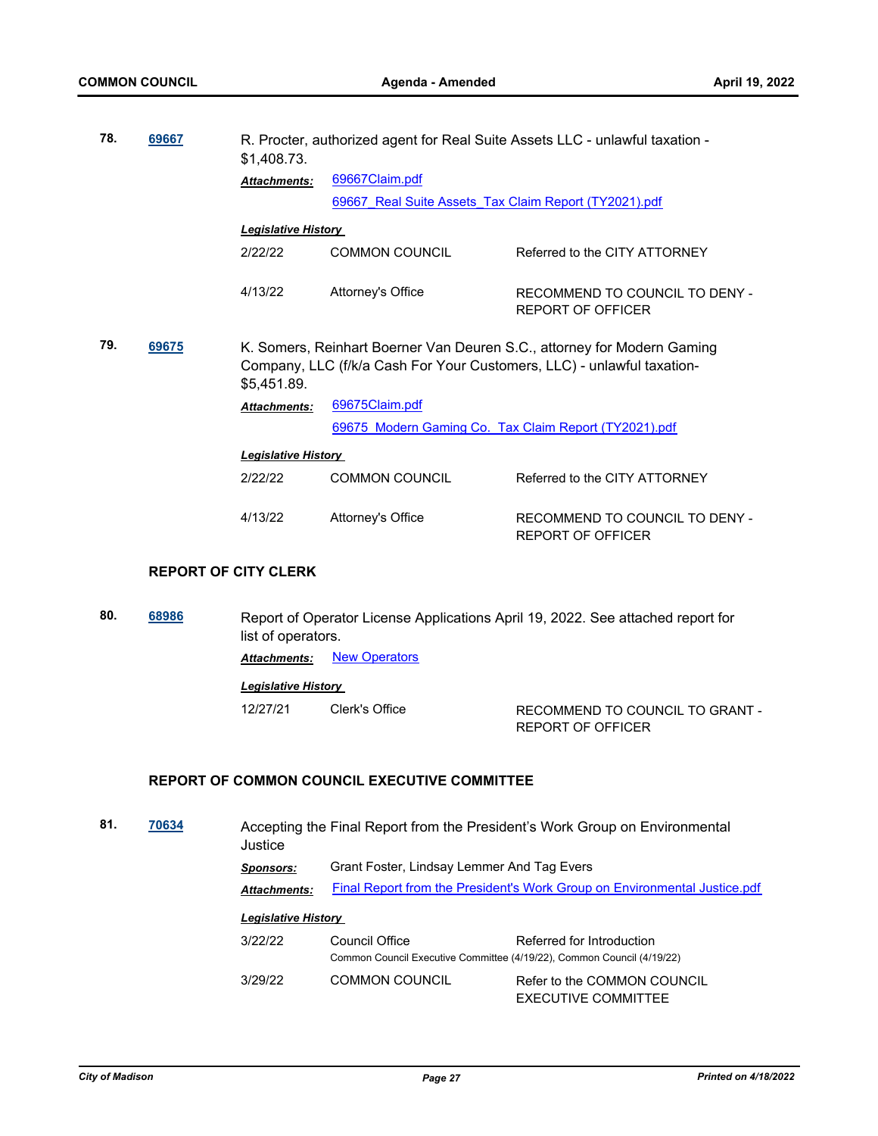| 78.                                                                                                                                                                              | 69667 | \$1,408.73.                | R. Procter, authorized agent for Real Suite Assets LLC - unlawful taxation - |                                                            |  |  |
|----------------------------------------------------------------------------------------------------------------------------------------------------------------------------------|-------|----------------------------|------------------------------------------------------------------------------|------------------------------------------------------------|--|--|
|                                                                                                                                                                                  |       | <b>Attachments:</b>        | 69667Claim.pdf                                                               |                                                            |  |  |
|                                                                                                                                                                                  |       |                            | 69667 Real Suite Assets Tax Claim Report (TY2021).pdf                        |                                                            |  |  |
|                                                                                                                                                                                  |       | <b>Legislative History</b> |                                                                              |                                                            |  |  |
|                                                                                                                                                                                  |       | 2/22/22                    | COMMON COUNCIL                                                               | Referred to the CITY ATTORNEY                              |  |  |
|                                                                                                                                                                                  |       | 4/13/22                    | Attorney's Office                                                            | RECOMMEND TO COUNCIL TO DENY -<br><b>REPORT OF OFFICER</b> |  |  |
| 79.<br>69675<br>K. Somers, Reinhart Boerner Van Deuren S.C., attorney for Modern Gaming<br>Company, LLC (f/k/a Cash For Your Customers, LLC) - unlawful taxation-<br>\$5,451.89. |       |                            |                                                                              |                                                            |  |  |
|                                                                                                                                                                                  |       | <b>Attachments:</b>        | 69675Claim.pdf                                                               |                                                            |  |  |
|                                                                                                                                                                                  |       |                            |                                                                              | 69675 Modern Gaming Co. Tax Claim Report (TY2021).pdf      |  |  |
|                                                                                                                                                                                  |       | <b>Legislative History</b> |                                                                              |                                                            |  |  |
|                                                                                                                                                                                  |       | 2/22/22                    | <b>COMMON COUNCIL</b>                                                        | Referred to the CITY ATTORNEY                              |  |  |
|                                                                                                                                                                                  |       | 4/13/22                    | Attorney's Office                                                            | RECOMMEND TO COUNCIL TO DENY -<br>REPORT OF OFFICER        |  |  |

#### **REPORT OF CITY CLERK**

**80. [68986](http://madison.legistar.com/gateway.aspx?m=l&id=/matter.aspx?key=80527)** Report of Operator License Applications April 19, 2022. See attached report for list of operators. **Attachments:** [New Operators](http://madison.legistar.com/gateway.aspx?M=F&ID=7d8c4c08-a9d7-4231-9aff-4610d346614a.pdf)

# *Legislative History*

12/27/21 Clerk's Office RECOMMEND TO COUNCIL TO GRANT - REPORT OF OFFICER

#### **REPORT OF COMMON COUNCIL EXECUTIVE COMMITTEE**

**81. [70634](http://madison.legistar.com/gateway.aspx?m=l&id=/matter.aspx?key=82665)** Accepting the Final Report from the President's Work Group on Environmental Justice *Sponsors:* Grant Foster, Lindsay Lemmer And Tag Evers *Attachments:* [Final Report from the President's Work Group on Environmental Justice.pdf](http://madison.legistar.com/gateway.aspx?M=F&ID=7228625a-5955-4b9c-a02d-319579acbf0f.pdf) *Legislative History*  3/22/22 Council Office Referred for Introduction Common Council Executive Committee (4/19/22), Common Council (4/19/22) 3/29/22 COMMON COUNCIL Refer to the COMMON COUNCIL EXECUTIVE COMMITTEE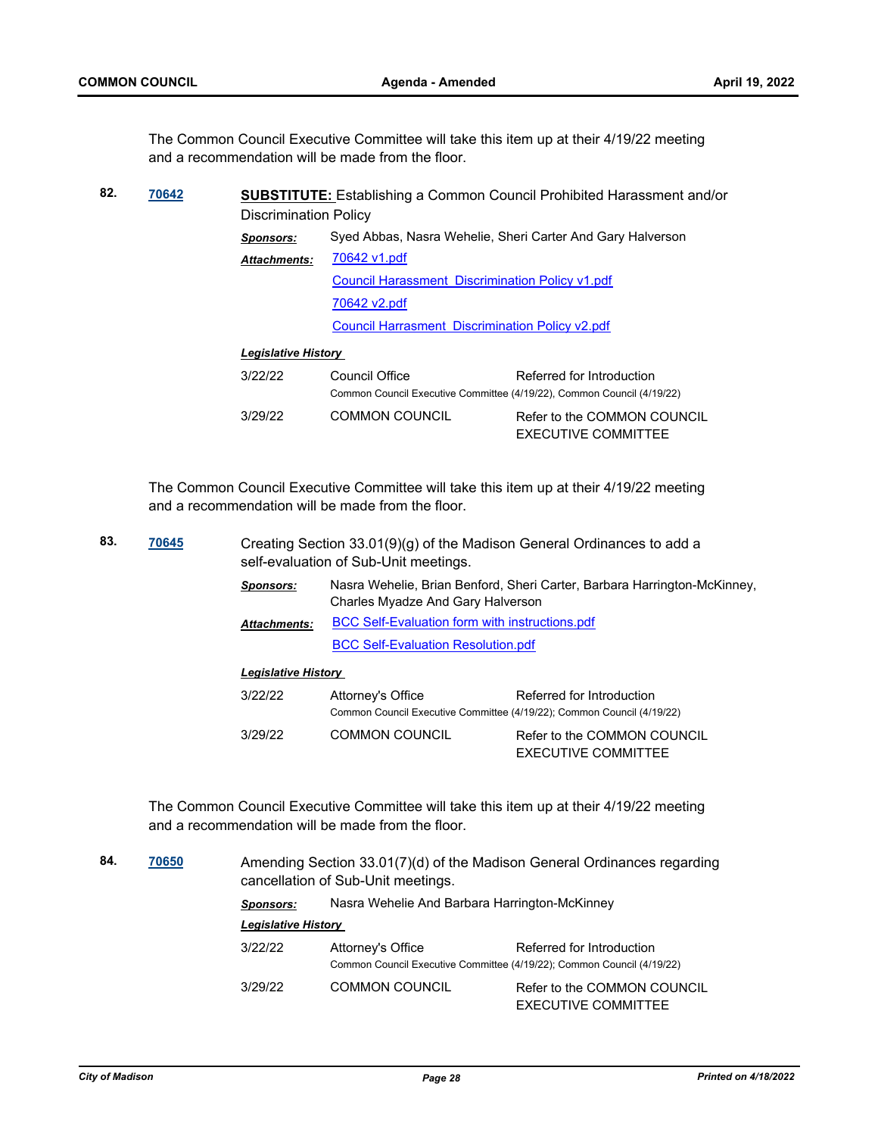The Common Council Executive Committee will take this item up at their 4/19/22 meeting and a recommendation will be made from the floor.

| 82. | 70642 | <b>SUBSTITUTE:</b> Establishing a Common Council Prohibited Harassment and/or |                                                                                          |                                                           |  |
|-----|-------|-------------------------------------------------------------------------------|------------------------------------------------------------------------------------------|-----------------------------------------------------------|--|
|     |       | <b>Discrimination Policy</b>                                                  |                                                                                          |                                                           |  |
|     |       | <b>Sponsors:</b>                                                              | Syed Abbas, Nasra Wehelie, Sheri Carter And Gary Halverson                               |                                                           |  |
|     |       | 70642 v1.pdf<br><b>Attachments:</b>                                           |                                                                                          |                                                           |  |
|     |       |                                                                               | <b>Council Harassment Discrimination Policy v1.pdf</b>                                   |                                                           |  |
|     |       |                                                                               | 70642 v2.pdf                                                                             |                                                           |  |
|     |       |                                                                               | <b>Council Harrasment Discrimination Policy v2.pdf</b>                                   |                                                           |  |
|     |       | <b>Legislative History</b>                                                    |                                                                                          |                                                           |  |
|     |       | 3/22/22                                                                       | Council Office<br>Common Council Executive Committee (4/19/22), Common Council (4/19/22) | Referred for Introduction                                 |  |
|     |       | 3/29/22                                                                       | <b>COMMON COUNCIL</b>                                                                    | Refer to the COMMON COUNCIL<br><b>EXECUTIVE COMMITTEE</b> |  |

The Common Council Executive Committee will take this item up at their 4/19/22 meeting and a recommendation will be made from the floor.

| 83. | 70645 |                            | Creating Section $33.01(9)(q)$ of the Madison General Ordinances to add a<br>self-evaluation of Sub-Unit meetings. |                                                                                                     |  |
|-----|-------|----------------------------|--------------------------------------------------------------------------------------------------------------------|-----------------------------------------------------------------------------------------------------|--|
|     |       | <b>Sponsors:</b>           | Nasra Wehelie, Brian Benford, Sheri Carter, Barbara Harrington-McKinney,<br>Charles Myadze And Gary Halverson      |                                                                                                     |  |
|     |       | <b>Attachments:</b>        | <b>BCC Self-Evaluation form with instructions.pdf</b>                                                              |                                                                                                     |  |
|     |       |                            | <b>BCC Self-Evaluation Resolution.pdf</b>                                                                          |                                                                                                     |  |
|     |       | <b>Legislative History</b> |                                                                                                                    |                                                                                                     |  |
|     |       | 3/22/22                    | Attorney's Office                                                                                                  | Referred for Introduction<br>Common Council Executive Committee (4/19/22); Common Council (4/19/22) |  |
|     |       | 3/29/22                    | <b>COMMON COUNCIL</b>                                                                                              | Refer to the COMMON COUNCIL<br>EXECUTIVE COMMITTEE                                                  |  |

The Common Council Executive Committee will take this item up at their 4/19/22 meeting and a recommendation will be made from the floor.

**84. [70650](http://madison.legistar.com/gateway.aspx?m=l&id=/matter.aspx?key=82681)** Amending Section 33.01(7)(d) of the Madison General Ordinances regarding cancellation of Sub-Unit meetings. *Sponsors:* Nasra Wehelie And Barbara Harrington-McKinney *Legislative History*  3/22/22 Attorney's Office Referred for Introduction Common Council Executive Committee (4/19/22); Common Council (4/19/22) 3/29/22 COMMON COUNCIL Refer to the COMMON COUNCIL EXECUTIVE COMMITTEE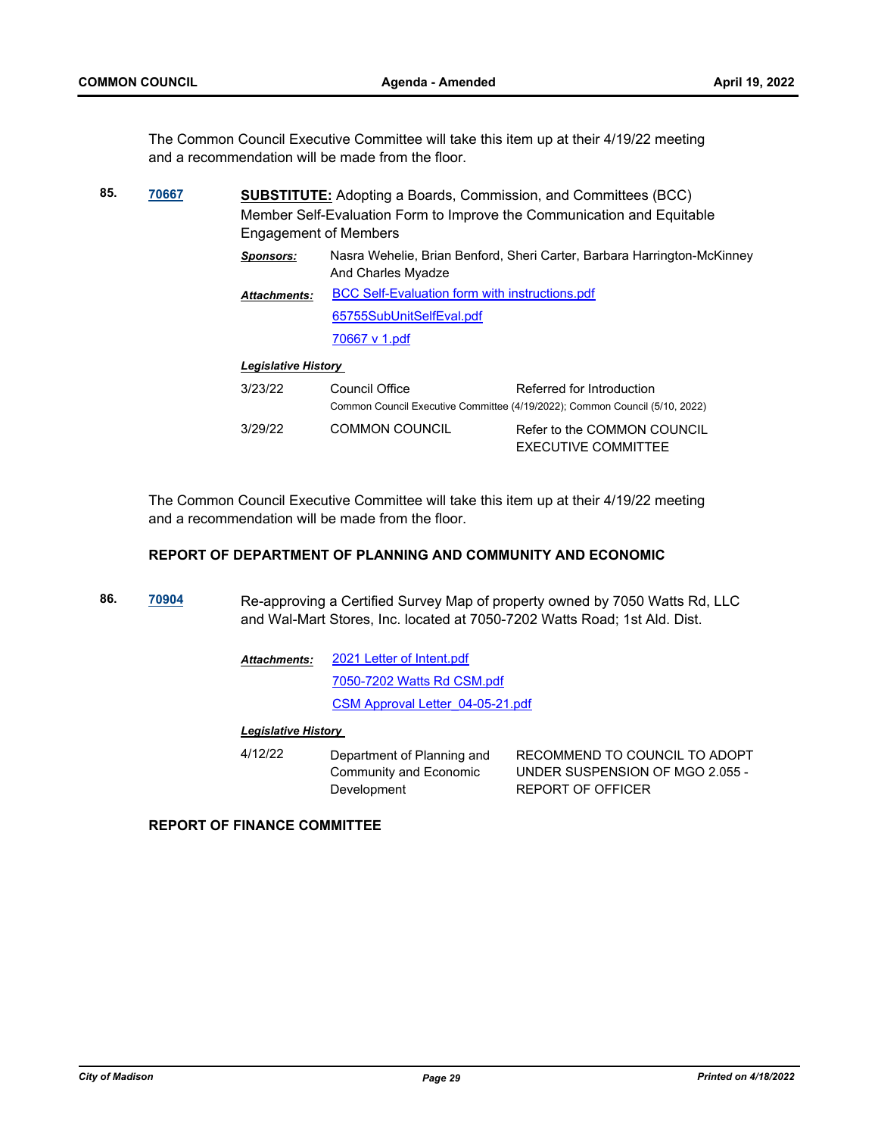The Common Council Executive Committee will take this item up at their 4/19/22 meeting and a recommendation will be made from the floor.

| 85. | 70667 | <b>Engagement of Members</b> | <b>SUBSTITUTE:</b> Adopting a Boards, Commission, and Committees (BCC)<br>Member Self-Evaluation Form to Improve the Communication and Equitable |                                                                                                          |  |
|-----|-------|------------------------------|--------------------------------------------------------------------------------------------------------------------------------------------------|----------------------------------------------------------------------------------------------------------|--|
|     |       | <b>Sponsors:</b>             | And Charles Myadze                                                                                                                               | Nasra Wehelie, Brian Benford, Sheri Carter, Barbara Harrington-McKinney                                  |  |
|     |       | <b>Attachments:</b>          | <b>BCC Self-Evaluation form with instructions.pdf</b>                                                                                            |                                                                                                          |  |
|     |       |                              | 65755SubUnitSelfEval.pdf                                                                                                                         |                                                                                                          |  |
|     |       |                              | 70667 v 1.pdf                                                                                                                                    |                                                                                                          |  |
|     |       | <b>Legislative History</b>   |                                                                                                                                                  |                                                                                                          |  |
|     |       | 3/23/22                      | Council Office                                                                                                                                   | Referred for Introduction<br>Common Council Executive Committee (4/19/2022); Common Council (5/10, 2022) |  |
|     |       | 3/29/22                      | <b>COMMON COUNCIL</b>                                                                                                                            | Refer to the COMMON COUNCIL<br>EXECUTIVE COMMITTEE                                                       |  |

The Common Council Executive Committee will take this item up at their 4/19/22 meeting and a recommendation will be made from the floor.

#### **REPORT OF DEPARTMENT OF PLANNING AND COMMUNITY AND ECONOMIC**

**86. [70904](http://madison.legistar.com/gateway.aspx?m=l&id=/matter.aspx?key=82896)** Re-approving a Certified Survey Map of property owned by 7050 Watts Rd, LLC and Wal-Mart Stores, Inc. located at 7050-7202 Watts Road; 1st Ald. Dist.

| Attachments: | 2021 Letter of Intent.pdf        |
|--------------|----------------------------------|
|              | 7050-7202 Watts Rd CSM.pdf       |
|              | CSM Approval Letter 04-05-21.pdf |

#### *Legislative History*

| 4/12/22 | Department of Planning and | RECOMMEND TO COUNCIL TO ADOPT   |
|---------|----------------------------|---------------------------------|
|         | Community and Economic     | UNDER SUSPENSION OF MGO 2.055 - |
|         | Development                | REPORT OF OFFICER               |

#### **REPORT OF FINANCE COMMITTEE**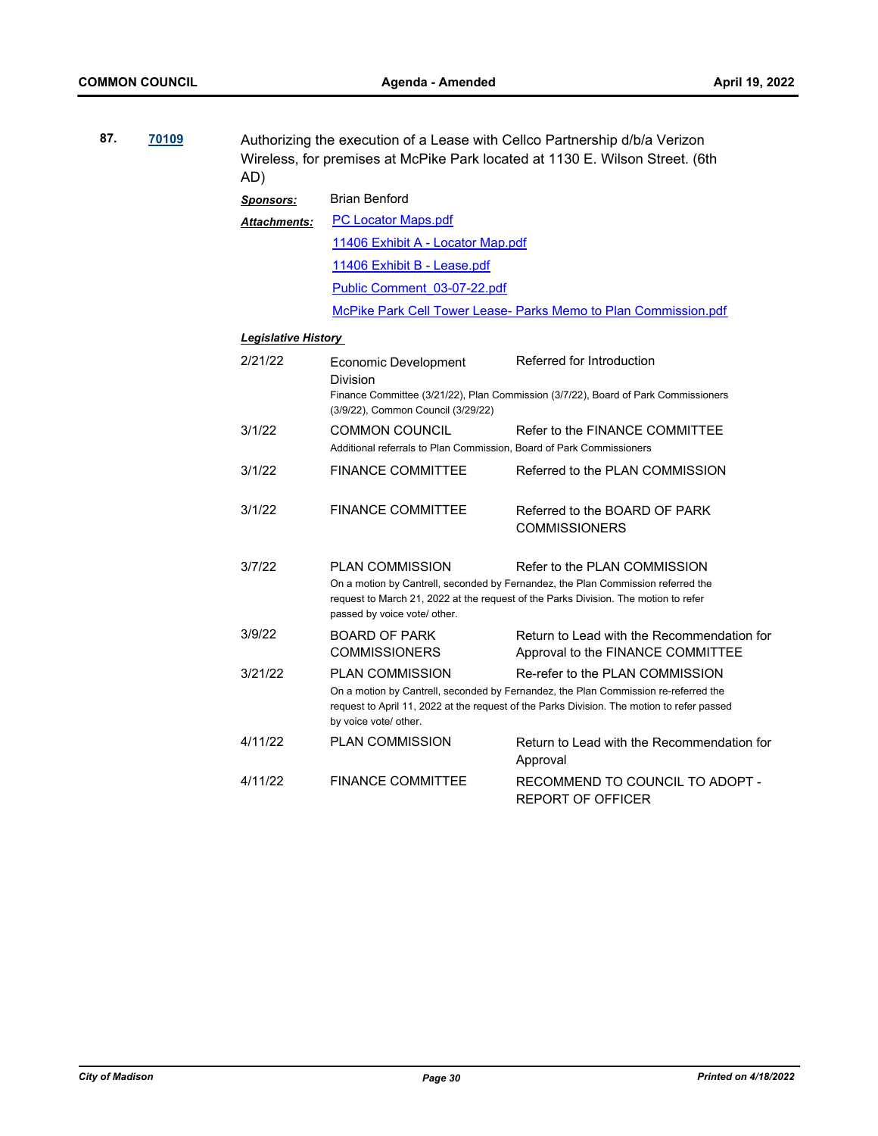| 87.<br>70109 |  | Authorizing the execution of a Lease with Cellco Partnership d/b/a Verizon<br>Wireless, for premises at McPike Park located at 1130 E. Wilson Street. (6th<br>AD) |                                                                                               |                                                                                                                                                                                                                      |  |  |  |  |
|--------------|--|-------------------------------------------------------------------------------------------------------------------------------------------------------------------|-----------------------------------------------------------------------------------------------|----------------------------------------------------------------------------------------------------------------------------------------------------------------------------------------------------------------------|--|--|--|--|
|              |  | <b>Sponsors:</b>                                                                                                                                                  | <b>Brian Benford</b>                                                                          |                                                                                                                                                                                                                      |  |  |  |  |
|              |  | <b>Attachments:</b>                                                                                                                                               | <b>PC Locator Maps.pdf</b>                                                                    |                                                                                                                                                                                                                      |  |  |  |  |
|              |  |                                                                                                                                                                   | 11406 Exhibit A - Locator Map.pdf                                                             |                                                                                                                                                                                                                      |  |  |  |  |
|              |  |                                                                                                                                                                   | 11406 Exhibit B - Lease.pdf                                                                   |                                                                                                                                                                                                                      |  |  |  |  |
|              |  |                                                                                                                                                                   | Public Comment 03-07-22.pdf                                                                   |                                                                                                                                                                                                                      |  |  |  |  |
|              |  |                                                                                                                                                                   |                                                                                               | McPike Park Cell Tower Lease- Parks Memo to Plan Commission.pdf                                                                                                                                                      |  |  |  |  |
|              |  | <b>Legislative History</b>                                                                                                                                        |                                                                                               |                                                                                                                                                                                                                      |  |  |  |  |
|              |  | 2/21/22                                                                                                                                                           | <b>Economic Development</b><br>Division                                                       | Referred for Introduction<br>Finance Committee (3/21/22), Plan Commission (3/7/22), Board of Park Commissioners                                                                                                      |  |  |  |  |
|              |  |                                                                                                                                                                   | (3/9/22), Common Council (3/29/22)                                                            |                                                                                                                                                                                                                      |  |  |  |  |
|              |  | 3/1/22                                                                                                                                                            | <b>COMMON COUNCIL</b><br>Additional referrals to Plan Commission, Board of Park Commissioners | Refer to the FINANCE COMMITTEE                                                                                                                                                                                       |  |  |  |  |
|              |  | 3/1/22                                                                                                                                                            | <b>FINANCE COMMITTEE</b>                                                                      | Referred to the PLAN COMMISSION                                                                                                                                                                                      |  |  |  |  |
|              |  | 3/1/22                                                                                                                                                            | <b>FINANCE COMMITTEE</b>                                                                      | Referred to the BOARD OF PARK<br><b>COMMISSIONERS</b>                                                                                                                                                                |  |  |  |  |
|              |  | 3/7/22                                                                                                                                                            | <b>PLAN COMMISSION</b><br>passed by voice vote/ other.                                        | Refer to the PLAN COMMISSION<br>On a motion by Cantrell, seconded by Fernandez, the Plan Commission referred the<br>request to March 21, 2022 at the request of the Parks Division. The motion to refer              |  |  |  |  |
|              |  | 3/9/22                                                                                                                                                            | <b>BOARD OF PARK</b><br><b>COMMISSIONERS</b>                                                  | Return to Lead with the Recommendation for<br>Approval to the FINANCE COMMITTEE                                                                                                                                      |  |  |  |  |
|              |  | 3/21/22                                                                                                                                                           | <b>PLAN COMMISSION</b><br>by voice vote/ other.                                               | Re-refer to the PLAN COMMISSION<br>On a motion by Cantrell, seconded by Fernandez, the Plan Commission re-referred the<br>request to April 11, 2022 at the request of the Parks Division. The motion to refer passed |  |  |  |  |
|              |  | 4/11/22                                                                                                                                                           | <b>PLAN COMMISSION</b>                                                                        | Return to Lead with the Recommendation for<br>Approval                                                                                                                                                               |  |  |  |  |
|              |  | 4/11/22                                                                                                                                                           | <b>FINANCE COMMITTEE</b>                                                                      | RECOMMEND TO COUNCIL TO ADOPT -<br><b>REPORT OF OFFICER</b>                                                                                                                                                          |  |  |  |  |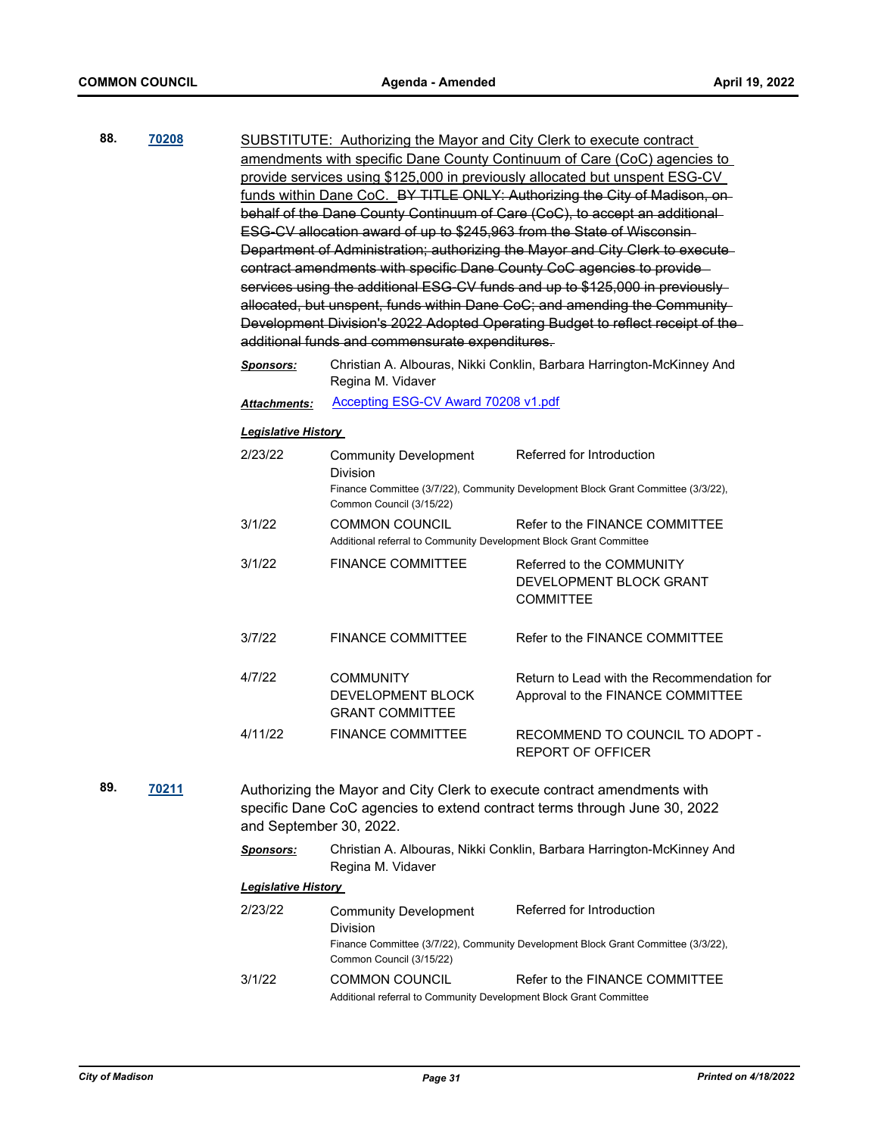| 88. | 70208        | SUBSTITUTE: Authorizing the Mayor and City Clerk to execute contract                                                                                                             |                                                                                                                               |                                                                                   |  |  |  |
|-----|--------------|----------------------------------------------------------------------------------------------------------------------------------------------------------------------------------|-------------------------------------------------------------------------------------------------------------------------------|-----------------------------------------------------------------------------------|--|--|--|
|     |              |                                                                                                                                                                                  |                                                                                                                               | amendments with specific Dane County Continuum of Care (CoC) agencies to          |  |  |  |
|     |              | provide services using \$125,000 in previously allocated but unspent ESG-CV                                                                                                      |                                                                                                                               |                                                                                   |  |  |  |
|     |              | funds within Dane CoC. BY TITLE ONLY: Authorizing the City of Madison, on-                                                                                                       |                                                                                                                               |                                                                                   |  |  |  |
|     |              |                                                                                                                                                                                  |                                                                                                                               | behalf of the Dane County Continuum of Care (CoC), to accept an additional-       |  |  |  |
|     |              |                                                                                                                                                                                  |                                                                                                                               | ESG-CV allocation award of up to \$245,963 from the State of Wisconsin-           |  |  |  |
|     |              |                                                                                                                                                                                  |                                                                                                                               | Department of Administration; authorizing the Mayor and City Clerk to execute-    |  |  |  |
|     |              |                                                                                                                                                                                  |                                                                                                                               | contract amendments with specific Dane County CoC agencies to provide-            |  |  |  |
|     |              |                                                                                                                                                                                  |                                                                                                                               | services using the additional ESG-CV funds and up to \$125,000 in previously-     |  |  |  |
|     |              |                                                                                                                                                                                  |                                                                                                                               | allocated, but unspent, funds within Dane CoC; and amending the Community-        |  |  |  |
|     |              |                                                                                                                                                                                  |                                                                                                                               | Development Division's 2022 Adopted Operating Budget to reflect receipt of the-   |  |  |  |
|     |              |                                                                                                                                                                                  | additional funds and commensurate expenditures.                                                                               |                                                                                   |  |  |  |
|     |              |                                                                                                                                                                                  |                                                                                                                               |                                                                                   |  |  |  |
|     |              | <b>Sponsors:</b>                                                                                                                                                                 | Christian A. Albouras, Nikki Conklin, Barbara Harrington-McKinney And<br>Regina M. Vidaver                                    |                                                                                   |  |  |  |
|     |              | <b>Attachments:</b>                                                                                                                                                              | <b>Accepting ESG-CV Award 70208 v1.pdf</b>                                                                                    |                                                                                   |  |  |  |
|     |              | <b>Legislative History</b>                                                                                                                                                       |                                                                                                                               |                                                                                   |  |  |  |
|     |              | 2/23/22                                                                                                                                                                          | <b>Community Development</b>                                                                                                  | Referred for Introduction                                                         |  |  |  |
|     |              |                                                                                                                                                                                  | <b>Division</b>                                                                                                               |                                                                                   |  |  |  |
|     |              |                                                                                                                                                                                  | Finance Committee (3/7/22), Community Development Block Grant Committee (3/3/22),<br>Common Council (3/15/22)                 |                                                                                   |  |  |  |
|     |              | 3/1/22                                                                                                                                                                           | <b>COMMON COUNCIL</b><br>Refer to the FINANCE COMMITTEE<br>Additional referral to Community Development Block Grant Committee |                                                                                   |  |  |  |
|     |              | 3/1/22                                                                                                                                                                           | <b>FINANCE COMMITTEE</b>                                                                                                      | Referred to the COMMUNITY<br>DEVELOPMENT BLOCK GRANT<br><b>COMMITTEE</b>          |  |  |  |
|     |              | 3/7/22                                                                                                                                                                           | <b>FINANCE COMMITTEE</b>                                                                                                      | Refer to the FINANCE COMMITTEE                                                    |  |  |  |
|     |              | 4/7/22                                                                                                                                                                           | <b>COMMUNITY</b><br>DEVELOPMENT BLOCK<br><b>GRANT COMMITTEE</b>                                                               | Return to Lead with the Recommendation for<br>Approval to the FINANCE COMMITTEE   |  |  |  |
|     |              | 4/11/22                                                                                                                                                                          | <b>FINANCE COMMITTEE</b>                                                                                                      | RECOMMEND TO COUNCIL TO ADOPT -<br><b>REPORT OF OFFICER</b>                       |  |  |  |
| 89. | <b>70211</b> |                                                                                                                                                                                  |                                                                                                                               |                                                                                   |  |  |  |
|     |              | Authorizing the Mayor and City Clerk to execute contract amendments with<br>specific Dane CoC agencies to extend contract terms through June 30, 2022<br>and September 30, 2022. |                                                                                                                               |                                                                                   |  |  |  |
|     |              | <b>Sponsors:</b>                                                                                                                                                                 | Regina M. Vidaver                                                                                                             | Christian A. Albouras, Nikki Conklin, Barbara Harrington-McKinney And             |  |  |  |
|     |              | <b>Legislative History</b>                                                                                                                                                       |                                                                                                                               |                                                                                   |  |  |  |
|     |              | 2/23/22                                                                                                                                                                          | <b>Community Development</b><br>Division                                                                                      | Referred for Introduction                                                         |  |  |  |
|     |              |                                                                                                                                                                                  | Common Council (3/15/22)                                                                                                      | Finance Committee (3/7/22), Community Development Block Grant Committee (3/3/22), |  |  |  |
|     |              | 3/1/22                                                                                                                                                                           | <b>COMMON COUNCIL</b><br>Additional referral to Community Development Block Grant Committee                                   | Refer to the FINANCE COMMITTEE                                                    |  |  |  |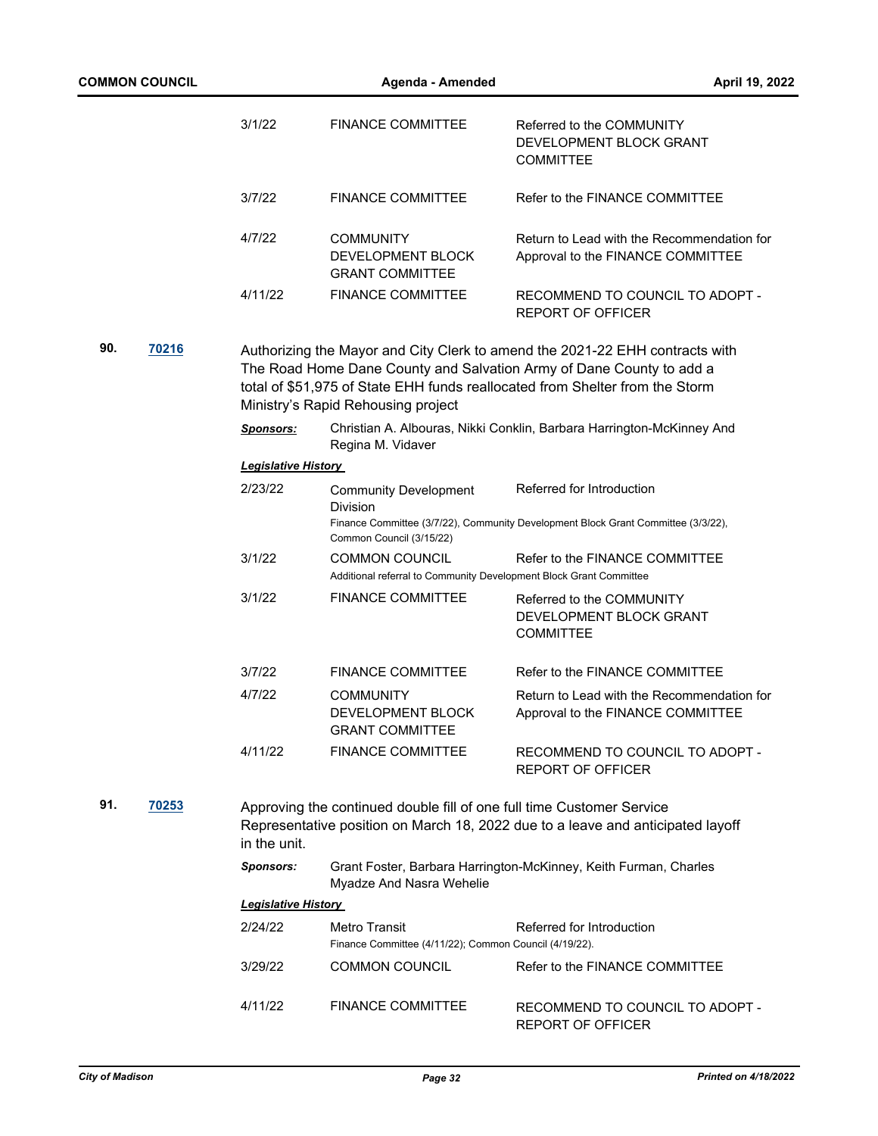|     | <b>COMMON COUNCIL</b> |                            | Agenda - Amended                                                               |                                                                                                                                                                                                                                      |  |
|-----|-----------------------|----------------------------|--------------------------------------------------------------------------------|--------------------------------------------------------------------------------------------------------------------------------------------------------------------------------------------------------------------------------------|--|
|     |                       | 3/1/22                     | <b>FINANCE COMMITTEE</b>                                                       | Referred to the COMMUNITY<br>DEVELOPMENT BLOCK GRANT<br><b>COMMITTEE</b>                                                                                                                                                             |  |
|     |                       | 3/7/22                     | <b>FINANCE COMMITTEE</b>                                                       | Refer to the FINANCE COMMITTEE                                                                                                                                                                                                       |  |
|     |                       | 4/7/22                     | <b>COMMUNITY</b><br>DEVELOPMENT BLOCK<br><b>GRANT COMMITTEE</b>                | Return to Lead with the Recommendation for<br>Approval to the FINANCE COMMITTEE                                                                                                                                                      |  |
|     |                       | 4/11/22                    | <b>FINANCE COMMITTEE</b>                                                       | RECOMMEND TO COUNCIL TO ADOPT -<br><b>REPORT OF OFFICER</b>                                                                                                                                                                          |  |
| 90. | <b>70216</b>          |                            | Ministry's Rapid Rehousing project                                             | Authorizing the Mayor and City Clerk to amend the 2021-22 EHH contracts with<br>The Road Home Dane County and Salvation Army of Dane County to add a<br>total of \$51,975 of State EHH funds reallocated from Shelter from the Storm |  |
|     |                       | <b>Sponsors:</b>           | Regina M. Vidaver                                                              | Christian A. Albouras, Nikki Conklin, Barbara Harrington-McKinney And                                                                                                                                                                |  |
|     |                       | <b>Legislative History</b> |                                                                                |                                                                                                                                                                                                                                      |  |
|     |                       | 2/23/22                    | <b>Community Development</b><br><b>Division</b>                                | Referred for Introduction<br>Finance Committee (3/7/22), Community Development Block Grant Committee (3/3/22),                                                                                                                       |  |
|     |                       | 3/1/22                     | Common Council (3/15/22)<br><b>COMMON COUNCIL</b>                              | Refer to the FINANCE COMMITTEE                                                                                                                                                                                                       |  |
|     |                       |                            | Additional referral to Community Development Block Grant Committee             |                                                                                                                                                                                                                                      |  |
|     |                       | 3/1/22                     | <b>FINANCE COMMITTEE</b>                                                       | Referred to the COMMUNITY<br>DEVELOPMENT BLOCK GRANT<br><b>COMMITTEE</b>                                                                                                                                                             |  |
|     |                       | 3/7/22                     | <b>FINANCE COMMITTEE</b>                                                       | Refer to the FINANCE COMMITTEE                                                                                                                                                                                                       |  |
|     |                       | 4/7/22                     | <b>COMMUNITY</b><br>DEVELOPMENT BLOCK<br><b>GRANT COMMITTEE</b>                | Return to Lead with the Recommendation for<br>Approval to the FINANCE COMMITTEE                                                                                                                                                      |  |
|     |                       | 4/11/22                    | <b>FINANCE COMMITTEE</b>                                                       | RECOMMEND TO COUNCIL TO ADOPT -<br><b>REPORT OF OFFICER</b>                                                                                                                                                                          |  |
| 91. | 70253                 | in the unit.               | Approving the continued double fill of one full time Customer Service          | Representative position on March 18, 2022 due to a leave and anticipated layoff                                                                                                                                                      |  |
|     |                       | Sponsors:                  | Myadze And Nasra Wehelie                                                       | Grant Foster, Barbara Harrington-McKinney, Keith Furman, Charles                                                                                                                                                                     |  |
|     |                       | <b>Legislative History</b> |                                                                                |                                                                                                                                                                                                                                      |  |
|     |                       | 2/24/22                    | <b>Metro Transit</b><br>Finance Committee (4/11/22); Common Council (4/19/22). | Referred for Introduction                                                                                                                                                                                                            |  |
|     |                       | 3/29/22                    | <b>COMMON COUNCIL</b>                                                          | Refer to the FINANCE COMMITTEE                                                                                                                                                                                                       |  |
|     |                       | 4/11/22                    | <b>FINANCE COMMITTEE</b>                                                       | RECOMMEND TO COUNCIL TO ADOPT -<br>REPORT OF OFFICER                                                                                                                                                                                 |  |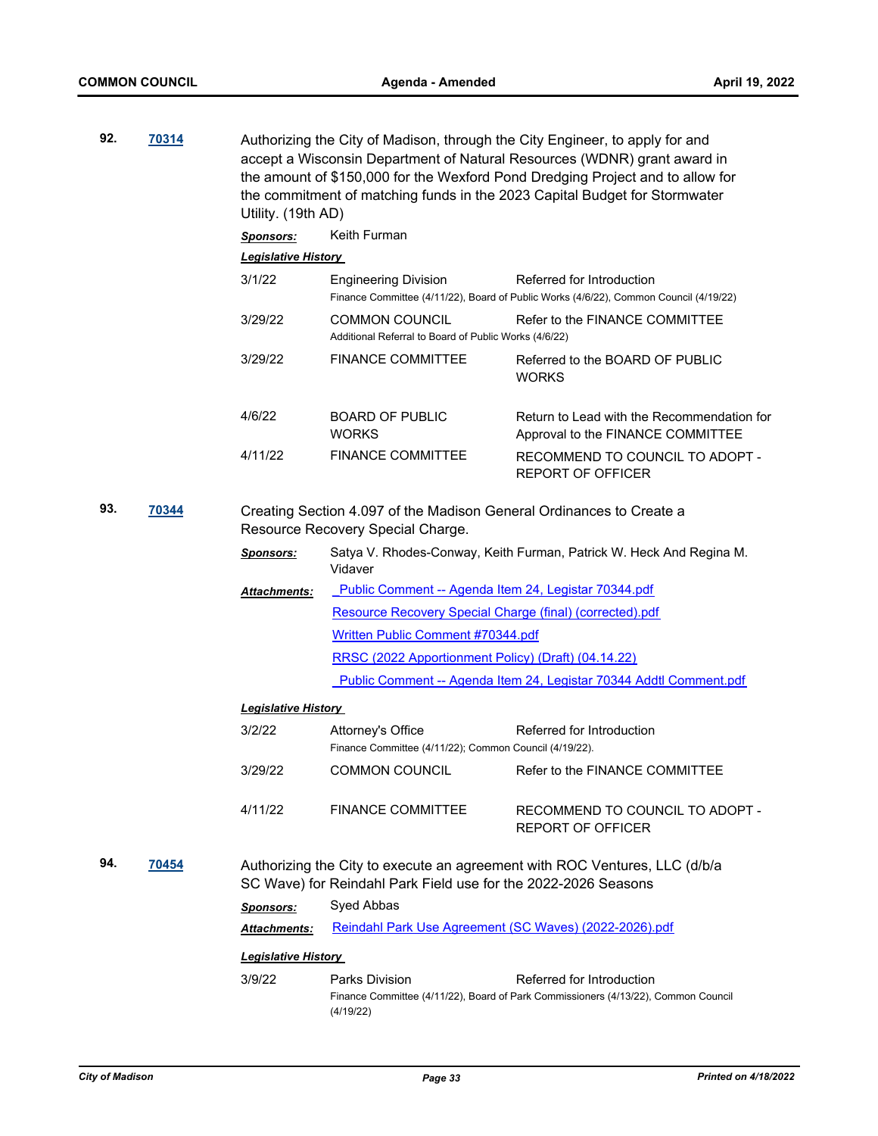| 92. | 70314        | Utility. (19th AD)         | Authorizing the City of Madison, through the City Engineer, to apply for and<br>accept a Wisconsin Department of Natural Resources (WDNR) grant award in<br>the amount of \$150,000 for the Wexford Pond Dredging Project and to allow for<br>the commitment of matching funds in the 2023 Capital Budget for Stormwater |                                                                                                                    |  |  |  |
|-----|--------------|----------------------------|--------------------------------------------------------------------------------------------------------------------------------------------------------------------------------------------------------------------------------------------------------------------------------------------------------------------------|--------------------------------------------------------------------------------------------------------------------|--|--|--|
|     |              | <b>Sponsors:</b>           | Keith Furman                                                                                                                                                                                                                                                                                                             |                                                                                                                    |  |  |  |
|     |              | <b>Legislative History</b> |                                                                                                                                                                                                                                                                                                                          |                                                                                                                    |  |  |  |
|     |              | 3/1/22                     | <b>Engineering Division</b>                                                                                                                                                                                                                                                                                              | Referred for Introduction<br>Finance Committee (4/11/22), Board of Public Works (4/6/22), Common Council (4/19/22) |  |  |  |
|     |              | 3/29/22                    | <b>COMMON COUNCIL</b><br>Additional Referral to Board of Public Works (4/6/22)                                                                                                                                                                                                                                           | Refer to the FINANCE COMMITTEE                                                                                     |  |  |  |
|     |              | 3/29/22                    | <b>FINANCE COMMITTEE</b>                                                                                                                                                                                                                                                                                                 | Referred to the BOARD OF PUBLIC<br><b>WORKS</b>                                                                    |  |  |  |
|     |              | 4/6/22                     | <b>BOARD OF PUBLIC</b><br><b>WORKS</b>                                                                                                                                                                                                                                                                                   | Return to Lead with the Recommendation for<br>Approval to the FINANCE COMMITTEE                                    |  |  |  |
|     |              | 4/11/22                    | <b>FINANCE COMMITTEE</b>                                                                                                                                                                                                                                                                                                 | RECOMMEND TO COUNCIL TO ADOPT -<br><b>REPORT OF OFFICER</b>                                                        |  |  |  |
| 93. | <u>70344</u> |                            | Creating Section 4.097 of the Madison General Ordinances to Create a<br>Resource Recovery Special Charge.                                                                                                                                                                                                                |                                                                                                                    |  |  |  |
|     |              | <b>Sponsors:</b>           | Vidaver                                                                                                                                                                                                                                                                                                                  | Satya V. Rhodes-Conway, Keith Furman, Patrick W. Heck And Regina M.                                                |  |  |  |
|     |              | Attachments:               | Public Comment -- Agenda Item 24, Legistar 70344.pdf                                                                                                                                                                                                                                                                     |                                                                                                                    |  |  |  |
|     |              |                            | Resource Recovery Special Charge (final) (corrected).pdf                                                                                                                                                                                                                                                                 |                                                                                                                    |  |  |  |
|     |              |                            | Written Public Comment #70344.pdf                                                                                                                                                                                                                                                                                        |                                                                                                                    |  |  |  |
|     |              |                            | RRSC (2022 Apportionment Policy) (Draft) (04.14.22)                                                                                                                                                                                                                                                                      |                                                                                                                    |  |  |  |
|     |              |                            |                                                                                                                                                                                                                                                                                                                          | Public Comment -- Agenda Item 24, Legistar 70344 Addtl Comment.pdf                                                 |  |  |  |
|     |              | <b>Legislative History</b> |                                                                                                                                                                                                                                                                                                                          |                                                                                                                    |  |  |  |
|     |              | 3/2/22                     | Attorney's Office<br>Finance Committee (4/11/22); Common Council (4/19/22).                                                                                                                                                                                                                                              | Referred for Introduction                                                                                          |  |  |  |
|     |              | 3/29/22                    | <b>COMMON COUNCIL</b>                                                                                                                                                                                                                                                                                                    | Refer to the FINANCE COMMITTEE                                                                                     |  |  |  |
|     |              | 4/11/22                    | <b>FINANCE COMMITTEE</b>                                                                                                                                                                                                                                                                                                 | RECOMMEND TO COUNCIL TO ADOPT -<br>REPORT OF OFFICER                                                               |  |  |  |
| 94. | 70454        |                            | SC Wave) for Reindahl Park Field use for the 2022-2026 Seasons                                                                                                                                                                                                                                                           | Authorizing the City to execute an agreement with ROC Ventures, LLC (d/b/a                                         |  |  |  |
|     |              | <b>Sponsors:</b>           | Syed Abbas                                                                                                                                                                                                                                                                                                               |                                                                                                                    |  |  |  |
|     |              | <b>Attachments:</b>        | Reindahl Park Use Agreement (SC Waves) (2022-2026).pdf                                                                                                                                                                                                                                                                   |                                                                                                                    |  |  |  |
|     |              | <b>Legislative History</b> |                                                                                                                                                                                                                                                                                                                          |                                                                                                                    |  |  |  |
|     |              | 3/9/22                     | <b>Parks Division</b>                                                                                                                                                                                                                                                                                                    | Referred for Introduction                                                                                          |  |  |  |
|     |              |                            | (4/19/22)                                                                                                                                                                                                                                                                                                                | Finance Committee (4/11/22), Board of Park Commissioners (4/13/22), Common Council                                 |  |  |  |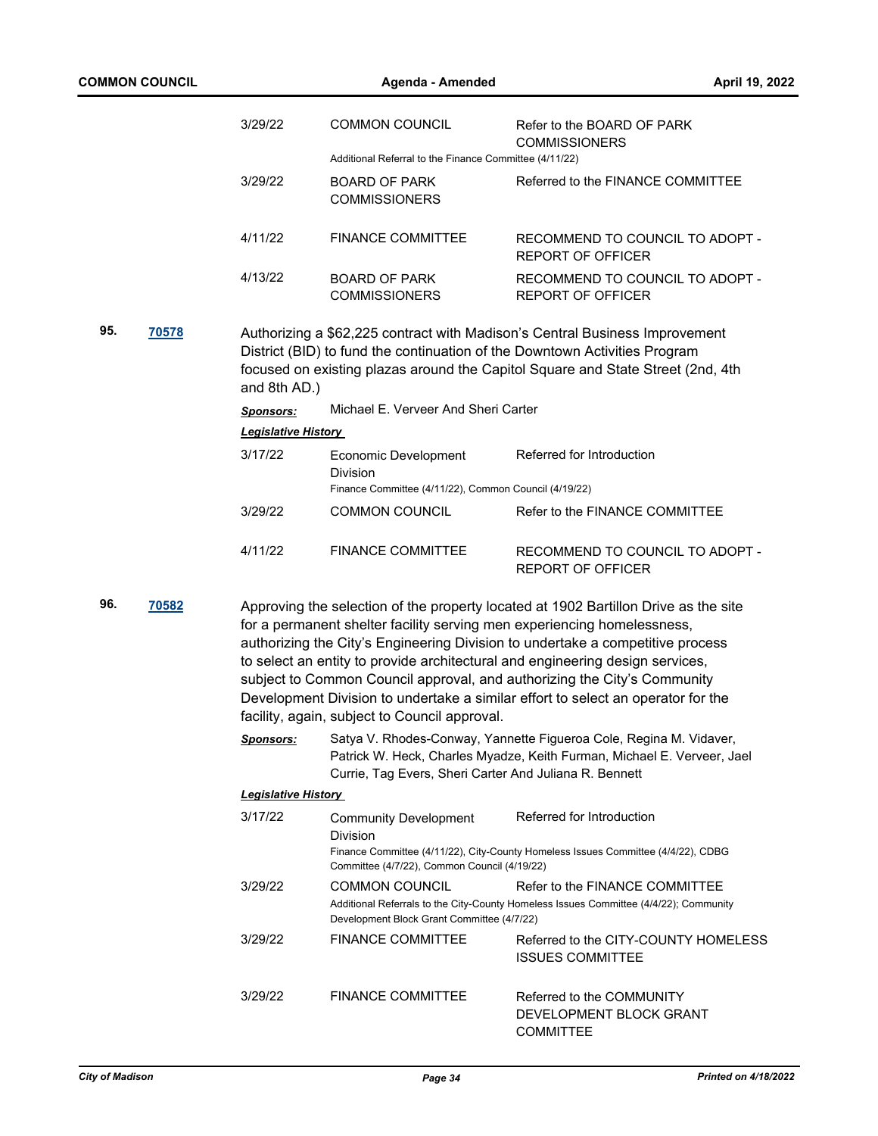| <b>COMMON COUNCIL</b>                                                                                                                                                                                                                                                                                                                                                                                                                                                                                                                                              |       |                                  | Agenda - Amended                                                                                | April 19, 2022                                                                                                                                                                                                                               |
|--------------------------------------------------------------------------------------------------------------------------------------------------------------------------------------------------------------------------------------------------------------------------------------------------------------------------------------------------------------------------------------------------------------------------------------------------------------------------------------------------------------------------------------------------------------------|-------|----------------------------------|-------------------------------------------------------------------------------------------------|----------------------------------------------------------------------------------------------------------------------------------------------------------------------------------------------------------------------------------------------|
|                                                                                                                                                                                                                                                                                                                                                                                                                                                                                                                                                                    |       | 3/29/22                          | <b>COMMON COUNCIL</b>                                                                           | Refer to the BOARD OF PARK<br><b>COMMISSIONERS</b>                                                                                                                                                                                           |
|                                                                                                                                                                                                                                                                                                                                                                                                                                                                                                                                                                    |       |                                  | Additional Referral to the Finance Committee (4/11/22)                                          |                                                                                                                                                                                                                                              |
|                                                                                                                                                                                                                                                                                                                                                                                                                                                                                                                                                                    |       | 3/29/22                          | <b>BOARD OF PARK</b><br><b>COMMISSIONERS</b>                                                    | Referred to the FINANCE COMMITTEE                                                                                                                                                                                                            |
|                                                                                                                                                                                                                                                                                                                                                                                                                                                                                                                                                                    |       | 4/11/22                          | <b>FINANCE COMMITTEE</b>                                                                        | RECOMMEND TO COUNCIL TO ADOPT -<br><b>REPORT OF OFFICER</b>                                                                                                                                                                                  |
|                                                                                                                                                                                                                                                                                                                                                                                                                                                                                                                                                                    |       | 4/13/22                          | <b>BOARD OF PARK</b><br><b>COMMISSIONERS</b>                                                    | RECOMMEND TO COUNCIL TO ADOPT -<br><b>REPORT OF OFFICER</b>                                                                                                                                                                                  |
| 95.                                                                                                                                                                                                                                                                                                                                                                                                                                                                                                                                                                | 70578 | and 8th AD.)<br><b>Sponsors:</b> | Michael E. Verveer And Sheri Carter                                                             | Authorizing a \$62,225 contract with Madison's Central Business Improvement<br>District (BID) to fund the continuation of the Downtown Activities Program<br>focused on existing plazas around the Capitol Square and State Street (2nd, 4th |
|                                                                                                                                                                                                                                                                                                                                                                                                                                                                                                                                                                    |       | <b>Legislative History</b>       |                                                                                                 |                                                                                                                                                                                                                                              |
|                                                                                                                                                                                                                                                                                                                                                                                                                                                                                                                                                                    |       | 3/17/22                          | Economic Development<br><b>Division</b>                                                         | Referred for Introduction                                                                                                                                                                                                                    |
|                                                                                                                                                                                                                                                                                                                                                                                                                                                                                                                                                                    |       | 3/29/22                          | Finance Committee (4/11/22), Common Council (4/19/22)                                           |                                                                                                                                                                                                                                              |
|                                                                                                                                                                                                                                                                                                                                                                                                                                                                                                                                                                    |       |                                  | <b>COMMON COUNCIL</b>                                                                           | Refer to the FINANCE COMMITTEE                                                                                                                                                                                                               |
|                                                                                                                                                                                                                                                                                                                                                                                                                                                                                                                                                                    |       | 4/11/22                          | <b>FINANCE COMMITTEE</b>                                                                        | RECOMMEND TO COUNCIL TO ADOPT -<br><b>REPORT OF OFFICER</b>                                                                                                                                                                                  |
| 96.<br>70582<br>Approving the selection of the property located at 1902 Bartillon Drive as the site<br>for a permanent shelter facility serving men experiencing homelessness,<br>authorizing the City's Engineering Division to undertake a competitive process<br>to select an entity to provide architectural and engineering design services,<br>subject to Common Council approval, and authorizing the City's Community<br>Development Division to undertake a similar effort to select an operator for the<br>facility, again, subject to Council approval. |       |                                  |                                                                                                 |                                                                                                                                                                                                                                              |
|                                                                                                                                                                                                                                                                                                                                                                                                                                                                                                                                                                    |       | <b>Sponsors:</b>                 | Currie, Tag Evers, Sheri Carter And Juliana R. Bennett                                          | Satya V. Rhodes-Conway, Yannette Figueroa Cole, Regina M. Vidaver,<br>Patrick W. Heck, Charles Myadze, Keith Furman, Michael E. Verveer, Jael                                                                                                |
|                                                                                                                                                                                                                                                                                                                                                                                                                                                                                                                                                                    |       | <b>Legislative History</b>       |                                                                                                 |                                                                                                                                                                                                                                              |
|                                                                                                                                                                                                                                                                                                                                                                                                                                                                                                                                                                    |       | 3/17/22                          | <b>Community Development</b><br><b>Division</b><br>Committee (4/7/22), Common Council (4/19/22) | Referred for Introduction<br>Finance Committee (4/11/22), City-County Homeless Issues Committee (4/4/22), CDBG                                                                                                                               |
|                                                                                                                                                                                                                                                                                                                                                                                                                                                                                                                                                                    |       | 3/29/22                          | <b>COMMON COUNCIL</b><br>Development Block Grant Committee (4/7/22)                             | Refer to the FINANCE COMMITTEE<br>Additional Referrals to the City-County Homeless Issues Committee (4/4/22); Community                                                                                                                      |
|                                                                                                                                                                                                                                                                                                                                                                                                                                                                                                                                                                    |       | 3/29/22                          | <b>FINANCE COMMITTEE</b>                                                                        | Referred to the CITY-COUNTY HOMELESS<br><b>ISSUES COMMITTEE</b>                                                                                                                                                                              |
|                                                                                                                                                                                                                                                                                                                                                                                                                                                                                                                                                                    |       | 3/29/22                          | <b>FINANCE COMMITTEE</b>                                                                        | Referred to the COMMUNITY<br>DEVELOPMENT BLOCK GRANT<br><b>COMMITTEE</b>                                                                                                                                                                     |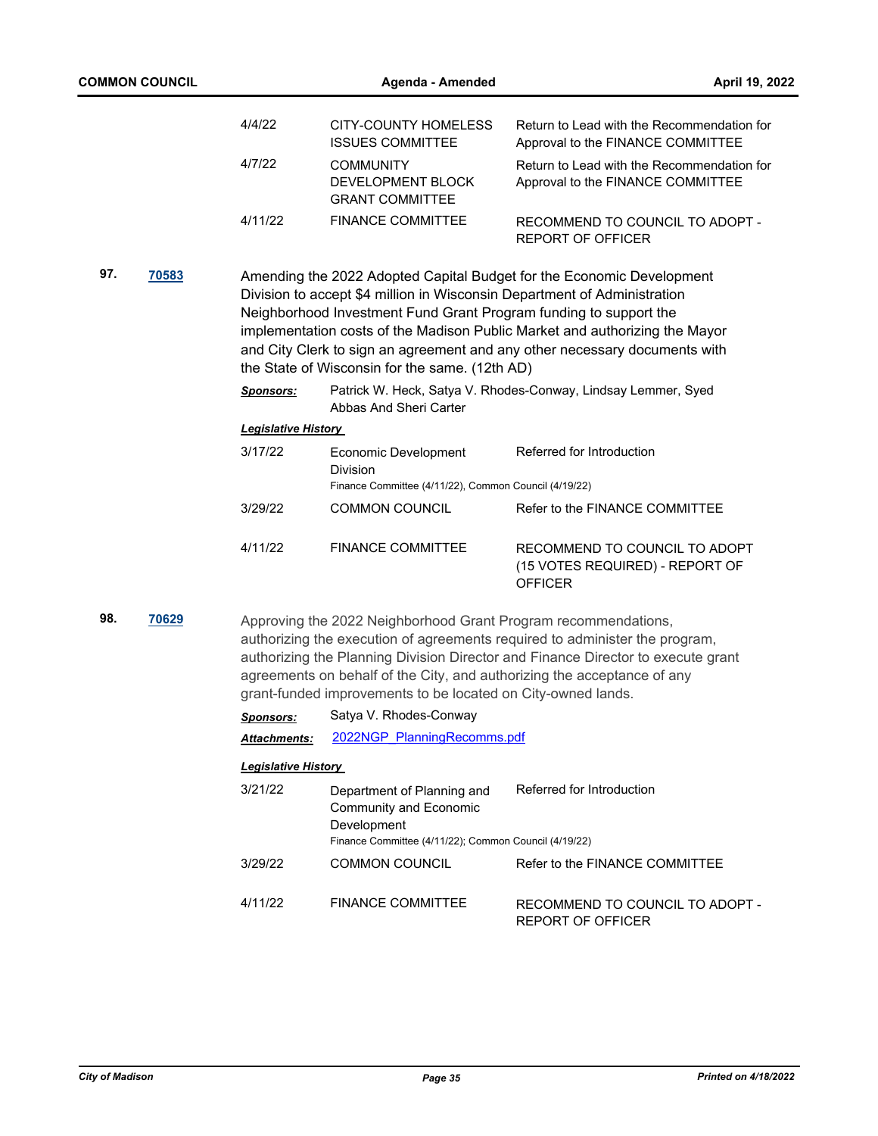|     |       | 4/4/22                     | <b>CITY-COUNTY HOMELESS</b><br><b>ISSUES COMMITTEE</b>                                                                                                                                                    | Return to Lead with the Recommendation for<br>Approval to the FINANCE COMMITTEE                                                                                                                                                    |
|-----|-------|----------------------------|-----------------------------------------------------------------------------------------------------------------------------------------------------------------------------------------------------------|------------------------------------------------------------------------------------------------------------------------------------------------------------------------------------------------------------------------------------|
|     |       | 4/7/22                     | <b>COMMUNITY</b><br>DEVELOPMENT BLOCK<br><b>GRANT COMMITTEE</b>                                                                                                                                           | Return to Lead with the Recommendation for<br>Approval to the FINANCE COMMITTEE                                                                                                                                                    |
|     |       | 4/11/22                    | <b>FINANCE COMMITTEE</b>                                                                                                                                                                                  | RECOMMEND TO COUNCIL TO ADOPT -<br><b>REPORT OF OFFICER</b>                                                                                                                                                                        |
| 97. | 70583 |                            | Division to accept \$4 million in Wisconsin Department of Administration<br>Neighborhood Investment Fund Grant Program funding to support the<br>the State of Wisconsin for the same. (12th AD)           | Amending the 2022 Adopted Capital Budget for the Economic Development<br>implementation costs of the Madison Public Market and authorizing the Mayor<br>and City Clerk to sign an agreement and any other necessary documents with |
|     |       | <b>Sponsors:</b>           | Abbas And Sheri Carter                                                                                                                                                                                    | Patrick W. Heck, Satya V. Rhodes-Conway, Lindsay Lemmer, Syed                                                                                                                                                                      |
|     |       | <b>Legislative History</b> |                                                                                                                                                                                                           |                                                                                                                                                                                                                                    |
|     |       | 3/17/22                    | <b>Economic Development</b><br><b>Division</b><br>Finance Committee (4/11/22), Common Council (4/19/22)                                                                                                   | Referred for Introduction                                                                                                                                                                                                          |
|     |       | 3/29/22                    | <b>COMMON COUNCIL</b>                                                                                                                                                                                     | Refer to the FINANCE COMMITTEE                                                                                                                                                                                                     |
|     |       |                            |                                                                                                                                                                                                           |                                                                                                                                                                                                                                    |
|     |       | 4/11/22                    | <b>FINANCE COMMITTEE</b>                                                                                                                                                                                  | RECOMMEND TO COUNCIL TO ADOPT<br>(15 VOTES REQUIRED) - REPORT OF<br><b>OFFICER</b>                                                                                                                                                 |
| 98. | 70629 |                            | Approving the 2022 Neighborhood Grant Program recommendations,<br>agreements on behalf of the City, and authorizing the acceptance of any<br>arant funded improvements to he leasted an Oity owned lands. | authorizing the execution of agreements required to administer the program,<br>authorizing the Planning Division Director and Finance Director to execute grant                                                                    |

|                            | grant-funded improvements to be located on City-owned lands.                                                                        |                                                      |  |  |  |
|----------------------------|-------------------------------------------------------------------------------------------------------------------------------------|------------------------------------------------------|--|--|--|
| <b>Sponsors:</b>           | Satya V. Rhodes-Conway                                                                                                              |                                                      |  |  |  |
| <b>Attachments:</b>        | 2022NGP PlanningRecomms.pdf                                                                                                         |                                                      |  |  |  |
| <b>Legislative History</b> |                                                                                                                                     |                                                      |  |  |  |
| 3/21/22                    | Department of Planning and<br><b>Community and Economic</b><br>Development<br>Finance Committee (4/11/22); Common Council (4/19/22) | Referred for Introduction                            |  |  |  |
| 3/29/22                    | <b>COMMON COUNCIL</b>                                                                                                               | Refer to the FINANCE COMMITTEE                       |  |  |  |
| 4/11/22                    | <b>FINANCE COMMITTEE</b>                                                                                                            | RECOMMEND TO COUNCIL TO ADOPT -<br>REPORT OF OFFICER |  |  |  |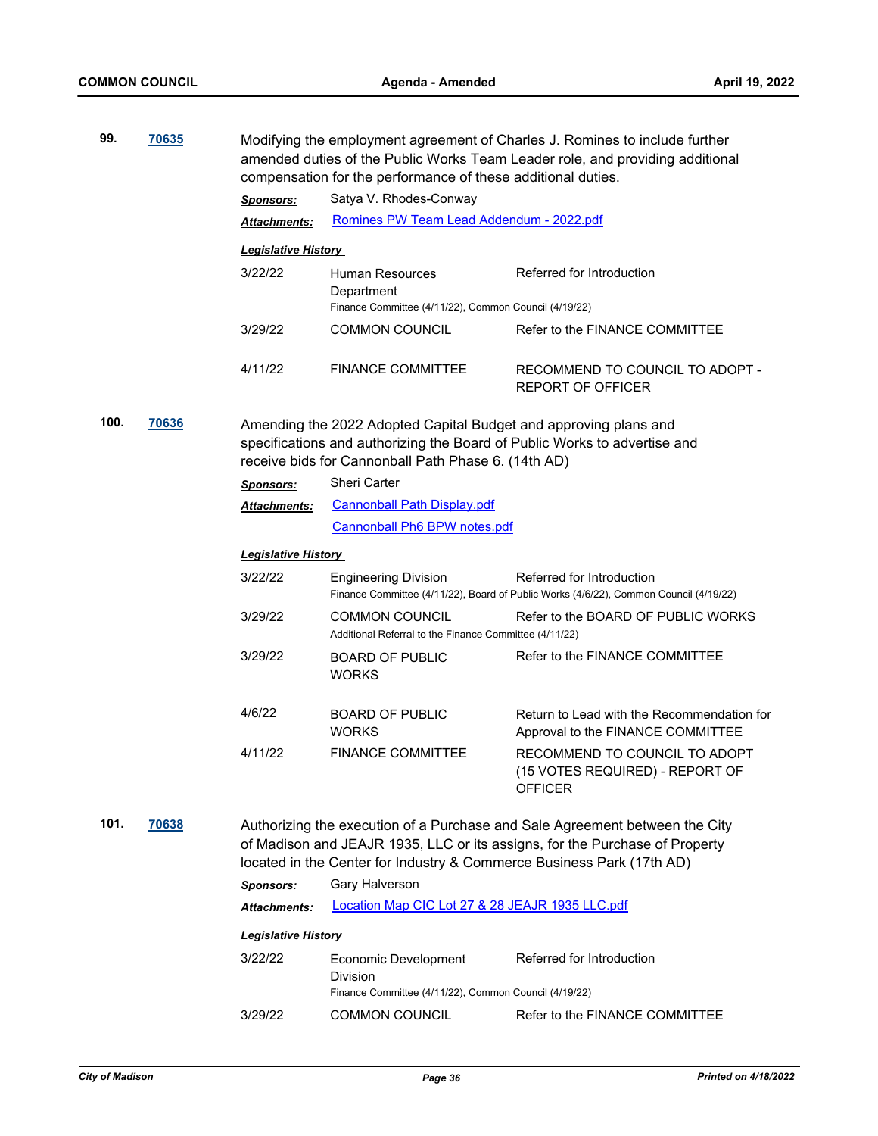| 99.           | 70635 |                                                                                                                                                                                                                                     | Modifying the employment agreement of Charles J. Romines to include further<br>amended duties of the Public Works Team Leader role, and providing additional<br>compensation for the performance of these additional duties. |                                                                                                                    |  |
|---------------|-------|-------------------------------------------------------------------------------------------------------------------------------------------------------------------------------------------------------------------------------------|------------------------------------------------------------------------------------------------------------------------------------------------------------------------------------------------------------------------------|--------------------------------------------------------------------------------------------------------------------|--|
|               |       | <b>Sponsors:</b>                                                                                                                                                                                                                    | Satya V. Rhodes-Conway                                                                                                                                                                                                       |                                                                                                                    |  |
|               |       | Attachments:                                                                                                                                                                                                                        | Romines PW Team Lead Addendum - 2022.pdf                                                                                                                                                                                     |                                                                                                                    |  |
|               |       | <b>Legislative History</b>                                                                                                                                                                                                          |                                                                                                                                                                                                                              |                                                                                                                    |  |
|               |       | 3/22/22                                                                                                                                                                                                                             | Human Resources<br>Department<br>Finance Committee (4/11/22), Common Council (4/19/22)                                                                                                                                       | Referred for Introduction                                                                                          |  |
|               |       | 3/29/22                                                                                                                                                                                                                             | <b>COMMON COUNCIL</b>                                                                                                                                                                                                        | Refer to the FINANCE COMMITTEE                                                                                     |  |
|               |       | 4/11/22                                                                                                                                                                                                                             | <b>FINANCE COMMITTEE</b>                                                                                                                                                                                                     | RECOMMEND TO COUNCIL TO ADOPT -<br><b>REPORT OF OFFICER</b>                                                        |  |
| 100.<br>70636 |       | Amending the 2022 Adopted Capital Budget and approving plans and<br>receive bids for Cannonball Path Phase 6. (14th AD)                                                                                                             | specifications and authorizing the Board of Public Works to advertise and                                                                                                                                                    |                                                                                                                    |  |
|               |       | <b>Sponsors:</b>                                                                                                                                                                                                                    | <b>Sheri Carter</b>                                                                                                                                                                                                          |                                                                                                                    |  |
|               |       | Attachments:                                                                                                                                                                                                                        | <b>Cannonball Path Display.pdf</b>                                                                                                                                                                                           |                                                                                                                    |  |
|               |       |                                                                                                                                                                                                                                     | Cannonball Ph6 BPW notes.pdf                                                                                                                                                                                                 |                                                                                                                    |  |
|               |       | <b>Legislative History</b>                                                                                                                                                                                                          |                                                                                                                                                                                                                              |                                                                                                                    |  |
|               |       | 3/22/22                                                                                                                                                                                                                             | <b>Engineering Division</b>                                                                                                                                                                                                  | Referred for Introduction<br>Finance Committee (4/11/22), Board of Public Works (4/6/22), Common Council (4/19/22) |  |
|               |       | 3/29/22                                                                                                                                                                                                                             | <b>COMMON COUNCIL</b><br>Additional Referral to the Finance Committee (4/11/22)                                                                                                                                              | Refer to the BOARD OF PUBLIC WORKS                                                                                 |  |
|               |       | 3/29/22                                                                                                                                                                                                                             | <b>BOARD OF PUBLIC</b><br><b>WORKS</b>                                                                                                                                                                                       | Refer to the FINANCE COMMITTEE                                                                                     |  |
|               |       | 4/6/22                                                                                                                                                                                                                              | <b>BOARD OF PUBLIC</b><br><b>WORKS</b>                                                                                                                                                                                       | Return to Lead with the Recommendation for<br>Approval to the FINANCE COMMITTEE                                    |  |
|               |       | 4/11/22                                                                                                                                                                                                                             | <b>FINANCE COMMITTEE</b>                                                                                                                                                                                                     | RECOMMEND TO COUNCIL TO ADOPT<br>(15 VOTES REQUIRED) - REPORT OF<br><b>OFFICER</b>                                 |  |
| 101.<br>70638 |       | Authorizing the execution of a Purchase and Sale Agreement between the City<br>of Madison and JEAJR 1935, LLC or its assigns, for the Purchase of Property<br>located in the Center for Industry & Commerce Business Park (17th AD) |                                                                                                                                                                                                                              |                                                                                                                    |  |
|               |       | <b>Sponsors:</b>                                                                                                                                                                                                                    | Gary Halverson                                                                                                                                                                                                               |                                                                                                                    |  |
|               |       | <b>Attachments:</b>                                                                                                                                                                                                                 | Location Map CIC Lot 27 & 28 JEAJR 1935 LLC.pdf                                                                                                                                                                              |                                                                                                                    |  |
|               |       | <b>Legislative History</b>                                                                                                                                                                                                          |                                                                                                                                                                                                                              |                                                                                                                    |  |
|               |       | 3/22/22                                                                                                                                                                                                                             | Economic Development<br>Division<br>Finance Committee (4/11/22), Common Council (4/19/22)                                                                                                                                    | Referred for Introduction                                                                                          |  |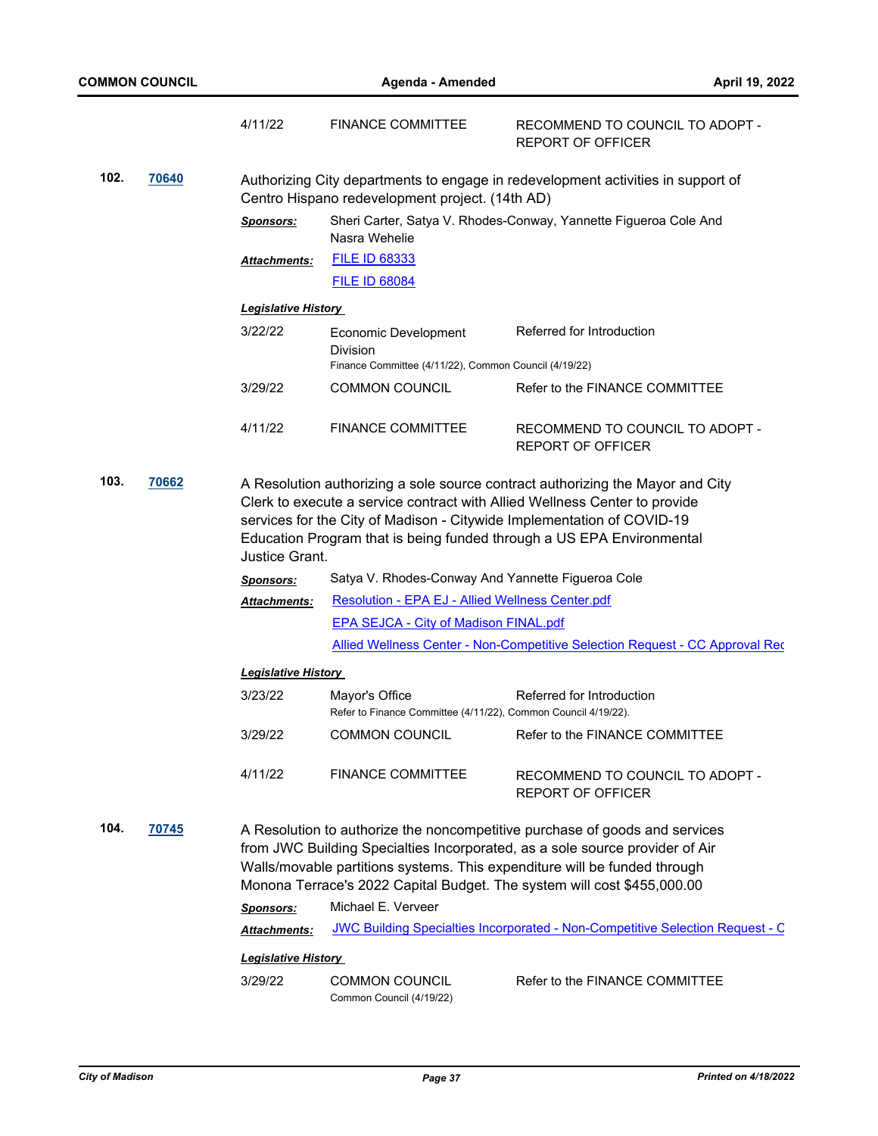|               |       | 4/11/22                                                                                                                             | <b>FINANCE COMMITTEE</b>                                                                                                                                                                                                                                                                                        | RECOMMEND TO COUNCIL TO ADOPT -<br><b>REPORT OF OFFICER</b>                                                                                                                                                                                                                                                         |  |  |  |  |
|---------------|-------|-------------------------------------------------------------------------------------------------------------------------------------|-----------------------------------------------------------------------------------------------------------------------------------------------------------------------------------------------------------------------------------------------------------------------------------------------------------------|---------------------------------------------------------------------------------------------------------------------------------------------------------------------------------------------------------------------------------------------------------------------------------------------------------------------|--|--|--|--|
| 102.<br>70640 |       | Authorizing City departments to engage in redevelopment activities in support of<br>Centro Hispano redevelopment project. (14th AD) |                                                                                                                                                                                                                                                                                                                 |                                                                                                                                                                                                                                                                                                                     |  |  |  |  |
|               |       | <b>Sponsors:</b>                                                                                                                    | Nasra Wehelie                                                                                                                                                                                                                                                                                                   | Sheri Carter, Satya V. Rhodes-Conway, Yannette Figueroa Cole And                                                                                                                                                                                                                                                    |  |  |  |  |
|               |       | <b>Attachments:</b>                                                                                                                 | <b>FILE ID 68333</b>                                                                                                                                                                                                                                                                                            |                                                                                                                                                                                                                                                                                                                     |  |  |  |  |
|               |       |                                                                                                                                     | <b>FILE ID 68084</b>                                                                                                                                                                                                                                                                                            |                                                                                                                                                                                                                                                                                                                     |  |  |  |  |
|               |       | <b>Legislative History</b>                                                                                                          |                                                                                                                                                                                                                                                                                                                 |                                                                                                                                                                                                                                                                                                                     |  |  |  |  |
|               |       | 3/22/22                                                                                                                             | Economic Development<br>Division                                                                                                                                                                                                                                                                                | Referred for Introduction                                                                                                                                                                                                                                                                                           |  |  |  |  |
|               |       |                                                                                                                                     | Finance Committee (4/11/22), Common Council (4/19/22)                                                                                                                                                                                                                                                           |                                                                                                                                                                                                                                                                                                                     |  |  |  |  |
|               |       | 3/29/22                                                                                                                             | <b>COMMON COUNCIL</b>                                                                                                                                                                                                                                                                                           | Refer to the FINANCE COMMITTEE                                                                                                                                                                                                                                                                                      |  |  |  |  |
|               |       | 4/11/22                                                                                                                             | <b>FINANCE COMMITTEE</b>                                                                                                                                                                                                                                                                                        | RECOMMEND TO COUNCIL TO ADOPT -<br><b>REPORT OF OFFICER</b>                                                                                                                                                                                                                                                         |  |  |  |  |
| 103.          | 70662 | Justice Grant.                                                                                                                      | A Resolution authorizing a sole source contract authorizing the Mayor and City<br>Clerk to execute a service contract with Allied Wellness Center to provide<br>services for the City of Madison - Citywide Implementation of COVID-19<br>Education Program that is being funded through a US EPA Environmental |                                                                                                                                                                                                                                                                                                                     |  |  |  |  |
|               |       | <b>Sponsors:</b>                                                                                                                    | Satya V. Rhodes-Conway And Yannette Figueroa Cole                                                                                                                                                                                                                                                               |                                                                                                                                                                                                                                                                                                                     |  |  |  |  |
|               |       | <u>Attachments:</u>                                                                                                                 | Resolution - EPA EJ - Allied Wellness Center.pdf                                                                                                                                                                                                                                                                |                                                                                                                                                                                                                                                                                                                     |  |  |  |  |
|               |       |                                                                                                                                     | <b>EPA SEJCA - City of Madison FINAL.pdf</b>                                                                                                                                                                                                                                                                    |                                                                                                                                                                                                                                                                                                                     |  |  |  |  |
|               |       |                                                                                                                                     |                                                                                                                                                                                                                                                                                                                 | Allied Wellness Center - Non-Competitive Selection Request - CC Approval Req                                                                                                                                                                                                                                        |  |  |  |  |
|               |       | <b>Legislative History</b>                                                                                                          |                                                                                                                                                                                                                                                                                                                 |                                                                                                                                                                                                                                                                                                                     |  |  |  |  |
|               |       | 3/23/22                                                                                                                             | Mayor's Office                                                                                                                                                                                                                                                                                                  | Referred for Introduction                                                                                                                                                                                                                                                                                           |  |  |  |  |
|               |       |                                                                                                                                     | Refer to Finance Committee (4/11/22), Common Council 4/19/22).                                                                                                                                                                                                                                                  |                                                                                                                                                                                                                                                                                                                     |  |  |  |  |
|               |       | 3/29/22                                                                                                                             | <b>COMMON COUNCIL</b>                                                                                                                                                                                                                                                                                           | Refer to the FINANCE COMMITTEE                                                                                                                                                                                                                                                                                      |  |  |  |  |
|               |       | 4/11/22                                                                                                                             | <b>FINANCE COMMITTEE</b>                                                                                                                                                                                                                                                                                        | RECOMMEND TO COUNCIL TO ADOPT -<br><b>REPORT OF OFFICER</b>                                                                                                                                                                                                                                                         |  |  |  |  |
| 104.          | 70745 |                                                                                                                                     |                                                                                                                                                                                                                                                                                                                 | A Resolution to authorize the noncompetitive purchase of goods and services<br>from JWC Building Specialties Incorporated, as a sole source provider of Air<br>Walls/movable partitions systems. This expenditure will be funded through<br>Monona Terrace's 2022 Capital Budget. The system will cost \$455,000.00 |  |  |  |  |
|               |       | Sponsors:                                                                                                                           | Michael E. Verveer                                                                                                                                                                                                                                                                                              |                                                                                                                                                                                                                                                                                                                     |  |  |  |  |
|               |       | <b>Attachments:</b>                                                                                                                 |                                                                                                                                                                                                                                                                                                                 | JWC Building Specialties Incorporated - Non-Competitive Selection Request - C                                                                                                                                                                                                                                       |  |  |  |  |
|               |       | <b>Legislative History</b>                                                                                                          |                                                                                                                                                                                                                                                                                                                 |                                                                                                                                                                                                                                                                                                                     |  |  |  |  |
|               |       | 3/29/22                                                                                                                             | <b>COMMON COUNCIL</b><br>Common Council (4/19/22)                                                                                                                                                                                                                                                               | Refer to the FINANCE COMMITTEE                                                                                                                                                                                                                                                                                      |  |  |  |  |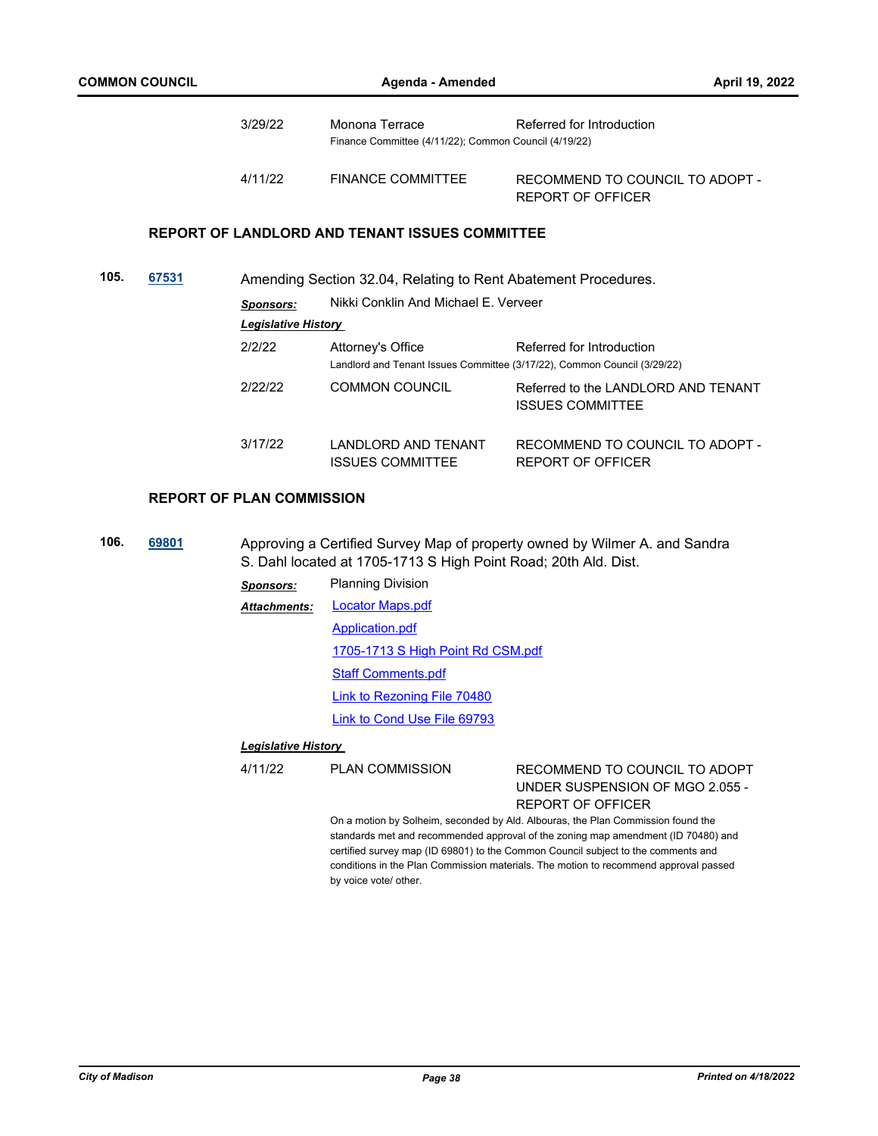|      |       | 3/29/22                          | Monona Terrace<br>Finance Committee (4/11/22); Common Council (4/19/22) | Referred for Introduction                                                                             |
|------|-------|----------------------------------|-------------------------------------------------------------------------|-------------------------------------------------------------------------------------------------------|
|      |       | 4/11/22                          | <b>FINANCE COMMITTEE</b>                                                | RECOMMEND TO COUNCIL TO ADOPT -<br>REPORT OF OFFICER                                                  |
|      |       |                                  | <b>REPORT OF LANDLORD AND TENANT ISSUES COMMITTEE</b>                   |                                                                                                       |
| 105. | 67531 |                                  | Amending Section 32.04, Relating to Rent Abatement Procedures.          |                                                                                                       |
|      |       | <b>Sponsors:</b>                 | Nikki Conklin And Michael F. Verveer                                    |                                                                                                       |
|      |       | <b>Legislative History</b>       |                                                                         |                                                                                                       |
|      |       | 2/2/22                           | Attorney's Office                                                       | Referred for Introduction<br>Landlord and Tenant Issues Committee (3/17/22), Common Council (3/29/22) |
|      |       | 2/22/22                          | <b>COMMON COUNCIL</b>                                                   | Referred to the LANDI ORD AND TENANT<br><b>ISSUES COMMITTEE</b>                                       |
|      |       | 3/17/22                          | LANDLORD AND TENANT<br><b>ISSUES COMMITTEE</b>                          | RECOMMEND TO COUNCIL TO ADOPT -<br><b>REPORT OF OFFICER</b>                                           |
|      |       | <b>REPORT OF PLAN COMMISSION</b> |                                                                         |                                                                                                       |

**106. [69801](http://madison.legistar.com/gateway.aspx?m=l&id=/matter.aspx?key=81105)** Approving a Certified Survey Map of property owned by Wilmer A. and Sandra S. Dahl located at 1705-1713 S High Point Road; 20th Ald. Dist.

> *Sponsors:* Planning Division [Locator Maps.pdf](http://madison.legistar.com/gateway.aspx?M=F&ID=8906da98-409c-4305-af5e-f024163f66da.pdf) [Application.pdf](http://madison.legistar.com/gateway.aspx?M=F&ID=76199741-1198-4ce9-9fe1-ae078532ac59.pdf) [1705-1713 S High Point Rd CSM.pdf](http://madison.legistar.com/gateway.aspx?M=F&ID=74dc125d-440f-4454-a87a-438a98c9b035.pdf) [Staff Comments.pdf](http://madison.legistar.com/gateway.aspx?M=F&ID=0a690e44-7470-4d65-abcb-fdf3bf07e36b.pdf) [Link to Rezoning File 70480](https://madison.legistar.com/LegislationDetail.aspx?ID=5533253&GUID=F9D1FDB3-E23F-4C17-9143-C9E61350CA78) [Link to Cond Use File 69793](https://madison.legistar.com/LegislationDetail.aspx?ID=5449265&GUID=5927340F-A9AE-4F5F-BE8F-5386ED3067B0) *Attachments:*

#### *Legislative History*

#### 4/11/22 PLAN COMMISSION RECOMMEND TO COUNCIL TO ADOPT UNDER SUSPENSION OF MGO 2.055 - REPORT OF OFFICER

On a motion by Solheim, seconded by Ald. Albouras, the Plan Commission found the standards met and recommended approval of the zoning map amendment (ID 70480) and certified survey map (ID 69801) to the Common Council subject to the comments and conditions in the Plan Commission materials. The motion to recommend approval passed by voice vote/ other.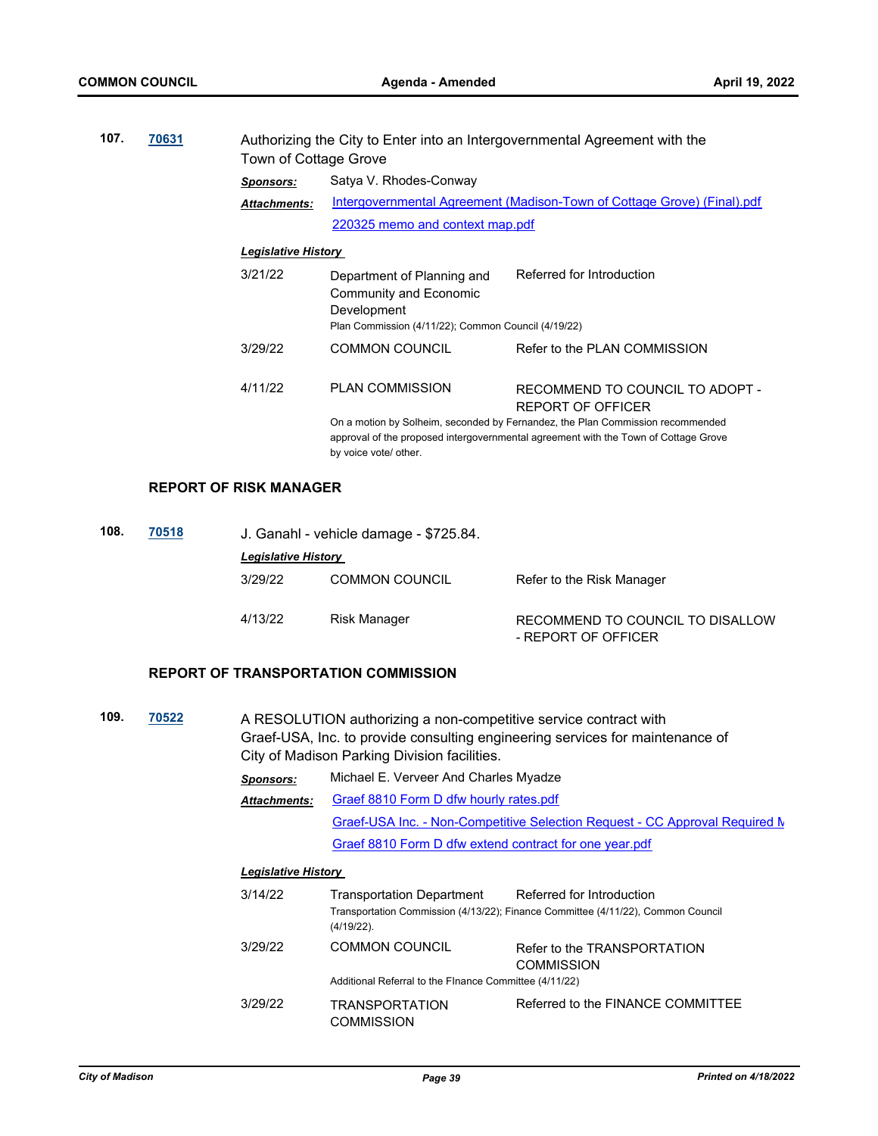| 107. | 70631 | Authorizing the City to Enter into an Intergovernmental Agreement with the<br>Town of Cottage Grove |                                                                                                                            |                                                                                                                                                                                                                               |  |
|------|-------|-----------------------------------------------------------------------------------------------------|----------------------------------------------------------------------------------------------------------------------------|-------------------------------------------------------------------------------------------------------------------------------------------------------------------------------------------------------------------------------|--|
|      |       | <b>Sponsors:</b>                                                                                    | Satya V. Rhodes-Conway                                                                                                     |                                                                                                                                                                                                                               |  |
|      |       | <b>Attachments:</b>                                                                                 | Intergovernmental Agreement (Madison-Town of Cottage Grove) (Final).pdf                                                    |                                                                                                                                                                                                                               |  |
|      |       |                                                                                                     | 220325 memo and context map.pdf                                                                                            |                                                                                                                                                                                                                               |  |
|      |       | <b>Legislative History</b>                                                                          |                                                                                                                            |                                                                                                                                                                                                                               |  |
|      |       | 3/21/22                                                                                             | Department of Planning and<br>Community and Economic<br>Development<br>Plan Commission (4/11/22); Common Council (4/19/22) | Referred for Introduction                                                                                                                                                                                                     |  |
|      |       | 3/29/22                                                                                             | <b>COMMON COUNCIL</b>                                                                                                      | Refer to the PLAN COMMISSION                                                                                                                                                                                                  |  |
|      |       | 4/11/22                                                                                             | <b>PLAN COMMISSION</b><br>by voice vote/ other.                                                                            | RECOMMEND TO COUNCIL TO ADOPT -<br>REPORT OF OFFICER<br>On a motion by Solheim, seconded by Fernandez, the Plan Commission recommended<br>approval of the proposed intergovernmental agreement with the Town of Cottage Grove |  |

#### **REPORT OF RISK MANAGER**

| 108. | 70518 |                            | J. Ganahl - vehicle damage - \$725.84. |                                                         |  |  |
|------|-------|----------------------------|----------------------------------------|---------------------------------------------------------|--|--|
|      |       | <b>Legislative History</b> |                                        |                                                         |  |  |
|      |       | 3/29/22                    | <b>COMMON COUNCIL</b>                  | Refer to the Risk Manager                               |  |  |
|      |       | 4/13/22                    | Risk Manager                           | RECOMMEND TO COUNCIL TO DISALLOW<br>- REPORT OF OFFICER |  |  |

## **REPORT OF TRANSPORTATION COMMISSION**

| 70522 | A RESOLUTION authorizing a non-competitive service contract with<br>Graef-USA, Inc. to provide consulting engineering services for maintenance of<br>City of Madison Parking Division facilities. |                                                                             |                                                                                                                                                                                                                                   |  |
|-------|---------------------------------------------------------------------------------------------------------------------------------------------------------------------------------------------------|-----------------------------------------------------------------------------|-----------------------------------------------------------------------------------------------------------------------------------------------------------------------------------------------------------------------------------|--|
|       | <b>Sponsors:</b>                                                                                                                                                                                  |                                                                             |                                                                                                                                                                                                                                   |  |
|       | <b>Attachments:</b>                                                                                                                                                                               |                                                                             |                                                                                                                                                                                                                                   |  |
|       |                                                                                                                                                                                                   | Graef-USA Inc. - Non-Competitive Selection Request - CC Approval Required N |                                                                                                                                                                                                                                   |  |
|       |                                                                                                                                                                                                   |                                                                             |                                                                                                                                                                                                                                   |  |
|       |                                                                                                                                                                                                   |                                                                             |                                                                                                                                                                                                                                   |  |
|       | 3/14/22                                                                                                                                                                                           | Transportation Department<br>$(4/19/22)$ .                                  | Referred for Introduction<br>Transportation Commission (4/13/22); Finance Committee (4/11/22), Common Council                                                                                                                     |  |
|       | 3/29/22                                                                                                                                                                                           | <b>COMMON COUNCIL</b>                                                       | Refer to the TRANSPORTATION<br><b>COMMISSION</b>                                                                                                                                                                                  |  |
|       |                                                                                                                                                                                                   |                                                                             |                                                                                                                                                                                                                                   |  |
|       | 3/29/22                                                                                                                                                                                           | <b>TRANSPORTATION</b><br>COMMISSION                                         | Referred to the FINANCE COMMITTEE                                                                                                                                                                                                 |  |
|       |                                                                                                                                                                                                   |                                                                             | Michael E. Verveer And Charles Myadze<br>Graef 8810 Form D dfw hourly rates.pdf<br>Graef 8810 Form D dfw extend contract for one year.pdf<br><b>Legislative History</b><br>Additional Referral to the Finance Committee (4/11/22) |  |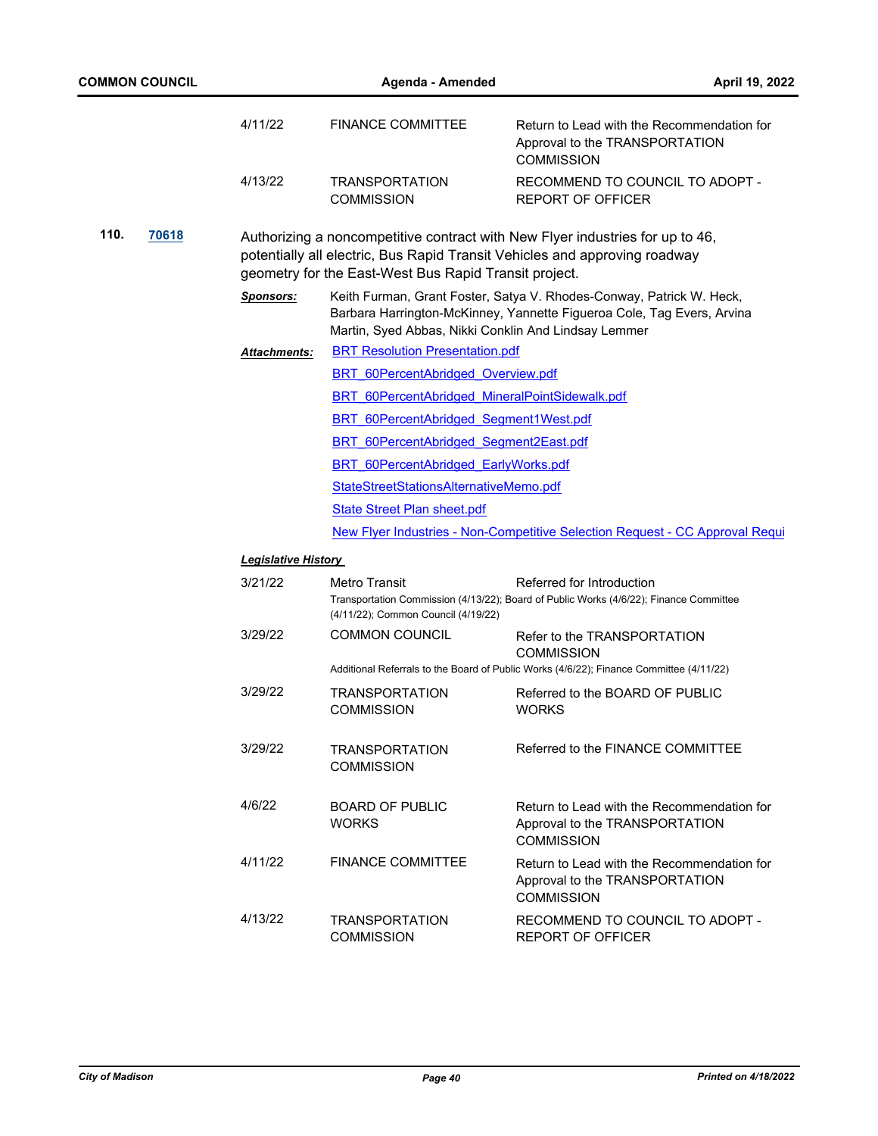| <b>COMMON COUNCIL</b> |                            | April 19, 2022<br>Agenda - Amended                    |                                                                                                                                                             |  |  |  |  |
|-----------------------|----------------------------|-------------------------------------------------------|-------------------------------------------------------------------------------------------------------------------------------------------------------------|--|--|--|--|
|                       | 4/11/22                    | <b>FINANCE COMMITTEE</b>                              | Return to Lead with the Recommendation for<br>Approval to the TRANSPORTATION<br><b>COMMISSION</b>                                                           |  |  |  |  |
|                       | 4/13/22                    | <b>TRANSPORTATION</b><br><b>COMMISSION</b>            | RECOMMEND TO COUNCIL TO ADOPT -<br><b>REPORT OF OFFICER</b>                                                                                                 |  |  |  |  |
| 110.<br>70618         |                            | geometry for the East-West Bus Rapid Transit project. | Authorizing a noncompetitive contract with New Flyer industries for up to 46,<br>potentially all electric, Bus Rapid Transit Vehicles and approving roadway |  |  |  |  |
|                       | <b>Sponsors:</b>           | Martin, Syed Abbas, Nikki Conklin And Lindsay Lemmer  | Keith Furman, Grant Foster, Satya V. Rhodes-Conway, Patrick W. Heck,<br>Barbara Harrington-McKinney, Yannette Figueroa Cole, Tag Evers, Arvina              |  |  |  |  |
|                       | Attachments:               | <b>BRT Resolution Presentation.pdf</b>                |                                                                                                                                                             |  |  |  |  |
|                       |                            | BRT 60PercentAbridged Overview.pdf                    |                                                                                                                                                             |  |  |  |  |
|                       |                            | BRT 60PercentAbridged MineralPointSidewalk.pdf        |                                                                                                                                                             |  |  |  |  |
|                       |                            | BRT 60PercentAbridged Segment1West.pdf                |                                                                                                                                                             |  |  |  |  |
|                       |                            |                                                       | BRT 60PercentAbridged Segment2East.pdf                                                                                                                      |  |  |  |  |
|                       |                            | <b>BRT 60PercentAbridged EarlyWorks.pdf</b>           |                                                                                                                                                             |  |  |  |  |
|                       |                            | StateStreetStationsAlternativeMemo.pdf                |                                                                                                                                                             |  |  |  |  |
|                       |                            | <b>State Street Plan sheet.pdf</b>                    |                                                                                                                                                             |  |  |  |  |
|                       |                            |                                                       | New Flyer Industries - Non-Competitive Selection Request - CC Approval Requi                                                                                |  |  |  |  |
|                       | <b>Legislative History</b> |                                                       |                                                                                                                                                             |  |  |  |  |
|                       | 3/21/22                    | Metro Transit                                         | Referred for Introduction                                                                                                                                   |  |  |  |  |
|                       |                            | (4/11/22); Common Council (4/19/22)                   | Transportation Commission (4/13/22); Board of Public Works (4/6/22); Finance Committee                                                                      |  |  |  |  |
|                       | 3/29/22                    | <b>COMMON COUNCIL</b>                                 | Refer to the TRANSPORTATION<br><b>COMMISSION</b>                                                                                                            |  |  |  |  |
|                       |                            |                                                       | Additional Referrals to the Board of Public Works (4/6/22); Finance Committee (4/11/22)                                                                     |  |  |  |  |
|                       | 3/29/22                    | <b>TRANSPORTATION</b><br><b>COMMISSION</b>            | Referred to the BOARD OF PUBLIC<br><b>WORKS</b>                                                                                                             |  |  |  |  |
|                       | 3/29/22                    | <b>TRANSPORTATION</b><br><b>COMMISSION</b>            | Referred to the FINANCE COMMITTEE                                                                                                                           |  |  |  |  |
|                       | 4/6/22                     | <b>BOARD OF PUBLIC</b><br><b>WORKS</b>                | Return to Lead with the Recommendation for<br>Approval to the TRANSPORTATION<br><b>COMMISSION</b>                                                           |  |  |  |  |
|                       | 4/11/22                    | <b>FINANCE COMMITTEE</b>                              | Return to Lead with the Recommendation for<br>Approval to the TRANSPORTATION<br><b>COMMISSION</b>                                                           |  |  |  |  |
|                       | 4/13/22                    | <b>TRANSPORTATION</b><br><b>COMMISSION</b>            | RECOMMEND TO COUNCIL TO ADOPT -<br>REPORT OF OFFICER                                                                                                        |  |  |  |  |
|                       |                            |                                                       |                                                                                                                                                             |  |  |  |  |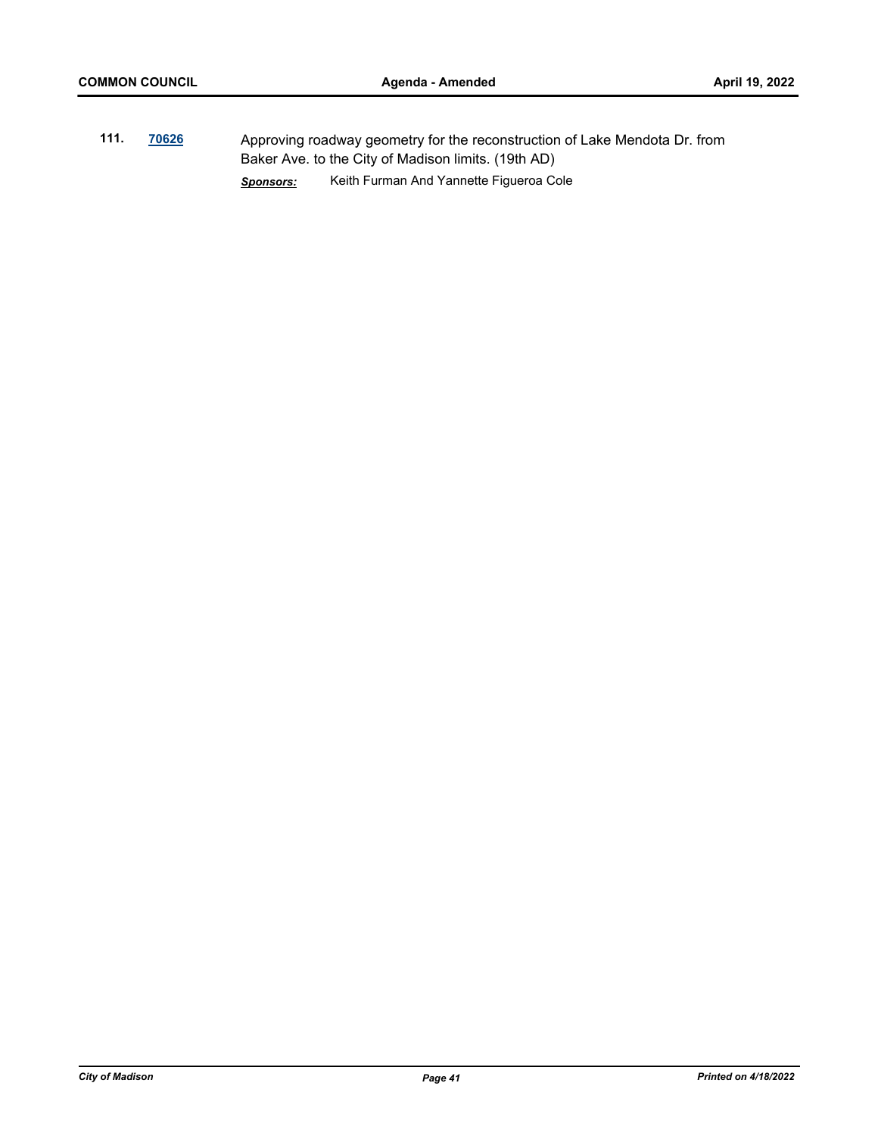**111. [70626](http://madison.legistar.com/gateway.aspx?m=l&id=/matter.aspx?key=82657)** Approving roadway geometry for the reconstruction of Lake Mendota Dr. from Baker Ave. to the City of Madison limits. (19th AD) *Sponsors:* Keith Furman And Yannette Figueroa Cole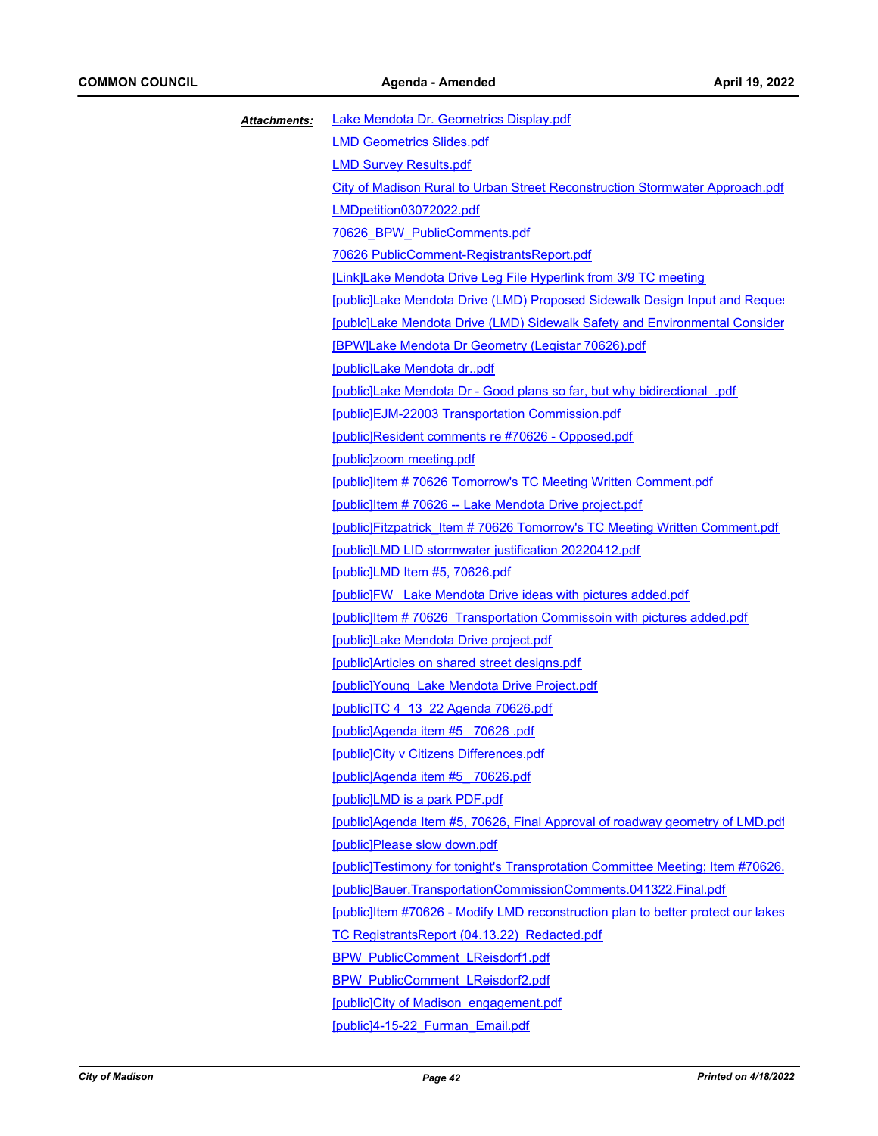| Attachments: | Lake Mendota Dr. Geometrics Display.pdf                                          |
|--------------|----------------------------------------------------------------------------------|
|              | <b>LMD Geometrics Slides.pdf</b>                                                 |
|              | <b>LMD Survey Results.pdf</b>                                                    |
|              | City of Madison Rural to Urban Street Reconstruction Stormwater Approach.pdf     |
|              | LMDpetition03072022.pdf                                                          |
|              | 70626 BPW PublicComments.pdf                                                     |
|              | 70626 PublicComment-RegistrantsReport.pdf                                        |
|              | [Link]Lake Mendota Drive Leg File Hyperlink from 3/9 TC meeting                  |
|              | [public]Lake Mendota Drive (LMD) Proposed Sidewalk Design Input and Reques       |
|              | [publc]Lake Mendota Drive (LMD) Sidewalk Safety and Environmental Consider       |
|              | [BPW]Lake Mendota Dr Geometry (Legistar 70626).pdf                               |
|              | [public]Lake Mendota drpdf                                                       |
|              | [public]Lake Mendota Dr - Good plans so far, but why bidirectional .pdf          |
|              | [public]EJM-22003 Transportation Commission.pdf                                  |
|              | [public]Resident comments re #70626 - Opposed.pdf                                |
|              | [public]zoom meeting.pdf                                                         |
|              | [public]Item #70626 Tomorrow's TC Meeting Written Comment.pdf                    |
|              | [public]Item #70626 -- Lake Mendota Drive project.pdf                            |
|              | [public]Fitzpatrick Item #70626 Tomorrow's TC Meeting Written Comment.pdf        |
|              | [public]LMD LID stormwater justification 20220412.pdf                            |
|              | [public]LMD Item #5, 70626.pdf                                                   |
|              | [public]FW Lake Mendota Drive ideas with pictures added.pdf                      |
|              | [public]Item #70626 Transportation Commissoin with pictures added.pdf            |
|              | [public]Lake Mendota Drive project.pdf                                           |
|              | [public]Articles on shared street designs.pdf                                    |
|              | [public]Young Lake Mendota Drive Project.pdf                                     |
|              | [public]TC 4 13 22 Agenda 70626.pdf                                              |
|              | [public]Agenda item #5 70626 .pdf                                                |
|              | [public]City v Citizens Differences.pdf                                          |
|              | [public]Agenda item #5 70626.pdf                                                 |
|              | [public]LMD is a park PDF.pdf                                                    |
|              | [public]Agenda Item #5, 70626, Final Approval of roadway geometry of LMD.pdf     |
|              | [public]Please slow down.pdf                                                     |
|              | [public]Testimony for tonight's Transprotation Committee Meeting; Item #70626.   |
|              | [public]Bauer.TransportationCommissionComments.041322.Final.pdf                  |
|              | [public] tem #70626 - Modify LMD reconstruction plan to better protect our lakes |
|              | TC Registrants Report (04.13.22) Redacted.pdf                                    |
|              | <b>BPW PublicComment LReisdorf1.pdf</b>                                          |
|              | <b>BPW PublicComment LReisdorf2.pdf</b>                                          |
|              | [public] City of Madison engagement.pdf                                          |
|              | [public]4-15-22 Furman Email.pdf                                                 |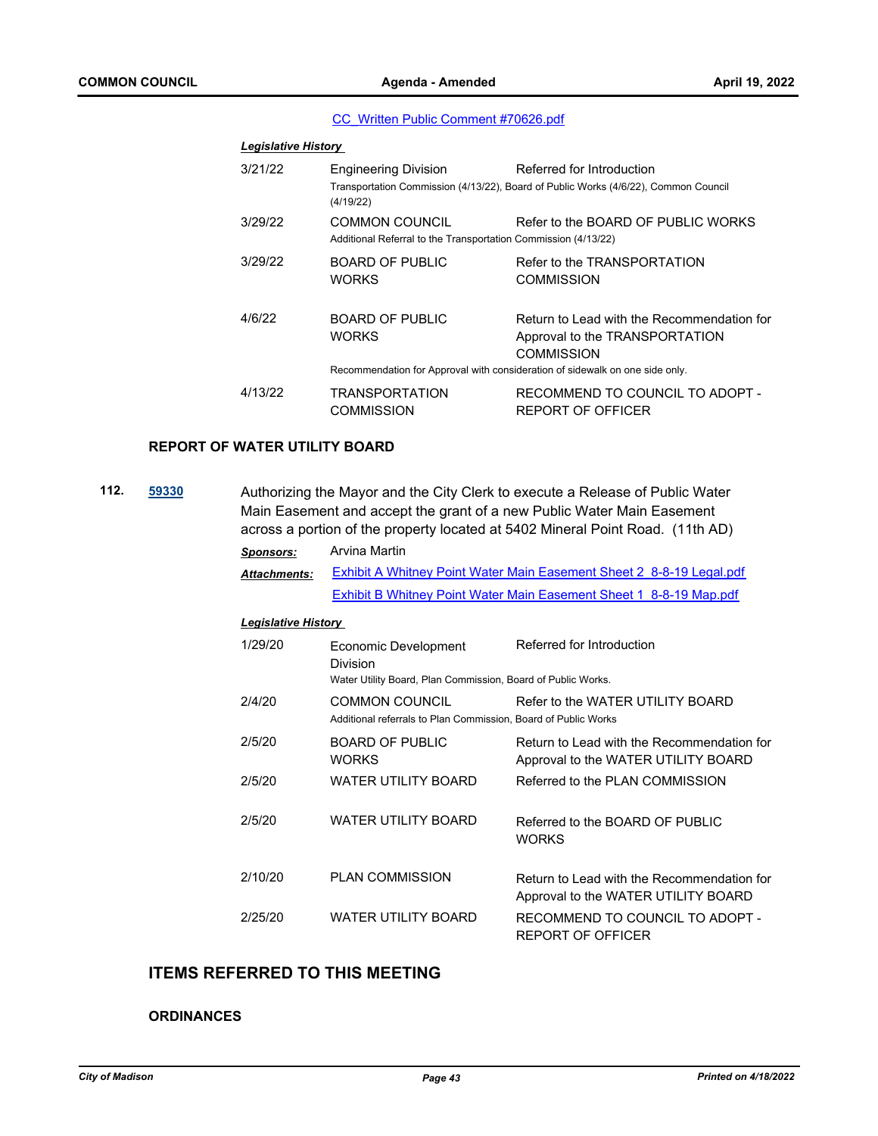#### [CC\\_Written Public Comment #70626.pdf](http://madison.legistar.com/gateway.aspx?M=F&ID=66a3524f-c086-4c14-b8f0-3ff9baa4a976.pdf)

| <b>Legislative History</b> |                                                                                                          |                                                                                                                  |
|----------------------------|----------------------------------------------------------------------------------------------------------|------------------------------------------------------------------------------------------------------------------|
| 3/21/22                    | <b>Engineering Division</b><br>(4/19/22)                                                                 | Referred for Introduction<br>Transportation Commission (4/13/22), Board of Public Works (4/6/22), Common Council |
| 3/29/22                    | COMMON COUNCIL<br>Additional Referral to the Transportation Commission (4/13/22)                         | Refer to the BOARD OF PUBLIC WORKS                                                                               |
| 3/29/22                    | <b>BOARD OF PUBLIC</b><br><b>WORKS</b>                                                                   | Refer to the TRANSPORTATION<br>COMMISSION                                                                        |
| 4/6/22                     | BOARD OF PUBLIC<br>WORKS<br>Recommendation for Approval with consideration of sidewalk on one side only. | Return to Lead with the Recommendation for<br>Approval to the TRANSPORTATION<br>COMMISSION                       |
|                            |                                                                                                          |                                                                                                                  |
| 4/13/22                    | <b>TRANSPORTATION</b><br>COMMISSION                                                                      | RECOMMEND TO COUNCIL TO ADOPT -<br>REPORT OF OFFICER                                                             |

#### **REPORT OF WATER UTILITY BOARD**

**112. [59330](http://madison.legistar.com/gateway.aspx?m=l&id=/matter.aspx?key=70332)** Authorizing the Mayor and the City Clerk to execute a Release of Public Water Main Easement and accept the grant of a new Public Water Main Easement across a portion of the property located at 5402 Mineral Point Road. (11th AD)

| <b>Sponsors:</b>           | Arvina Martin                                                                                    |                                                                                   |  |  |  |
|----------------------------|--------------------------------------------------------------------------------------------------|-----------------------------------------------------------------------------------|--|--|--|
| <b>Attachments:</b>        | Exhibit A Whitney Point Water Main Easement Sheet 2 8-8-19 Legal.pdf                             |                                                                                   |  |  |  |
|                            |                                                                                                  | Exhibit B Whitney Point Water Main Easement Sheet 1 8-8-19 Map.pdf                |  |  |  |
| <b>Legislative History</b> |                                                                                                  |                                                                                   |  |  |  |
| 1/29/20                    | Economic Development<br>Division<br>Water Utility Board, Plan Commission, Board of Public Works. | Referred for Introduction                                                         |  |  |  |
| 2/4/20                     | <b>COMMON COUNCIL</b><br>Additional referrals to Plan Commission, Board of Public Works          | Refer to the WATER UTILITY BOARD                                                  |  |  |  |
| 2/5/20                     | <b>BOARD OF PUBLIC</b><br><b>WORKS</b>                                                           | Return to Lead with the Recommendation for<br>Approval to the WATER UTILITY BOARD |  |  |  |
| 2/5/20                     | <b>WATER UTILITY BOARD</b>                                                                       | Referred to the PLAN COMMISSION                                                   |  |  |  |
| 2/5/20                     | <b>WATER UTILITY BOARD</b>                                                                       | Referred to the BOARD OF PUBLIC<br><b>WORKS</b>                                   |  |  |  |
| 2/10/20                    | <b>PLAN COMMISSION</b>                                                                           | Return to Lead with the Recommendation for                                        |  |  |  |

2/25/20 WATER UTILITY BOARD RECOMMEND TO COUNCIL TO ADOPT -

# **ITEMS REFERRED TO THIS MEETING**

#### **ORDINANCES**

Approval to the WATER UTILITY BOARD

REPORT OF OFFICER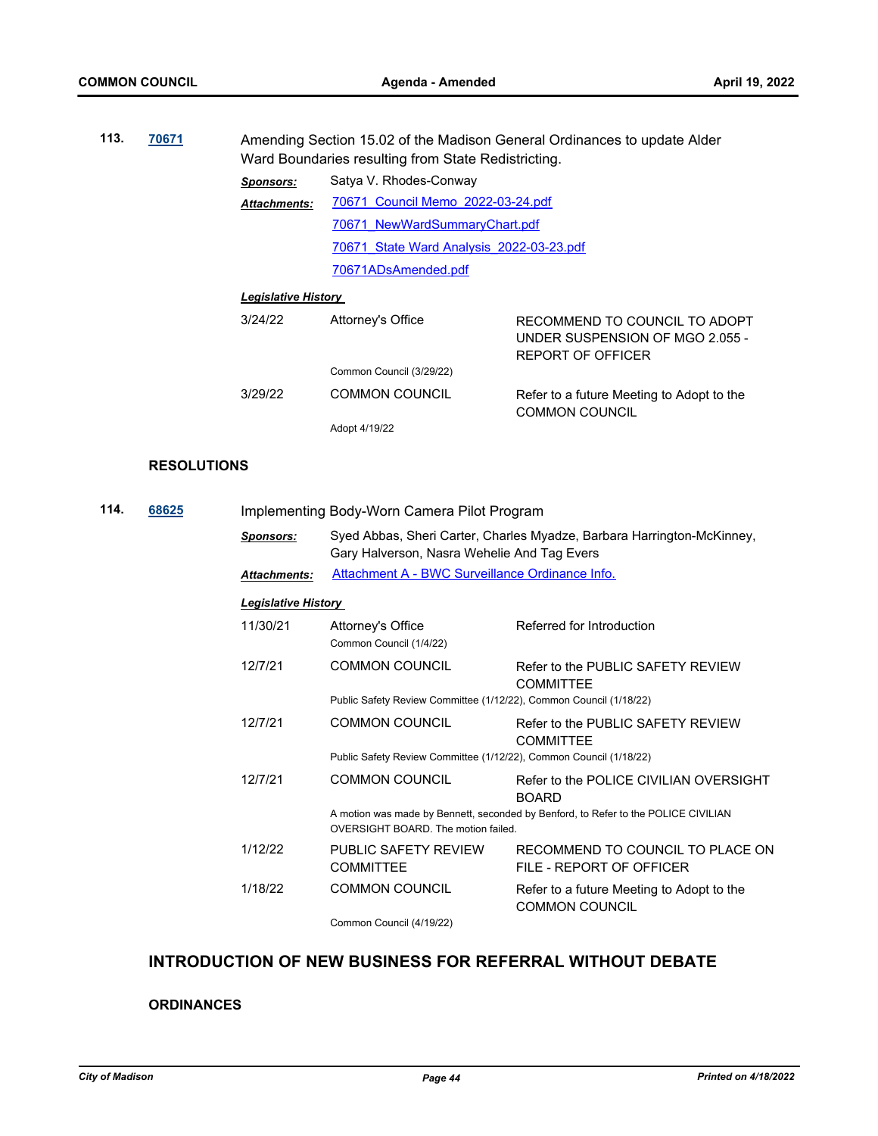| 113. | 70671 | Amending Section 15.02 of the Madison General Ordinances to update Alder<br>Ward Boundaries resulting from State Redistricting. |                                          |                                                                                              |  |  |
|------|-------|---------------------------------------------------------------------------------------------------------------------------------|------------------------------------------|----------------------------------------------------------------------------------------------|--|--|
|      |       | <b>Sponsors:</b>                                                                                                                | Satya V. Rhodes-Conway                   |                                                                                              |  |  |
|      |       | <b>Attachments:</b>                                                                                                             | 70671 Council Memo 2022-03-24.pdf        |                                                                                              |  |  |
|      |       |                                                                                                                                 | 70671 NewWardSummaryChart.pdf            |                                                                                              |  |  |
|      |       |                                                                                                                                 | 70671 State Ward Analysis 2022-03-23.pdf |                                                                                              |  |  |
|      |       |                                                                                                                                 | 70671ADsAmended.pdf                      |                                                                                              |  |  |
|      |       | <b>Legislative History</b>                                                                                                      |                                          |                                                                                              |  |  |
|      |       | 3/24/22                                                                                                                         | Attorney's Office                        | RECOMMEND TO COUNCIL TO ADOPT<br>UNDER SUSPENSION OF MGO 2.055 -<br><b>REPORT OF OFFICER</b> |  |  |
|      |       |                                                                                                                                 | Common Council (3/29/22)                 |                                                                                              |  |  |

| 3/29/22 | <b>COMMON COUNCIL</b> | Refer to a future Meeting to Adopt to the |
|---------|-----------------------|-------------------------------------------|
|         |                       | <b>COMMON COUNCIL</b>                     |
|         | Adopt 4/19/22         |                                           |

#### **RESOLUTIONS**

| 114. | 68625 |                     | Implementing Body-Worn Camera Pilot Program                        |                                                                                    |  |  |  |
|------|-------|---------------------|--------------------------------------------------------------------|------------------------------------------------------------------------------------|--|--|--|
|      |       | <b>Sponsors:</b>    | Gary Halverson, Nasra Wehelie And Tag Evers                        | Syed Abbas, Sheri Carter, Charles Myadze, Barbara Harrington-McKinney,             |  |  |  |
|      |       | <b>Attachments:</b> | Attachment A - BWC Surveillance Ordinance Info.                    |                                                                                    |  |  |  |
|      |       |                     | <u> Legislative History</u>                                        |                                                                                    |  |  |  |
|      |       | 11/30/21            | Attorney's Office<br>Common Council (1/4/22)                       | Referred for Introduction                                                          |  |  |  |
|      |       | 12/7/21             | <b>COMMON COUNCIL</b>                                              | Refer to the PUBLIC SAFETY REVIEW<br><b>COMMITTEE</b>                              |  |  |  |
|      |       |                     | Public Safety Review Committee (1/12/22), Common Council (1/18/22) |                                                                                    |  |  |  |
|      |       | 12/7/21             | <b>COMMON COUNCIL</b>                                              | Refer to the PUBLIC SAFETY REVIEW<br><b>COMMITTEE</b>                              |  |  |  |
|      |       |                     | Public Safety Review Committee (1/12/22), Common Council (1/18/22) |                                                                                    |  |  |  |
|      |       | 12/7/21             | <b>COMMON COUNCIL</b>                                              | Refer to the POLICE CIVILIAN OVERSIGHT<br><b>BOARD</b>                             |  |  |  |
|      |       |                     | OVERSIGHT BOARD. The motion failed.                                | A motion was made by Bennett, seconded by Benford, to Refer to the POLICE CIVILIAN |  |  |  |
|      |       | 1/12/22             | PUBLIC SAFETY REVIEW<br><b>COMMITTEE</b>                           | RECOMMEND TO COUNCIL TO PLACE ON<br>FILE - REPORT OF OFFICER                       |  |  |  |
|      |       | 1/18/22             | <b>COMMON COUNCIL</b>                                              | Refer to a future Meeting to Adopt to the<br><b>COMMON COUNCIL</b>                 |  |  |  |
|      |       |                     | Common Council (4/19/22)                                           |                                                                                    |  |  |  |

# **INTRODUCTION OF NEW BUSINESS FOR REFERRAL WITHOUT DEBATE**

# **ORDINANCES**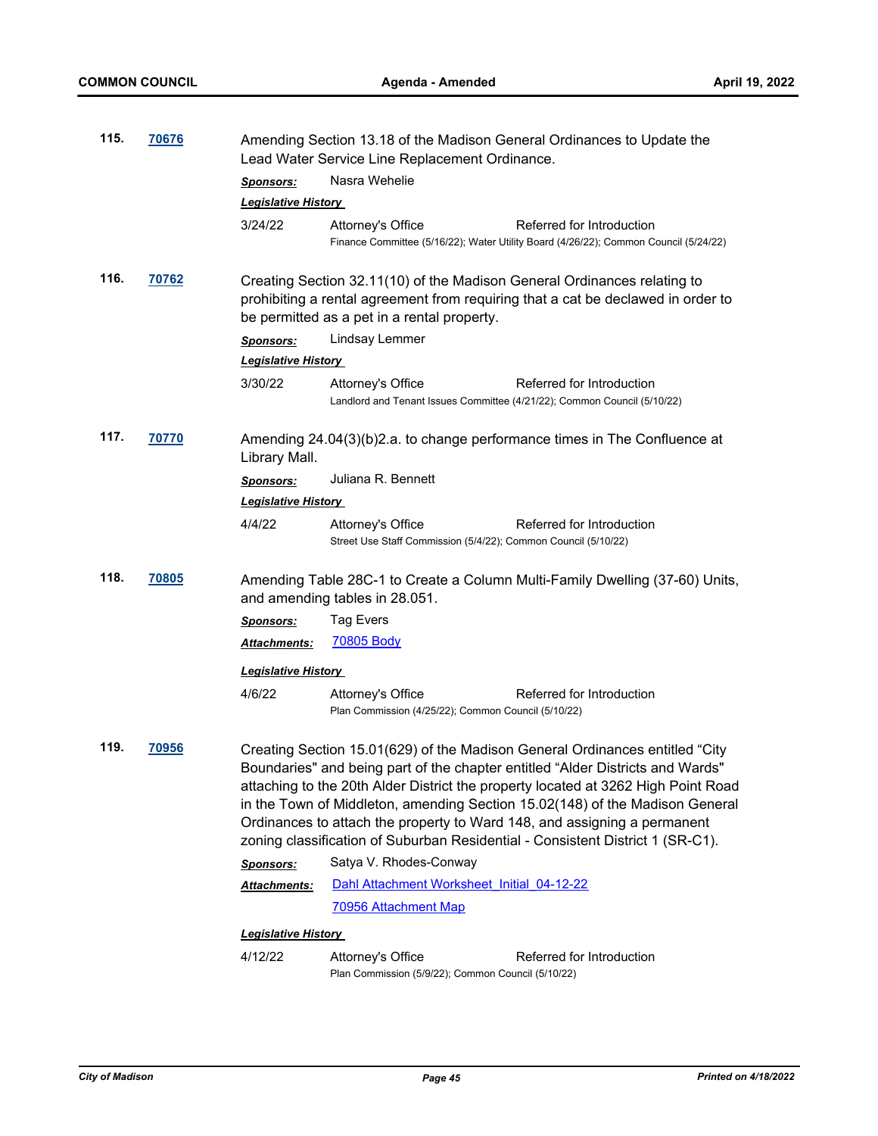| 115. | 70676        | Amending Section 13.18 of the Madison General Ordinances to Update the<br>Lead Water Service Line Replacement Ordinance.                                                                                    |                                                                                               |                                                                                                                                                                                                                                                                                                                                                                                                                                                                                                   |  |  |
|------|--------------|-------------------------------------------------------------------------------------------------------------------------------------------------------------------------------------------------------------|-----------------------------------------------------------------------------------------------|---------------------------------------------------------------------------------------------------------------------------------------------------------------------------------------------------------------------------------------------------------------------------------------------------------------------------------------------------------------------------------------------------------------------------------------------------------------------------------------------------|--|--|
|      |              | <b>Sponsors:</b>                                                                                                                                                                                            | Nasra Wehelie                                                                                 |                                                                                                                                                                                                                                                                                                                                                                                                                                                                                                   |  |  |
|      |              | <b>Legislative History</b>                                                                                                                                                                                  |                                                                                               |                                                                                                                                                                                                                                                                                                                                                                                                                                                                                                   |  |  |
|      |              | 3/24/22                                                                                                                                                                                                     | Attorney's Office                                                                             | Referred for Introduction<br>Finance Committee (5/16/22); Water Utility Board (4/26/22); Common Council (5/24/22)                                                                                                                                                                                                                                                                                                                                                                                 |  |  |
| 116. | 70762        | Creating Section 32.11(10) of the Madison General Ordinances relating to<br>prohibiting a rental agreement from requiring that a cat be declawed in order to<br>be permitted as a pet in a rental property. |                                                                                               |                                                                                                                                                                                                                                                                                                                                                                                                                                                                                                   |  |  |
|      |              | <b>Sponsors:</b>                                                                                                                                                                                            | Lindsay Lemmer                                                                                |                                                                                                                                                                                                                                                                                                                                                                                                                                                                                                   |  |  |
|      |              | <b>Legislative History</b>                                                                                                                                                                                  |                                                                                               |                                                                                                                                                                                                                                                                                                                                                                                                                                                                                                   |  |  |
|      |              | 3/30/22                                                                                                                                                                                                     | Attorney's Office<br>Landlord and Tenant Issues Committee (4/21/22); Common Council (5/10/22) | Referred for Introduction                                                                                                                                                                                                                                                                                                                                                                                                                                                                         |  |  |
| 117. | 70770        | Amending 24.04(3)(b)2.a. to change performance times in The Confluence at<br>Library Mall.                                                                                                                  |                                                                                               |                                                                                                                                                                                                                                                                                                                                                                                                                                                                                                   |  |  |
|      |              | <u>Sponsors:</u>                                                                                                                                                                                            | Juliana R. Bennett                                                                            |                                                                                                                                                                                                                                                                                                                                                                                                                                                                                                   |  |  |
|      |              | <b>Legislative History</b>                                                                                                                                                                                  |                                                                                               |                                                                                                                                                                                                                                                                                                                                                                                                                                                                                                   |  |  |
|      |              | 4/4/22                                                                                                                                                                                                      | Attorney's Office<br>Street Use Staff Commission (5/4/22); Common Council (5/10/22)           | Referred for Introduction                                                                                                                                                                                                                                                                                                                                                                                                                                                                         |  |  |
| 118. | <b>70805</b> | Amending Table 28C-1 to Create a Column Multi-Family Dwelling (37-60) Units,<br>and amending tables in 28.051.                                                                                              |                                                                                               |                                                                                                                                                                                                                                                                                                                                                                                                                                                                                                   |  |  |
|      |              | <u>Sponsors:</u>                                                                                                                                                                                            | Tag Evers                                                                                     |                                                                                                                                                                                                                                                                                                                                                                                                                                                                                                   |  |  |
|      |              | Attachments:                                                                                                                                                                                                | <b>70805 Body</b>                                                                             |                                                                                                                                                                                                                                                                                                                                                                                                                                                                                                   |  |  |
|      |              | <b>Legislative History</b>                                                                                                                                                                                  |                                                                                               |                                                                                                                                                                                                                                                                                                                                                                                                                                                                                                   |  |  |
|      |              | 4/6/22                                                                                                                                                                                                      | Attorney's Office<br>Plan Commission (4/25/22); Common Council (5/10/22)                      | Referred for Introduction                                                                                                                                                                                                                                                                                                                                                                                                                                                                         |  |  |
| 119. | 70956        |                                                                                                                                                                                                             |                                                                                               | Creating Section 15.01(629) of the Madison General Ordinances entitled "City<br>Boundaries" and being part of the chapter entitled "Alder Districts and Wards"<br>attaching to the 20th Alder District the property located at 3262 High Point Road<br>in the Town of Middleton, amending Section 15.02(148) of the Madison General<br>Ordinances to attach the property to Ward 148, and assigning a permanent<br>zoning classification of Suburban Residential - Consistent District 1 (SR-C1). |  |  |
|      |              | <b>Sponsors:</b>                                                                                                                                                                                            | Satya V. Rhodes-Conway                                                                        |                                                                                                                                                                                                                                                                                                                                                                                                                                                                                                   |  |  |
|      |              | Attachments:                                                                                                                                                                                                | Dahl Attachment Worksheet Initial 04-12-22                                                    |                                                                                                                                                                                                                                                                                                                                                                                                                                                                                                   |  |  |
|      |              |                                                                                                                                                                                                             | 70956 Attachment Map                                                                          |                                                                                                                                                                                                                                                                                                                                                                                                                                                                                                   |  |  |
|      |              | <u> Legislative History</u>                                                                                                                                                                                 |                                                                                               |                                                                                                                                                                                                                                                                                                                                                                                                                                                                                                   |  |  |
|      |              | 4/12/22                                                                                                                                                                                                     | Attorney's Office<br>Plan Commission (5/9/22); Common Council (5/10/22)                       | Referred for Introduction                                                                                                                                                                                                                                                                                                                                                                                                                                                                         |  |  |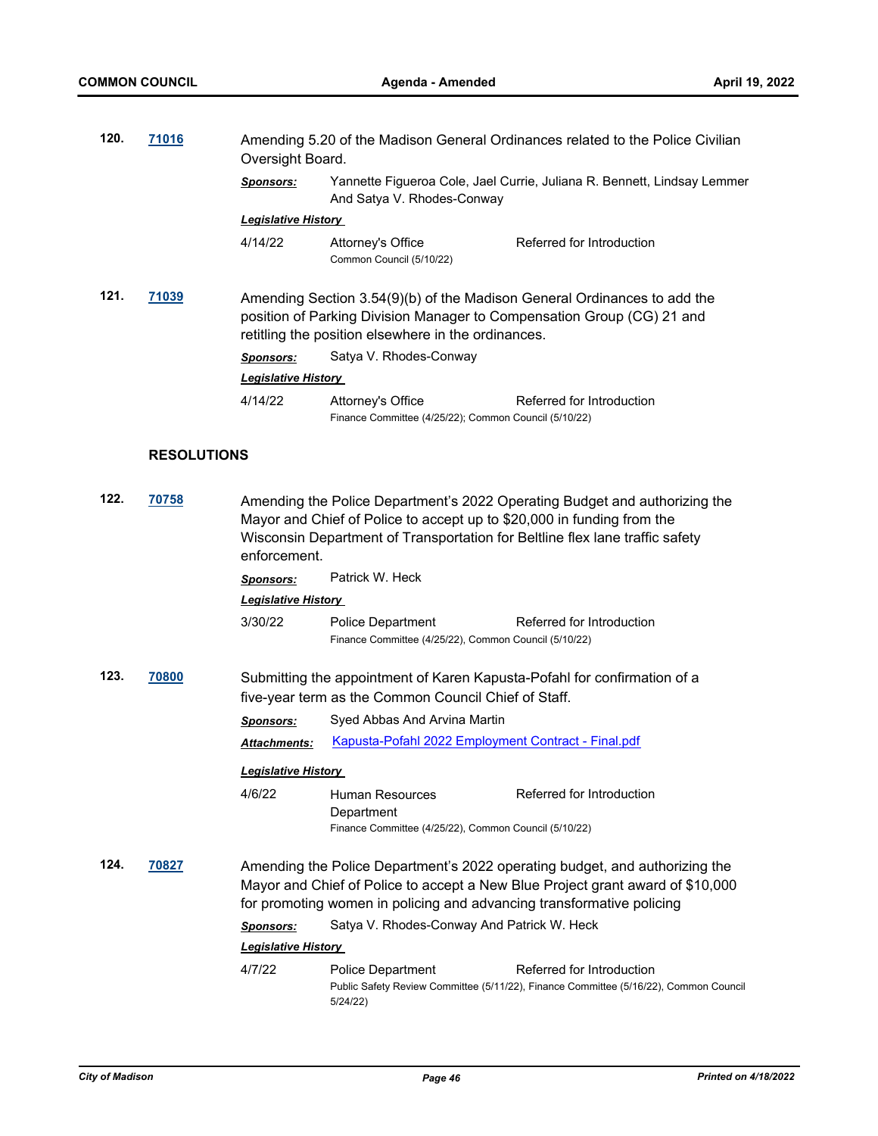**120. [71016](http://madison.legistar.com/gateway.aspx?m=l&id=/matter.aspx?key=82987)** Amending 5.20 of the Madison General Ordinances related to the Police Civilian

|      |                    |                                                                                                                                                                                                                                                      | Oversight Board.                                                                       |                                                                                                                                                    |  |  |
|------|--------------------|------------------------------------------------------------------------------------------------------------------------------------------------------------------------------------------------------------------------------------------------------|----------------------------------------------------------------------------------------|----------------------------------------------------------------------------------------------------------------------------------------------------|--|--|
|      |                    | <b>Sponsors:</b>                                                                                                                                                                                                                                     | And Satya V. Rhodes-Conway                                                             | Yannette Figueroa Cole, Jael Currie, Juliana R. Bennett, Lindsay Lemmer                                                                            |  |  |
|      |                    | <b>Legislative History</b>                                                                                                                                                                                                                           |                                                                                        |                                                                                                                                                    |  |  |
|      |                    | 4/14/22                                                                                                                                                                                                                                              | Attorney's Office<br>Common Council (5/10/22)                                          | Referred for Introduction                                                                                                                          |  |  |
| 121. | 71039              |                                                                                                                                                                                                                                                      | retitling the position elsewhere in the ordinances.                                    | Amending Section 3.54(9)(b) of the Madison General Ordinances to add the<br>position of Parking Division Manager to Compensation Group (CG) 21 and |  |  |
|      |                    | <b>Sponsors:</b>                                                                                                                                                                                                                                     | Satya V. Rhodes-Conway                                                                 |                                                                                                                                                    |  |  |
|      |                    | <b>Legislative History</b>                                                                                                                                                                                                                           |                                                                                        |                                                                                                                                                    |  |  |
|      |                    | 4/14/22                                                                                                                                                                                                                                              | Attorney's Office<br>Finance Committee (4/25/22); Common Council (5/10/22)             | Referred for Introduction                                                                                                                          |  |  |
|      | <b>RESOLUTIONS</b> |                                                                                                                                                                                                                                                      |                                                                                        |                                                                                                                                                    |  |  |
| 122. | 70758              | Amending the Police Department's 2022 Operating Budget and authorizing the<br>Mayor and Chief of Police to accept up to \$20,000 in funding from the<br>Wisconsin Department of Transportation for Beltline flex lane traffic safety<br>enforcement. |                                                                                        |                                                                                                                                                    |  |  |
|      |                    | <u>Sponsors:</u>                                                                                                                                                                                                                                     | Patrick W. Heck                                                                        |                                                                                                                                                    |  |  |
|      |                    | <b>Legislative History</b>                                                                                                                                                                                                                           |                                                                                        |                                                                                                                                                    |  |  |
|      |                    | 3/30/22                                                                                                                                                                                                                                              | <b>Police Department</b><br>Finance Committee (4/25/22), Common Council (5/10/22)      | Referred for Introduction                                                                                                                          |  |  |
| 123. | <b>70800</b>       |                                                                                                                                                                                                                                                      | five-year term as the Common Council Chief of Staff.                                   | Submitting the appointment of Karen Kapusta-Pofahl for confirmation of a                                                                           |  |  |
|      |                    | <b>Sponsors:</b>                                                                                                                                                                                                                                     | Syed Abbas And Arvina Martin                                                           |                                                                                                                                                    |  |  |
|      |                    | Attachments:                                                                                                                                                                                                                                         | <b>Kapusta-Pofahl 2022 Employment Contract - Final.pdf</b>                             |                                                                                                                                                    |  |  |
|      |                    | <u> Legislative History</u>                                                                                                                                                                                                                          |                                                                                        |                                                                                                                                                    |  |  |
|      |                    | 4/6/22                                                                                                                                                                                                                                               | Human Resources<br>Department<br>Finance Committee (4/25/22), Common Council (5/10/22) | Referred for Introduction                                                                                                                          |  |  |
| 124. | 70827              | Amending the Police Department's 2022 operating budget, and authorizing the<br>Mayor and Chief of Police to accept a New Blue Project grant award of \$10,000<br>for promoting women in policing and advancing transformative policing               |                                                                                        |                                                                                                                                                    |  |  |
|      |                    | <b>Sponsors:</b>                                                                                                                                                                                                                                     | Satya V. Rhodes-Conway And Patrick W. Heck                                             |                                                                                                                                                    |  |  |
|      |                    | <u> Legislative History </u>                                                                                                                                                                                                                         |                                                                                        |                                                                                                                                                    |  |  |
|      |                    | 4/7/22                                                                                                                                                                                                                                               | Police Department<br>5/24/22)                                                          | Referred for Introduction<br>Public Safety Review Committee (5/11/22), Finance Committee (5/16/22), Common Council                                 |  |  |
|      |                    |                                                                                                                                                                                                                                                      |                                                                                        |                                                                                                                                                    |  |  |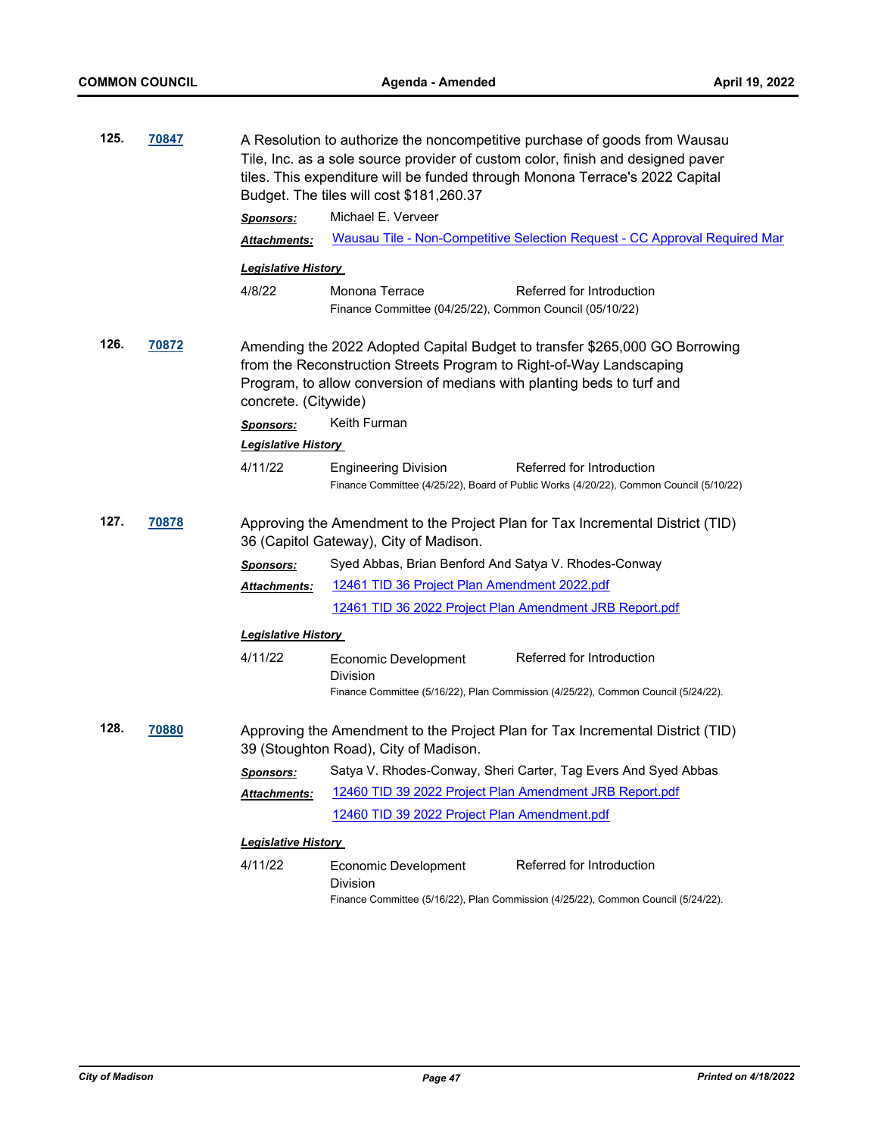| 125.<br>70847 |       | A Resolution to authorize the noncompetitive purchase of goods from Wausau<br>Tile, Inc. as a sole source provider of custom color, finish and designed paver<br>tiles. This expenditure will be funded through Monona Terrace's 2022 Capital<br>Budget. The tiles will cost \$181,260.37 |                                                                                                                                                    |  |  |
|---------------|-------|-------------------------------------------------------------------------------------------------------------------------------------------------------------------------------------------------------------------------------------------------------------------------------------------|----------------------------------------------------------------------------------------------------------------------------------------------------|--|--|
|               |       | <b>Sponsors:</b>                                                                                                                                                                                                                                                                          | Michael E. Verveer                                                                                                                                 |  |  |
|               |       | Attachments:                                                                                                                                                                                                                                                                              | Wausau Tile - Non-Competitive Selection Request - CC Approval Required Mar                                                                         |  |  |
|               |       | <u> Legislative History</u>                                                                                                                                                                                                                                                               |                                                                                                                                                    |  |  |
|               |       | 4/8/22                                                                                                                                                                                                                                                                                    | Monona Terrace<br>Referred for Introduction                                                                                                        |  |  |
|               |       |                                                                                                                                                                                                                                                                                           | Finance Committee (04/25/22), Common Council (05/10/22)                                                                                            |  |  |
| 126.          | 70872 | Amending the 2022 Adopted Capital Budget to transfer \$265,000 GO Borrowing<br>from the Reconstruction Streets Program to Right-of-Way Landscaping<br>Program, to allow conversion of medians with planting beds to turf and<br>concrete. (Citywide)                                      |                                                                                                                                                    |  |  |
|               |       | <b>Sponsors:</b>                                                                                                                                                                                                                                                                          | Keith Furman                                                                                                                                       |  |  |
|               |       | <b>Legislative History</b>                                                                                                                                                                                                                                                                |                                                                                                                                                    |  |  |
|               |       | 4/11/22                                                                                                                                                                                                                                                                                   | Referred for Introduction<br><b>Engineering Division</b><br>Finance Committee (4/25/22), Board of Public Works (4/20/22), Common Council (5/10/22) |  |  |
| 127.          | 70878 | Approving the Amendment to the Project Plan for Tax Incremental District (TID)<br>36 (Capitol Gateway), City of Madison.                                                                                                                                                                  |                                                                                                                                                    |  |  |
|               |       | <b>Sponsors:</b>                                                                                                                                                                                                                                                                          | Syed Abbas, Brian Benford And Satya V. Rhodes-Conway                                                                                               |  |  |
|               |       | Attachments:                                                                                                                                                                                                                                                                              | 12461 TID 36 Project Plan Amendment 2022.pdf                                                                                                       |  |  |
|               |       |                                                                                                                                                                                                                                                                                           | 12461 TID 36 2022 Project Plan Amendment JRB Report.pdf                                                                                            |  |  |
|               |       | <b>Legislative History</b>                                                                                                                                                                                                                                                                |                                                                                                                                                    |  |  |
|               |       | 4/11/22                                                                                                                                                                                                                                                                                   | Referred for Introduction<br>Economic Development<br>Division                                                                                      |  |  |
|               |       |                                                                                                                                                                                                                                                                                           | Finance Committee (5/16/22), Plan Commission (4/25/22), Common Council (5/24/22).                                                                  |  |  |
| 128.          | 70880 | Approving the Amendment to the Project Plan for Tax Incremental District (TID)<br>39 (Stoughton Road), City of Madison.                                                                                                                                                                   |                                                                                                                                                    |  |  |
|               |       | Sponsors:                                                                                                                                                                                                                                                                                 | Satya V. Rhodes-Conway, Sheri Carter, Tag Evers And Syed Abbas                                                                                     |  |  |
|               |       | <b>Attachments:</b>                                                                                                                                                                                                                                                                       | 12460 TID 39 2022 Project Plan Amendment JRB Report.pdf                                                                                            |  |  |
|               |       |                                                                                                                                                                                                                                                                                           | 12460 TID 39 2022 Project Plan Amendment.pdf                                                                                                       |  |  |
|               |       | <b>Legislative History</b>                                                                                                                                                                                                                                                                |                                                                                                                                                    |  |  |
|               |       | 4/11/22                                                                                                                                                                                                                                                                                   | Referred for Introduction<br>Economic Development<br><b>Division</b>                                                                               |  |  |
|               |       |                                                                                                                                                                                                                                                                                           | Finance Committee (5/16/22), Plan Commission (4/25/22), Common Council (5/24/22).                                                                  |  |  |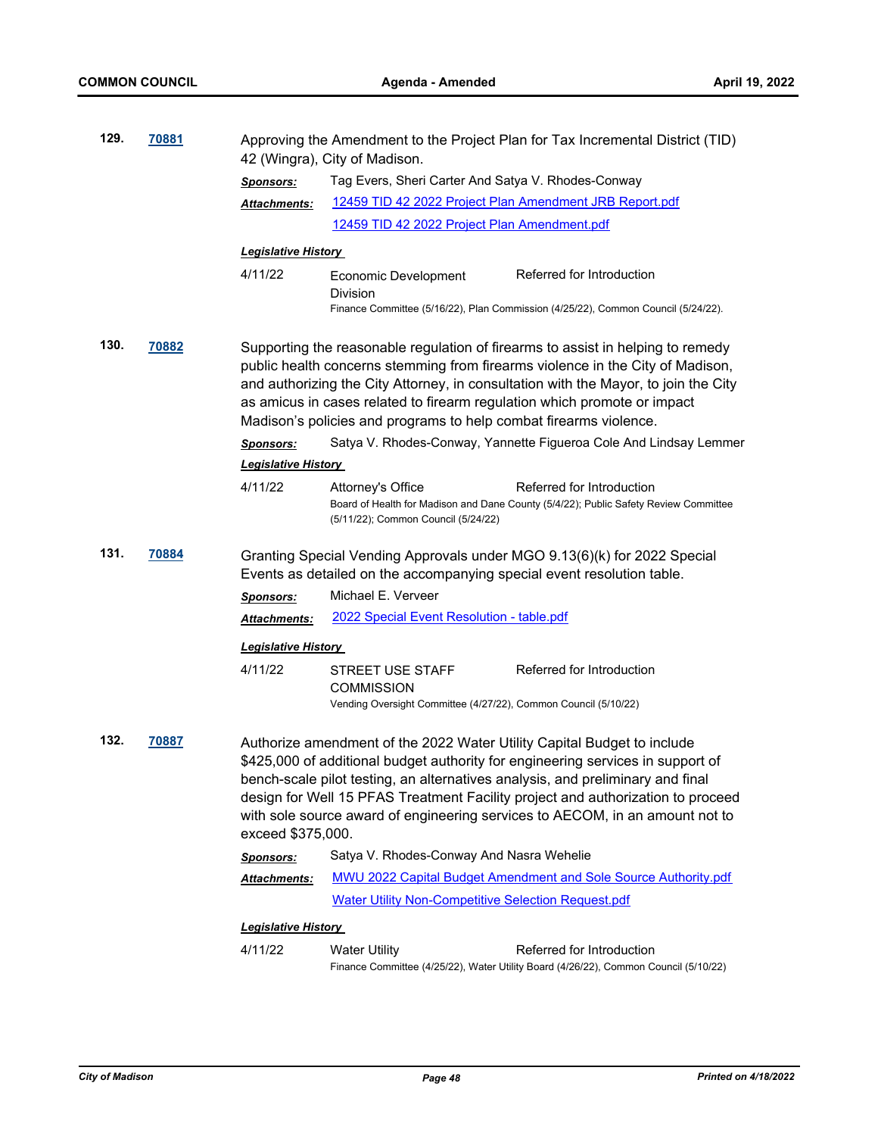| 129. | 70881 | Approving the Amendment to the Project Plan for Tax Incremental District (TID)<br>42 (Wingra), City of Madison.                                    |                                                                                                                                                                                                                                                                                                                                                                                                                 |  |
|------|-------|----------------------------------------------------------------------------------------------------------------------------------------------------|-----------------------------------------------------------------------------------------------------------------------------------------------------------------------------------------------------------------------------------------------------------------------------------------------------------------------------------------------------------------------------------------------------------------|--|
|      |       | <b>Sponsors:</b>                                                                                                                                   | Tag Evers, Sheri Carter And Satya V. Rhodes-Conway                                                                                                                                                                                                                                                                                                                                                              |  |
|      |       | Attachments:                                                                                                                                       | 12459 TID 42 2022 Project Plan Amendment JRB Report.pdf                                                                                                                                                                                                                                                                                                                                                         |  |
|      |       |                                                                                                                                                    | 12459 TID 42 2022 Project Plan Amendment.pdf                                                                                                                                                                                                                                                                                                                                                                    |  |
|      |       | <u> Legislative History</u>                                                                                                                        |                                                                                                                                                                                                                                                                                                                                                                                                                 |  |
|      |       | 4/11/22                                                                                                                                            | Referred for Introduction<br><b>Economic Development</b>                                                                                                                                                                                                                                                                                                                                                        |  |
|      |       |                                                                                                                                                    | Division<br>Finance Committee (5/16/22), Plan Commission (4/25/22), Common Council (5/24/22).                                                                                                                                                                                                                                                                                                                   |  |
| 130. | 70882 |                                                                                                                                                    | Supporting the reasonable regulation of firearms to assist in helping to remedy<br>public health concerns stemming from firearms violence in the City of Madison,<br>and authorizing the City Attorney, in consultation with the Mayor, to join the City<br>as amicus in cases related to firearm regulation which promote or impact<br>Madison's policies and programs to help combat firearms violence.       |  |
|      |       | <b>Sponsors:</b>                                                                                                                                   | Satya V. Rhodes-Conway, Yannette Figueroa Cole And Lindsay Lemmer                                                                                                                                                                                                                                                                                                                                               |  |
|      |       | <b>Legislative History</b>                                                                                                                         |                                                                                                                                                                                                                                                                                                                                                                                                                 |  |
|      |       | 4/11/22                                                                                                                                            | Attorney's Office<br>Referred for Introduction<br>Board of Health for Madison and Dane County (5/4/22); Public Safety Review Committee<br>(5/11/22); Common Council (5/24/22)                                                                                                                                                                                                                                   |  |
| 131. | 70884 | Granting Special Vending Approvals under MGO 9.13(6)(k) for 2022 Special<br>Events as detailed on the accompanying special event resolution table. |                                                                                                                                                                                                                                                                                                                                                                                                                 |  |
|      |       | <b>Sponsors:</b>                                                                                                                                   | Michael E. Verveer                                                                                                                                                                                                                                                                                                                                                                                              |  |
|      |       | Attachments:                                                                                                                                       | 2022 Special Event Resolution - table.pdf                                                                                                                                                                                                                                                                                                                                                                       |  |
|      |       | <b>Legislative History</b>                                                                                                                         |                                                                                                                                                                                                                                                                                                                                                                                                                 |  |
|      |       | 4/11/22                                                                                                                                            | Referred for Introduction<br>STREET USE STAFF<br><b>COMMISSION</b>                                                                                                                                                                                                                                                                                                                                              |  |
|      |       |                                                                                                                                                    | Vending Oversight Committee (4/27/22), Common Council (5/10/22)                                                                                                                                                                                                                                                                                                                                                 |  |
| 132. | 70887 | exceed \$375,000.                                                                                                                                  | Authorize amendment of the 2022 Water Utility Capital Budget to include<br>\$425,000 of additional budget authority for engineering services in support of<br>bench-scale pilot testing, an alternatives analysis, and preliminary and final<br>design for Well 15 PFAS Treatment Facility project and authorization to proceed<br>with sole source award of engineering services to AECOM, in an amount not to |  |
|      |       | <b>Sponsors:</b>                                                                                                                                   | Satya V. Rhodes-Conway And Nasra Wehelie                                                                                                                                                                                                                                                                                                                                                                        |  |
|      |       | Attachments:                                                                                                                                       | MWU 2022 Capital Budget Amendment and Sole Source Authority.pdf                                                                                                                                                                                                                                                                                                                                                 |  |
|      |       |                                                                                                                                                    | Water Utility Non-Competitive Selection Request.pdf                                                                                                                                                                                                                                                                                                                                                             |  |
|      |       | <b>Legislative History</b>                                                                                                                         |                                                                                                                                                                                                                                                                                                                                                                                                                 |  |
|      |       | 4/11/22                                                                                                                                            | Referred for Introduction<br><b>Water Utility</b><br>Finance Committee (4/25/22), Water Utility Board (4/26/22), Common Council (5/10/22)                                                                                                                                                                                                                                                                       |  |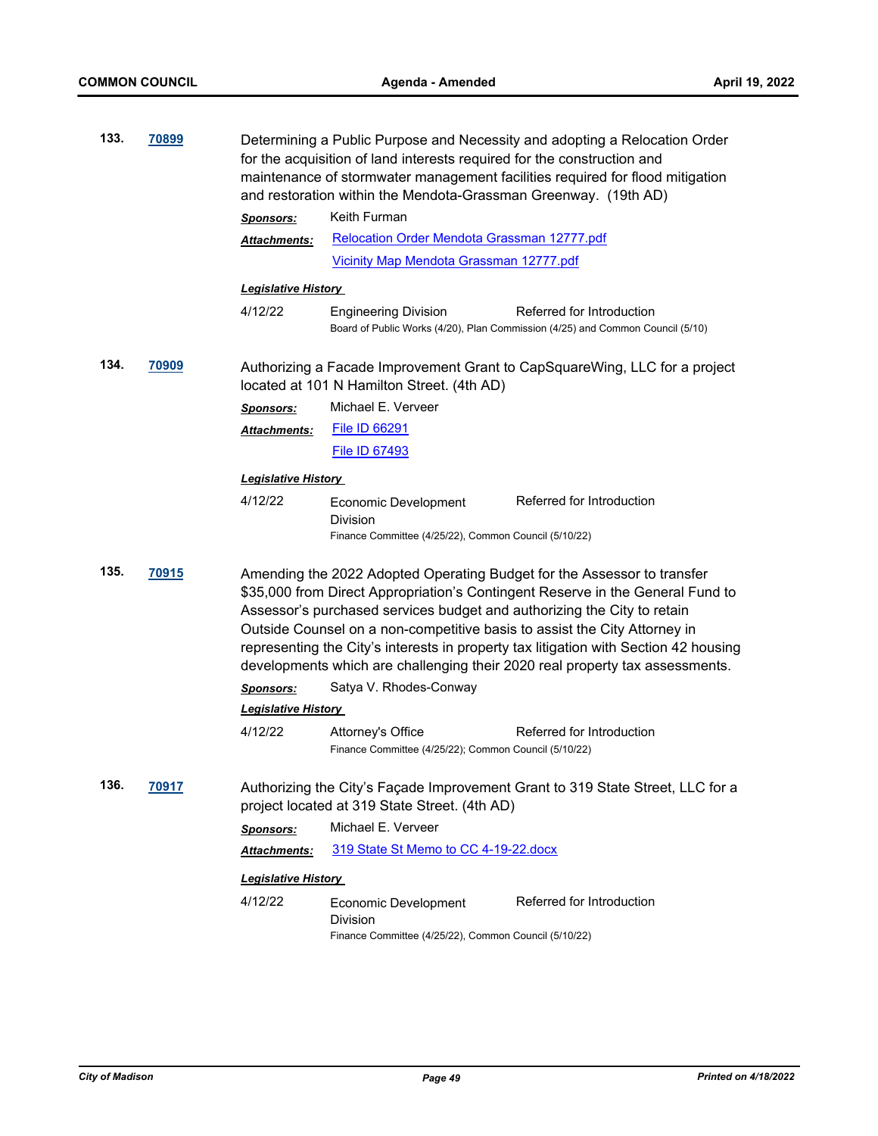| 133. | <u>70899</u> |                                                                                                                                 | Determining a Public Purpose and Necessity and adopting a Relocation Order<br>for the acquisition of land interests required for the construction and<br>maintenance of stormwater management facilities required for flood mitigation<br>and restoration within the Mendota-Grassman Greenway. (19th AD) |                                                                                                                                                                                                                                                                                                                                                                                                                                             |  |
|------|--------------|---------------------------------------------------------------------------------------------------------------------------------|-----------------------------------------------------------------------------------------------------------------------------------------------------------------------------------------------------------------------------------------------------------------------------------------------------------|---------------------------------------------------------------------------------------------------------------------------------------------------------------------------------------------------------------------------------------------------------------------------------------------------------------------------------------------------------------------------------------------------------------------------------------------|--|
|      |              | <b>Sponsors:</b>                                                                                                                | Keith Furman                                                                                                                                                                                                                                                                                              |                                                                                                                                                                                                                                                                                                                                                                                                                                             |  |
|      |              | Attachments:                                                                                                                    | Relocation Order Mendota Grassman 12777.pdf                                                                                                                                                                                                                                                               |                                                                                                                                                                                                                                                                                                                                                                                                                                             |  |
|      |              |                                                                                                                                 | Vicinity Map Mendota Grassman 12777.pdf                                                                                                                                                                                                                                                                   |                                                                                                                                                                                                                                                                                                                                                                                                                                             |  |
|      |              | <u> Legislative History</u>                                                                                                     |                                                                                                                                                                                                                                                                                                           |                                                                                                                                                                                                                                                                                                                                                                                                                                             |  |
|      |              | 4/12/22                                                                                                                         | <b>Engineering Division</b>                                                                                                                                                                                                                                                                               | Referred for Introduction<br>Board of Public Works (4/20), Plan Commission (4/25) and Common Council (5/10)                                                                                                                                                                                                                                                                                                                                 |  |
| 134. | <u>70909</u> |                                                                                                                                 | located at 101 N Hamilton Street. (4th AD)                                                                                                                                                                                                                                                                | Authorizing a Facade Improvement Grant to CapSquareWing, LLC for a project                                                                                                                                                                                                                                                                                                                                                                  |  |
|      |              | <b>Sponsors:</b>                                                                                                                | Michael E. Verveer                                                                                                                                                                                                                                                                                        |                                                                                                                                                                                                                                                                                                                                                                                                                                             |  |
|      |              | Attachments:                                                                                                                    | <b>File ID 66291</b>                                                                                                                                                                                                                                                                                      |                                                                                                                                                                                                                                                                                                                                                                                                                                             |  |
|      |              |                                                                                                                                 | <b>File ID 67493</b>                                                                                                                                                                                                                                                                                      |                                                                                                                                                                                                                                                                                                                                                                                                                                             |  |
|      |              | <b>Legislative History</b>                                                                                                      |                                                                                                                                                                                                                                                                                                           |                                                                                                                                                                                                                                                                                                                                                                                                                                             |  |
|      |              | 4/12/22                                                                                                                         | Economic Development<br>Division<br>Finance Committee (4/25/22), Common Council (5/10/22)                                                                                                                                                                                                                 | Referred for Introduction                                                                                                                                                                                                                                                                                                                                                                                                                   |  |
| 135. | 70915        | Sponsors:<br><b>Legislative History</b><br>4/12/22                                                                              | Assessor's purchased services budget and authorizing the City to retain<br>Satya V. Rhodes-Conway<br>Attorney's Office<br>Finance Committee (4/25/22); Common Council (5/10/22)                                                                                                                           | Amending the 2022 Adopted Operating Budget for the Assessor to transfer<br>\$35,000 from Direct Appropriation's Contingent Reserve in the General Fund to<br>Outside Counsel on a non-competitive basis to assist the City Attorney in<br>representing the City's interests in property tax litigation with Section 42 housing<br>developments which are challenging their 2020 real property tax assessments.<br>Referred for Introduction |  |
| 136. | 70917        | Authorizing the City's Façade Improvement Grant to 319 State Street, LLC for a<br>project located at 319 State Street. (4th AD) |                                                                                                                                                                                                                                                                                                           |                                                                                                                                                                                                                                                                                                                                                                                                                                             |  |
|      |              | <b>Sponsors:</b>                                                                                                                | Michael E. Verveer                                                                                                                                                                                                                                                                                        |                                                                                                                                                                                                                                                                                                                                                                                                                                             |  |
|      |              | <u> Attachments:</u>                                                                                                            | 319 State St Memo to CC 4-19-22.docx                                                                                                                                                                                                                                                                      |                                                                                                                                                                                                                                                                                                                                                                                                                                             |  |
|      |              | <b>Legislative History</b>                                                                                                      |                                                                                                                                                                                                                                                                                                           |                                                                                                                                                                                                                                                                                                                                                                                                                                             |  |
|      |              | 4/12/22                                                                                                                         | <b>Economic Development</b><br>Division<br>Finance Committee (4/25/22), Common Council (5/10/22)                                                                                                                                                                                                          | Referred for Introduction                                                                                                                                                                                                                                                                                                                                                                                                                   |  |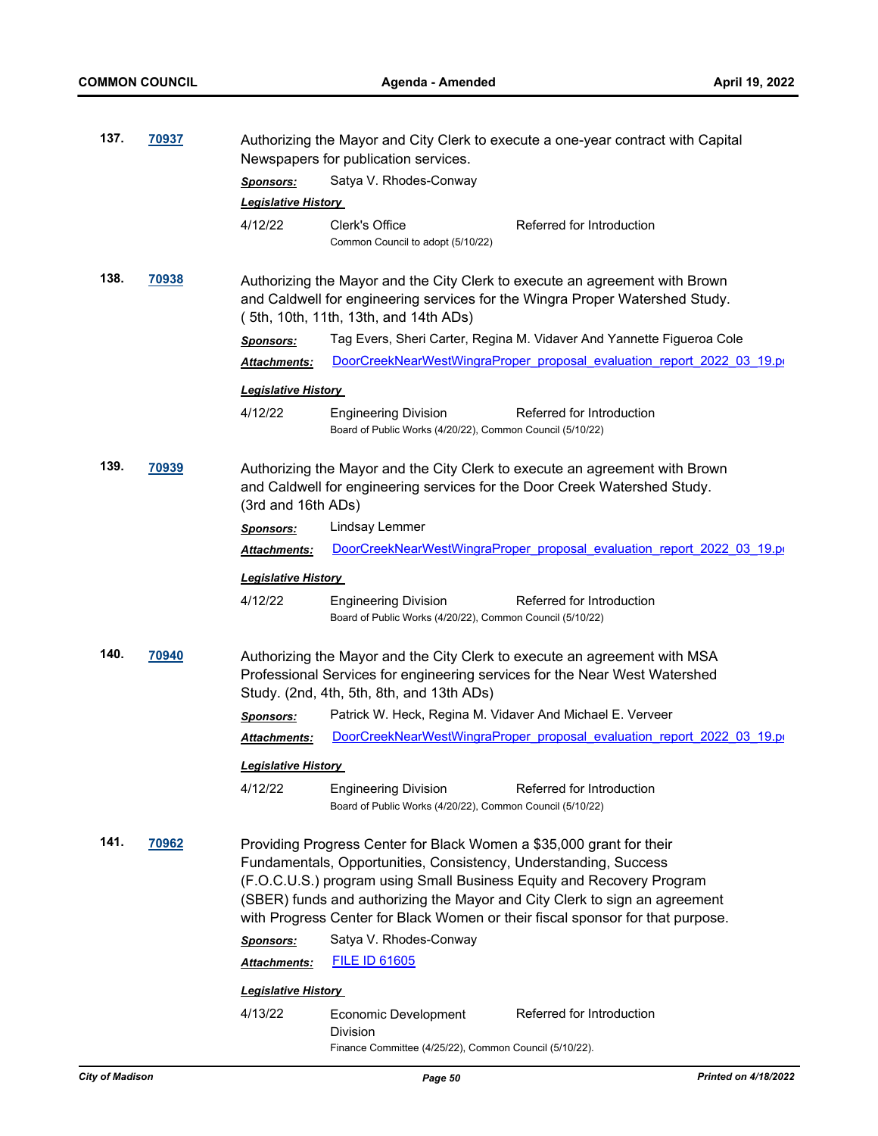| 137. | 70937        | Authorizing the Mayor and City Clerk to execute a one-year contract with Capital<br>Newspapers for publication services.                                                                             |                                                                                                                                                                                                                                                                                                                                                                                   |  |  |
|------|--------------|------------------------------------------------------------------------------------------------------------------------------------------------------------------------------------------------------|-----------------------------------------------------------------------------------------------------------------------------------------------------------------------------------------------------------------------------------------------------------------------------------------------------------------------------------------------------------------------------------|--|--|
|      |              | <b>Sponsors:</b>                                                                                                                                                                                     | Satya V. Rhodes-Conway                                                                                                                                                                                                                                                                                                                                                            |  |  |
|      |              | <b>Legislative History</b>                                                                                                                                                                           |                                                                                                                                                                                                                                                                                                                                                                                   |  |  |
|      |              | 4/12/22                                                                                                                                                                                              | <b>Clerk's Office</b><br>Referred for Introduction<br>Common Council to adopt (5/10/22)                                                                                                                                                                                                                                                                                           |  |  |
| 138. | 70938        |                                                                                                                                                                                                      | Authorizing the Mayor and the City Clerk to execute an agreement with Brown<br>and Caldwell for engineering services for the Wingra Proper Watershed Study.<br>(5th, 10th, 11th, 13th, and 14th ADs)                                                                                                                                                                              |  |  |
|      |              | <b>Sponsors:</b>                                                                                                                                                                                     | Tag Evers, Sheri Carter, Regina M. Vidaver And Yannette Figueroa Cole                                                                                                                                                                                                                                                                                                             |  |  |
|      |              | Attachments:                                                                                                                                                                                         | DoorCreekNearWestWingraProper proposal evaluation report 2022 03 19.pr                                                                                                                                                                                                                                                                                                            |  |  |
|      |              | <u> Legislative History</u>                                                                                                                                                                          |                                                                                                                                                                                                                                                                                                                                                                                   |  |  |
|      |              | 4/12/22                                                                                                                                                                                              | <b>Engineering Division</b><br>Referred for Introduction<br>Board of Public Works (4/20/22), Common Council (5/10/22)                                                                                                                                                                                                                                                             |  |  |
| 139. | <u>70939</u> | (3rd and 16th ADs)                                                                                                                                                                                   | Authorizing the Mayor and the City Clerk to execute an agreement with Brown<br>and Caldwell for engineering services for the Door Creek Watershed Study.                                                                                                                                                                                                                          |  |  |
|      |              | <b>Sponsors:</b>                                                                                                                                                                                     | Lindsay Lemmer                                                                                                                                                                                                                                                                                                                                                                    |  |  |
|      |              | Attachments:                                                                                                                                                                                         | DoorCreekNearWestWingraProper proposal evaluation report 2022 03 19.po                                                                                                                                                                                                                                                                                                            |  |  |
|      |              | <u> Legislative History</u>                                                                                                                                                                          |                                                                                                                                                                                                                                                                                                                                                                                   |  |  |
|      |              | 4/12/22                                                                                                                                                                                              | <b>Engineering Division</b><br>Referred for Introduction<br>Board of Public Works (4/20/22), Common Council (5/10/22)                                                                                                                                                                                                                                                             |  |  |
| 140. | 70940        | Authorizing the Mayor and the City Clerk to execute an agreement with MSA<br>Professional Services for engineering services for the Near West Watershed<br>Study. (2nd, 4th, 5th, 8th, and 13th ADs) |                                                                                                                                                                                                                                                                                                                                                                                   |  |  |
|      |              | <b>Sponsors:</b>                                                                                                                                                                                     | Patrick W. Heck, Regina M. Vidaver And Michael E. Verveer                                                                                                                                                                                                                                                                                                                         |  |  |
|      |              | Attachments:                                                                                                                                                                                         | DoorCreekNearWestWingraProper proposal evaluation report 2022 03 19.po                                                                                                                                                                                                                                                                                                            |  |  |
|      |              | <u> Leqislative History </u>                                                                                                                                                                         |                                                                                                                                                                                                                                                                                                                                                                                   |  |  |
|      |              | 4/12/22                                                                                                                                                                                              | <b>Engineering Division</b><br>Referred for Introduction<br>Board of Public Works (4/20/22), Common Council (5/10/22)                                                                                                                                                                                                                                                             |  |  |
| 141. | 70962        |                                                                                                                                                                                                      | Providing Progress Center for Black Women a \$35,000 grant for their<br>Fundamentals, Opportunities, Consistency, Understanding, Success<br>(F.O.C.U.S.) program using Small Business Equity and Recovery Program<br>(SBER) funds and authorizing the Mayor and City Clerk to sign an agreement<br>with Progress Center for Black Women or their fiscal sponsor for that purpose. |  |  |
|      |              | <b>Sponsors:</b>                                                                                                                                                                                     | Satya V. Rhodes-Conway                                                                                                                                                                                                                                                                                                                                                            |  |  |
|      |              | Attachments:                                                                                                                                                                                         | <b>FILE ID 61605</b>                                                                                                                                                                                                                                                                                                                                                              |  |  |
|      |              | <b>Legislative History</b>                                                                                                                                                                           |                                                                                                                                                                                                                                                                                                                                                                                   |  |  |
|      |              | 4/13/22                                                                                                                                                                                              | Referred for Introduction<br>Economic Development<br>Division<br>Finance Committee (4/25/22), Common Council (5/10/22).                                                                                                                                                                                                                                                           |  |  |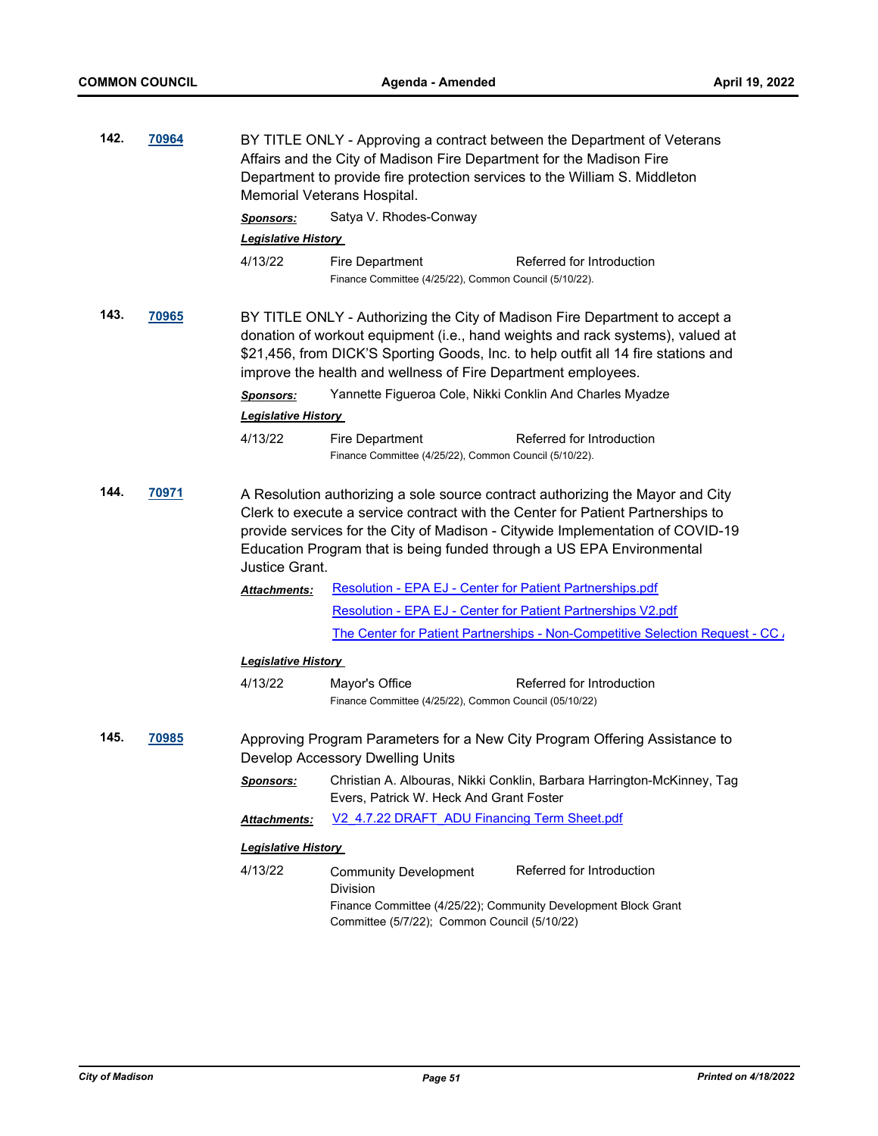| 142. | 70964        | BY TITLE ONLY - Approving a contract between the Department of Veterans<br>Affairs and the City of Madison Fire Department for the Madison Fire<br>Department to provide fire protection services to the William S. Middleton<br>Memorial Veterans Hospital.                                                                                   |                                                                                                                   |  |  |  |
|------|--------------|------------------------------------------------------------------------------------------------------------------------------------------------------------------------------------------------------------------------------------------------------------------------------------------------------------------------------------------------|-------------------------------------------------------------------------------------------------------------------|--|--|--|
|      |              | <b>Sponsors:</b>                                                                                                                                                                                                                                                                                                                               | Satya V. Rhodes-Conway                                                                                            |  |  |  |
|      |              | <b>Legislative History</b>                                                                                                                                                                                                                                                                                                                     |                                                                                                                   |  |  |  |
|      |              | 4/13/22                                                                                                                                                                                                                                                                                                                                        | Fire Department<br>Referred for Introduction<br>Finance Committee (4/25/22), Common Council (5/10/22).            |  |  |  |
| 143. | <u>70965</u> | BY TITLE ONLY - Authorizing the City of Madison Fire Department to accept a<br>donation of workout equipment (i.e., hand weights and rack systems), valued at<br>\$21,456, from DICK'S Sporting Goods, Inc. to help outfit all 14 fire stations and<br>improve the health and wellness of Fire Department employees.                           |                                                                                                                   |  |  |  |
|      |              | <b>Sponsors:</b>                                                                                                                                                                                                                                                                                                                               | Yannette Figueroa Cole, Nikki Conklin And Charles Myadze                                                          |  |  |  |
|      |              | <b>Legislative History</b>                                                                                                                                                                                                                                                                                                                     |                                                                                                                   |  |  |  |
|      |              | 4/13/22                                                                                                                                                                                                                                                                                                                                        | Fire Department<br>Referred for Introduction<br>Finance Committee (4/25/22), Common Council (5/10/22).            |  |  |  |
| 144. | <u>70971</u> | A Resolution authorizing a sole source contract authorizing the Mayor and City<br>Clerk to execute a service contract with the Center for Patient Partnerships to<br>provide services for the City of Madison - Citywide Implementation of COVID-19<br>Education Program that is being funded through a US EPA Environmental<br>Justice Grant. |                                                                                                                   |  |  |  |
|      |              | Attachments:                                                                                                                                                                                                                                                                                                                                   | <b>Resolution - EPA EJ - Center for Patient Partnerships.pdf</b>                                                  |  |  |  |
|      |              |                                                                                                                                                                                                                                                                                                                                                | Resolution - EPA EJ - Center for Patient Partnerships V2.pdf                                                      |  |  |  |
|      |              |                                                                                                                                                                                                                                                                                                                                                | The Center for Patient Partnerships - Non-Competitive Selection Request - CC /                                    |  |  |  |
|      |              | <b>Legislative History</b>                                                                                                                                                                                                                                                                                                                     |                                                                                                                   |  |  |  |
|      |              | 4/13/22                                                                                                                                                                                                                                                                                                                                        | Referred for Introduction<br>Mayor's Office<br>Finance Committee (4/25/22), Common Council (05/10/22)             |  |  |  |
| 145. | 70985        |                                                                                                                                                                                                                                                                                                                                                | Approving Program Parameters for a New City Program Offering Assistance to<br>Develop Accessory Dwelling Units    |  |  |  |
|      |              | <b>Sponsors:</b>                                                                                                                                                                                                                                                                                                                               | Christian A. Albouras, Nikki Conklin, Barbara Harrington-McKinney, Tag<br>Evers, Patrick W. Heck And Grant Foster |  |  |  |
|      |              | <b>Attachments:</b>                                                                                                                                                                                                                                                                                                                            | V2 4.7.22 DRAFT ADU Financing Term Sheet.pdf                                                                      |  |  |  |
|      |              | <b>Legislative History</b>                                                                                                                                                                                                                                                                                                                     |                                                                                                                   |  |  |  |
|      |              | 4/13/22                                                                                                                                                                                                                                                                                                                                        | Referred for Introduction<br><b>Community Development</b><br><b>Division</b>                                      |  |  |  |
|      |              |                                                                                                                                                                                                                                                                                                                                                | Finance Committee (4/25/22); Community Development Block Grant<br>Committee (5/7/22); Common Council (5/10/22)    |  |  |  |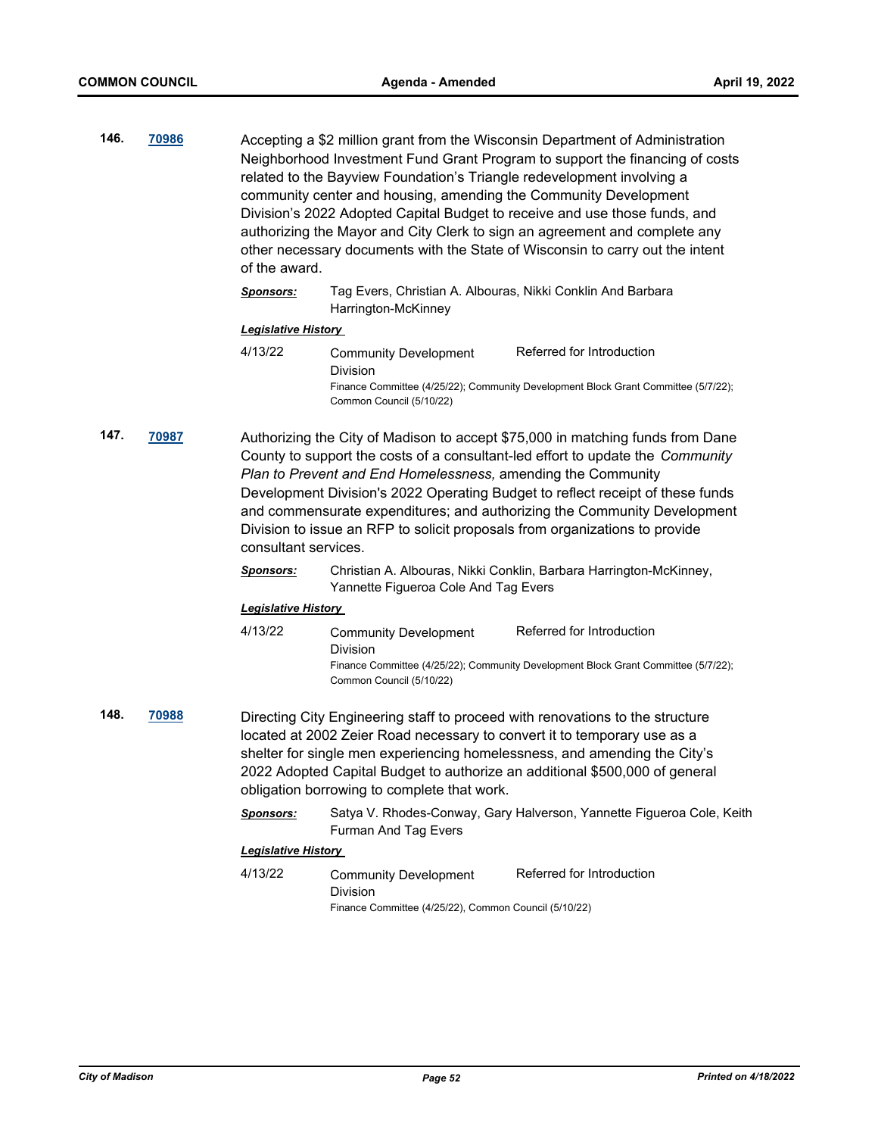| 146. | 70986 | Accepting a \$2 million grant from the Wisconsin Department of Administration<br>Neighborhood Investment Fund Grant Program to support the financing of costs<br>related to the Bayview Foundation's Triangle redevelopment involving a<br>community center and housing, amending the Community Development<br>Division's 2022 Adopted Capital Budget to receive and use those funds, and<br>authorizing the Mayor and City Clerk to sign an agreement and complete any<br>other necessary documents with the State of Wisconsin to carry out the intent<br>of the award. |
|------|-------|---------------------------------------------------------------------------------------------------------------------------------------------------------------------------------------------------------------------------------------------------------------------------------------------------------------------------------------------------------------------------------------------------------------------------------------------------------------------------------------------------------------------------------------------------------------------------|
|      |       |                                                                                                                                                                                                                                                                                                                                                                                                                                                                                                                                                                           |

#### *Sponsors:* Tag Evers, Christian A. Albouras, Nikki Conklin And Barbara Harrington-McKinney

#### *Legislative History*

| 4/13/22 | Community Development    | Referred for Introduction                                                          |
|---------|--------------------------|------------------------------------------------------------------------------------|
|         | Division                 |                                                                                    |
|         |                          | Finance Committee (4/25/22); Community Development Block Grant Committee (5/7/22); |
|         | Common Council (5/10/22) |                                                                                    |

**147. [70987](http://madison.legistar.com/gateway.aspx?m=l&id=/matter.aspx?key=82959)** Authorizing the City of Madison to accept \$75,000 in matching funds from Dane County to support the costs of a consultant-led effort to update the *Community Plan to Prevent and End Homelessness,* amending the Community Development Division's 2022 Operating Budget to reflect receipt of these funds and commensurate expenditures; and authorizing the Community Development Division to issue an RFP to solicit proposals from organizations to provide consultant services.

> *Sponsors:* Christian A. Albouras, Nikki Conklin, Barbara Harrington-McKinney, Yannette Figueroa Cole And Tag Evers

#### *Legislative History*

- 4/13/22 Community Development Division Referred for Introduction Finance Committee (4/25/22); Community Development Block Grant Committee (5/7/22); Common Council (5/10/22)
- **148. [70988](http://madison.legistar.com/gateway.aspx?m=l&id=/matter.aspx?key=82960)** Directing City Engineering staff to proceed with renovations to the structure located at 2002 Zeier Road necessary to convert it to temporary use as a shelter for single men experiencing homelessness, and amending the City's 2022 Adopted Capital Budget to authorize an additional \$500,000 of general obligation borrowing to complete that work.
	- *Sponsors:* Satya V. Rhodes-Conway, Gary Halverson, Yannette Figueroa Cole, Keith Furman And Tag Evers

#### *Legislative History*

4/13/22 Community Development Division Referred for Introduction Finance Committee (4/25/22), Common Council (5/10/22)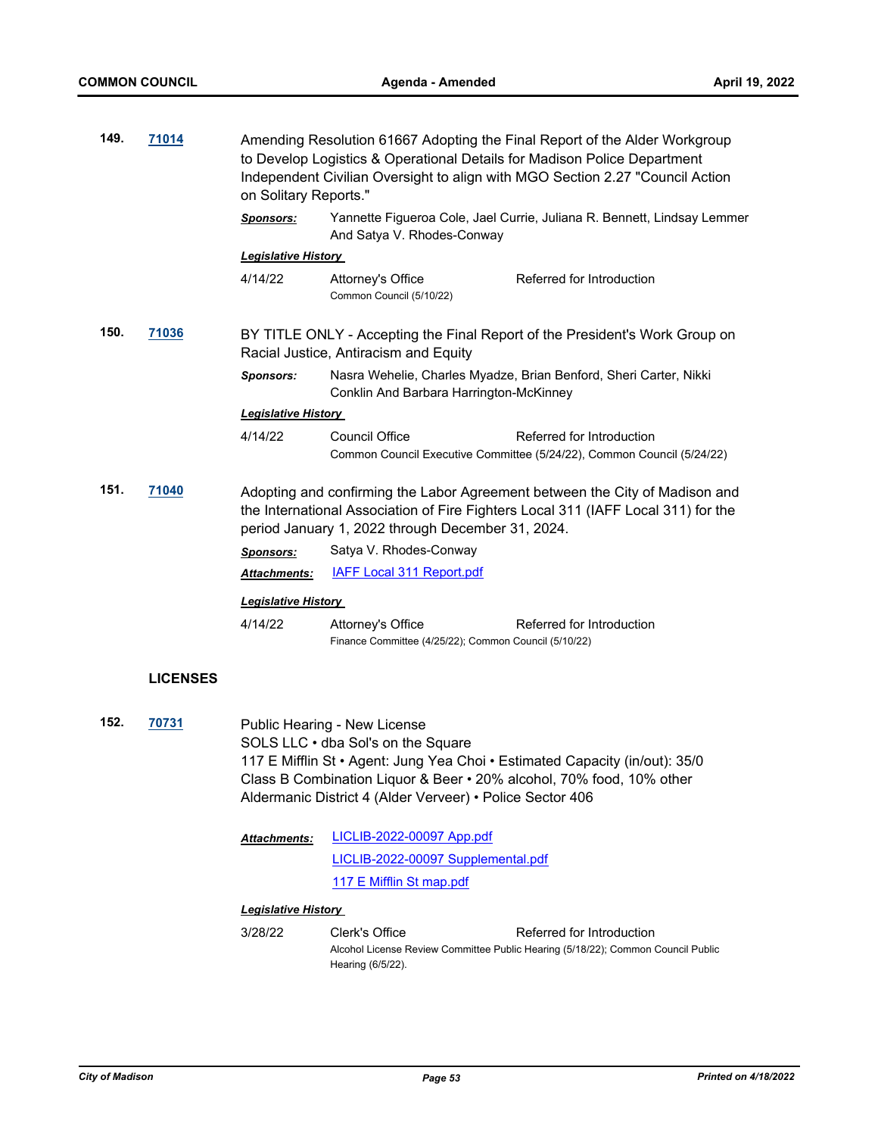| 149. | 71014           | on Solitary Reports."                                                                                                                                                                                                 | Amending Resolution 61667 Adopting the Final Report of the Alder Workgroup<br>to Develop Logistics & Operational Details for Madison Police Department<br>Independent Civilian Oversight to align with MGO Section 2.27 "Council Action |                                                                                                                                                     |
|------|-----------------|-----------------------------------------------------------------------------------------------------------------------------------------------------------------------------------------------------------------------|-----------------------------------------------------------------------------------------------------------------------------------------------------------------------------------------------------------------------------------------|-----------------------------------------------------------------------------------------------------------------------------------------------------|
|      |                 | <b>Sponsors:</b>                                                                                                                                                                                                      | And Satya V. Rhodes-Conway                                                                                                                                                                                                              | Yannette Figueroa Cole, Jael Currie, Juliana R. Bennett, Lindsay Lemmer                                                                             |
|      |                 | <b>Legislative History</b>                                                                                                                                                                                            |                                                                                                                                                                                                                                         |                                                                                                                                                     |
|      |                 | 4/14/22                                                                                                                                                                                                               | Attorney's Office<br>Common Council (5/10/22)                                                                                                                                                                                           | Referred for Introduction                                                                                                                           |
| 150. | 71036           |                                                                                                                                                                                                                       | Racial Justice, Antiracism and Equity                                                                                                                                                                                                   | BY TITLE ONLY - Accepting the Final Report of the President's Work Group on                                                                         |
|      |                 | <b>Sponsors:</b>                                                                                                                                                                                                      | Conklin And Barbara Harrington-McKinney                                                                                                                                                                                                 | Nasra Wehelie, Charles Myadze, Brian Benford, Sheri Carter, Nikki                                                                                   |
|      |                 | <b>Legislative History</b>                                                                                                                                                                                            |                                                                                                                                                                                                                                         |                                                                                                                                                     |
|      |                 | 4/14/22                                                                                                                                                                                                               | <b>Council Office</b>                                                                                                                                                                                                                   | Referred for Introduction<br>Common Council Executive Committee (5/24/22), Common Council (5/24/22)                                                 |
| 151. | 71040           | Adopting and confirming the Labor Agreement between the City of Madison and<br>the International Association of Fire Fighters Local 311 (IAFF Local 311) for the<br>period January 1, 2022 through December 31, 2024. |                                                                                                                                                                                                                                         |                                                                                                                                                     |
|      |                 | <b>Sponsors:</b>                                                                                                                                                                                                      | Satya V. Rhodes-Conway                                                                                                                                                                                                                  |                                                                                                                                                     |
|      |                 | Attachments:                                                                                                                                                                                                          | <b>IAFF Local 311 Report.pdf</b>                                                                                                                                                                                                        |                                                                                                                                                     |
|      |                 | <b>Legislative History</b>                                                                                                                                                                                            |                                                                                                                                                                                                                                         |                                                                                                                                                     |
|      |                 | 4/14/22                                                                                                                                                                                                               | Attorney's Office<br>Finance Committee (4/25/22); Common Council (5/10/22)                                                                                                                                                              | Referred for Introduction                                                                                                                           |
|      | <b>LICENSES</b> |                                                                                                                                                                                                                       |                                                                                                                                                                                                                                         |                                                                                                                                                     |
| 152. | 70731           |                                                                                                                                                                                                                       | Public Hearing - New License<br>SOLS LLC · dba Sol's on the Square<br>Aldermanic District 4 (Alder Verveer) • Police Sector 406                                                                                                         | 117 E Mifflin St • Agent: Jung Yea Choi • Estimated Capacity (in/out): 35/0<br>Class B Combination Liquor & Beer • 20% alcohol, 70% food, 10% other |
|      |                 | Attachments:                                                                                                                                                                                                          | LICLIB-2022-00097 App.pdf                                                                                                                                                                                                               |                                                                                                                                                     |
|      |                 |                                                                                                                                                                                                                       | LICLIB-2022-00097 Supplemental.pdf                                                                                                                                                                                                      |                                                                                                                                                     |
|      |                 |                                                                                                                                                                                                                       | 117 E Mifflin St map.pdf                                                                                                                                                                                                                |                                                                                                                                                     |
|      |                 | <b>Legislative History</b>                                                                                                                                                                                            |                                                                                                                                                                                                                                         |                                                                                                                                                     |
|      |                 | 3/28/22                                                                                                                                                                                                               | Clerk's Office                                                                                                                                                                                                                          | Referred for Introduction<br>Alcohol License Review Committee Public Hearing (5/18/22): Common Council Public                                       |

Alcohol License Review Committee Public Hearing (5/18/22); Common Council Public Hearing (6/5/22).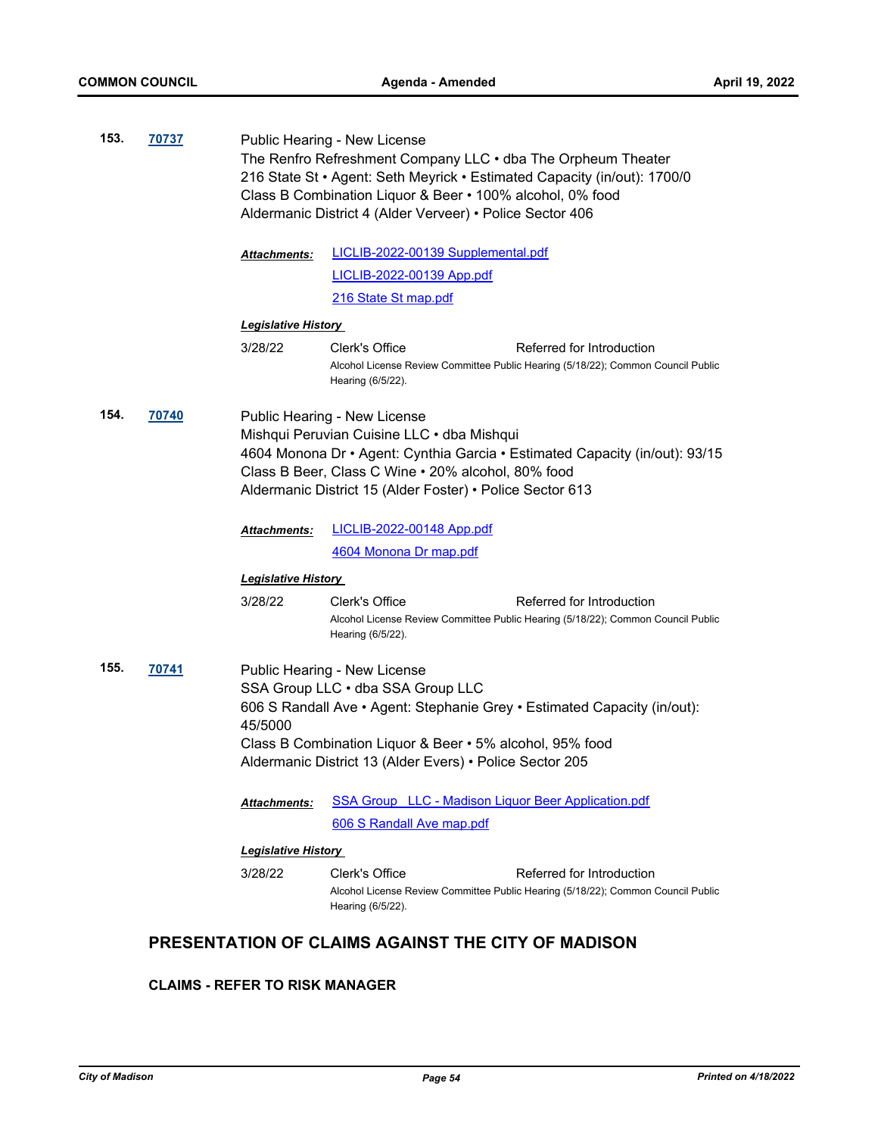| 153. | 70737 | Public Hearing - New License<br>The Renfro Refreshment Company LLC . dba The Orpheum Theater<br>216 State St • Agent: Seth Meyrick • Estimated Capacity (in/out): 1700/0<br>Class B Combination Liquor & Beer • 100% alcohol, 0% food<br>Aldermanic District 4 (Alder Verveer) • Police Sector 406 |                                                                                                                                                                                                                                                                                                                                            |  |
|------|-------|----------------------------------------------------------------------------------------------------------------------------------------------------------------------------------------------------------------------------------------------------------------------------------------------------|--------------------------------------------------------------------------------------------------------------------------------------------------------------------------------------------------------------------------------------------------------------------------------------------------------------------------------------------|--|
|      |       | <b>Attachments:</b>                                                                                                                                                                                                                                                                                | LICLIB-2022-00139 Supplemental.pdf                                                                                                                                                                                                                                                                                                         |  |
|      |       |                                                                                                                                                                                                                                                                                                    | <b>LICLIB-2022-00139 App.pdf</b>                                                                                                                                                                                                                                                                                                           |  |
|      |       |                                                                                                                                                                                                                                                                                                    | 216 State St map.pdf                                                                                                                                                                                                                                                                                                                       |  |
|      |       | <b>Legislative History</b>                                                                                                                                                                                                                                                                         |                                                                                                                                                                                                                                                                                                                                            |  |
|      |       | 3/28/22                                                                                                                                                                                                                                                                                            | Clerk's Office<br>Referred for Introduction<br>Alcohol License Review Committee Public Hearing (5/18/22); Common Council Public<br>Hearing (6/5/22).                                                                                                                                                                                       |  |
| 154. | 70740 | <b>Attachments:</b>                                                                                                                                                                                                                                                                                | Public Hearing - New License<br>Mishqui Peruvian Cuisine LLC · dba Mishqui<br>4604 Monona Dr • Agent: Cynthia Garcia • Estimated Capacity (in/out): 93/15<br>Class B Beer, Class C Wine . 20% alcohol, 80% food<br>Aldermanic District 15 (Alder Foster) • Police Sector 613<br><b>LICLIB-2022-00148 App.pdf</b><br>4604 Monona Dr map.pdf |  |
|      |       | <b>Legislative History</b>                                                                                                                                                                                                                                                                         |                                                                                                                                                                                                                                                                                                                                            |  |
|      |       | 3/28/22                                                                                                                                                                                                                                                                                            | Clerk's Office<br>Referred for Introduction<br>Alcohol License Review Committee Public Hearing (5/18/22); Common Council Public<br>Hearing (6/5/22).                                                                                                                                                                                       |  |
| 155. | 70741 | 45/5000<br><b>Attachments:</b>                                                                                                                                                                                                                                                                     | Public Hearing - New License<br>SSA Group LLC . dba SSA Group LLC<br>606 S Randall Ave • Agent: Stephanie Grey • Estimated Capacity (in/out):<br>Class B Combination Liquor & Beer • 5% alcohol, 95% food<br>Aldermanic District 13 (Alder Evers) • Police Sector 205<br><b>SSA Group LLC - Madison Liquor Beer Application.pdf</b>        |  |
|      |       |                                                                                                                                                                                                                                                                                                    | 606 S Randall Ave map.pdf                                                                                                                                                                                                                                                                                                                  |  |
|      |       | <b>Legislative History</b>                                                                                                                                                                                                                                                                         |                                                                                                                                                                                                                                                                                                                                            |  |
|      |       | 3/28/22                                                                                                                                                                                                                                                                                            | Clerk's Office<br>Referred for Introduction<br>Alcohol License Review Committee Public Hearing (5/18/22); Common Council Public<br>Hearing (6/5/22).                                                                                                                                                                                       |  |

# **PRESENTATION OF CLAIMS AGAINST THE CITY OF MADISON**

#### **CLAIMS - REFER TO RISK MANAGER**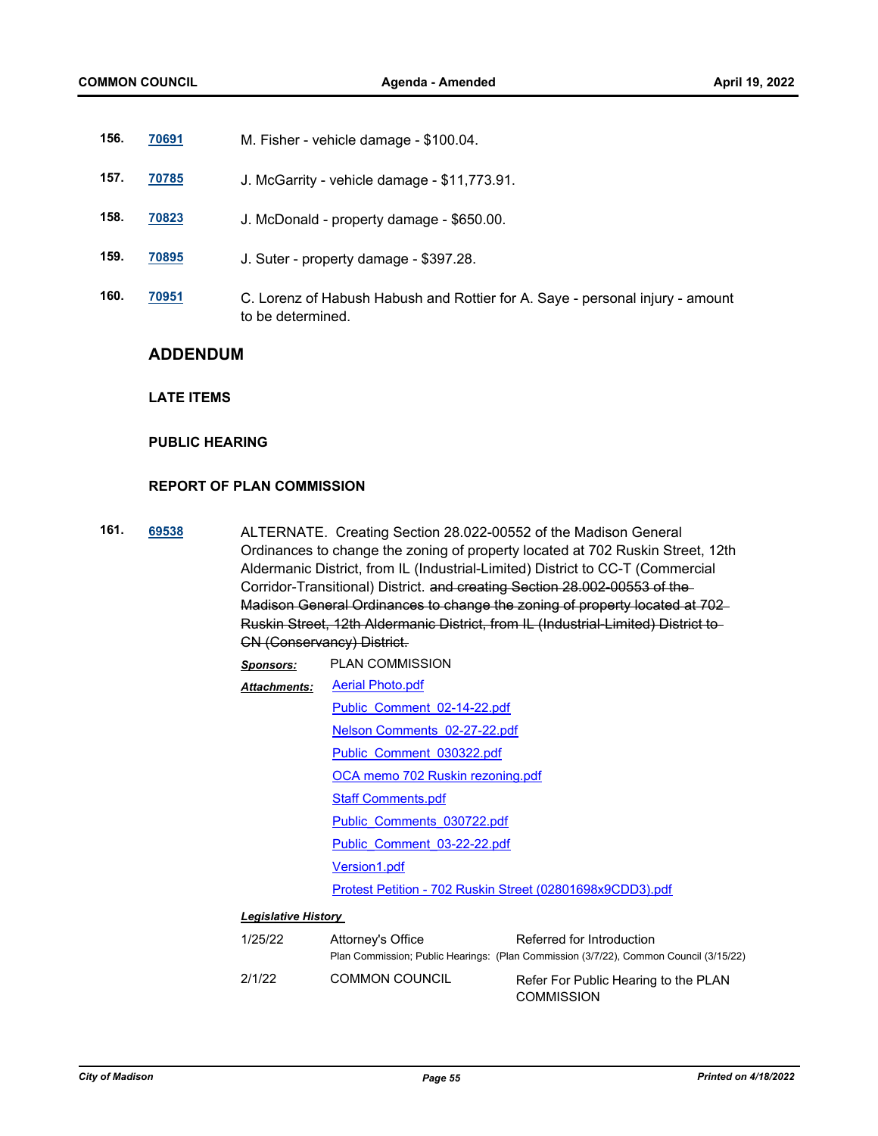- **156. [70691](http://madison.legistar.com/gateway.aspx?m=l&id=/matter.aspx?key=82714)** M. Fisher vehicle damage \$100.04.
- **157. [70785](http://madison.legistar.com/gateway.aspx?m=l&id=/matter.aspx?key=82797)** J. McGarrity vehicle damage \$11,773.91.
- **158. [70823](http://madison.legistar.com/gateway.aspx?m=l&id=/matter.aspx?key=82821)** J. McDonald property damage \$650.00.
- **159. [70895](http://madison.legistar.com/gateway.aspx?m=l&id=/matter.aspx?key=82888)** J. Suter property damage \$397.28.
- **160. [70951](http://madison.legistar.com/gateway.aspx?m=l&id=/matter.aspx?key=82934)** C. Lorenz of Habush Habush and Rottier for A. Saye personal injury amount to be determined.

#### **ADDENDUM**

#### **LATE ITEMS**

#### **PUBLIC HEARING**

#### **REPORT OF PLAN COMMISSION**

**161. [69538](http://madison.legistar.com/gateway.aspx?m=l&id=/matter.aspx?key=80912)** ALTERNATE. Creating Section 28.022-00552 of the Madison General Ordinances to change the zoning of property located at 702 Ruskin Street, 12th Aldermanic District, from IL (Industrial-Limited) District to CC-T (Commercial Corridor-Transitional) District. and creating Section 28.002-00553 of the Madison General Ordinances to change the zoning of property located at 702 Ruskin Street, 12th Aldermanic District, from IL (Industrial-Limited) District to CN (Conservancy) District.

| <b>Sponsors:</b>           | <b>PLAN COMMISSION</b>                                    |  |  |  |
|----------------------------|-----------------------------------------------------------|--|--|--|
| <b>Attachments:</b>        | <b>Aerial Photo.pdf</b>                                   |  |  |  |
|                            | Public Comment 02-14-22.pdf                               |  |  |  |
|                            | Nelson Comments 02-27-22.pdf                              |  |  |  |
|                            | Public Comment 030322.pdf                                 |  |  |  |
|                            | OCA memo 702 Ruskin rezoning.pdf                          |  |  |  |
|                            | <b>Staff Comments.pdf</b>                                 |  |  |  |
|                            | Public Comments 030722.pdf                                |  |  |  |
|                            | Public Comment 03-22-22.pdf                               |  |  |  |
|                            | <b>Version1.pdf</b>                                       |  |  |  |
|                            | Protest Petition - 702 Ruskin Street (02801698x9CDD3).pdf |  |  |  |
| I amin'ny fivon'i History. |                                                           |  |  |  |

#### *Legislative History*

| 1/25/22 | Attorney's Office     | Referred for Introduction                                                             |
|---------|-----------------------|---------------------------------------------------------------------------------------|
|         |                       | Plan Commission; Public Hearings: (Plan Commission (3/7/22), Common Council (3/15/22) |
| 2/1/22  | <b>COMMON COUNCIL</b> | Refer For Public Hearing to the PLAN                                                  |
|         |                       | <b>COMMISSION</b>                                                                     |